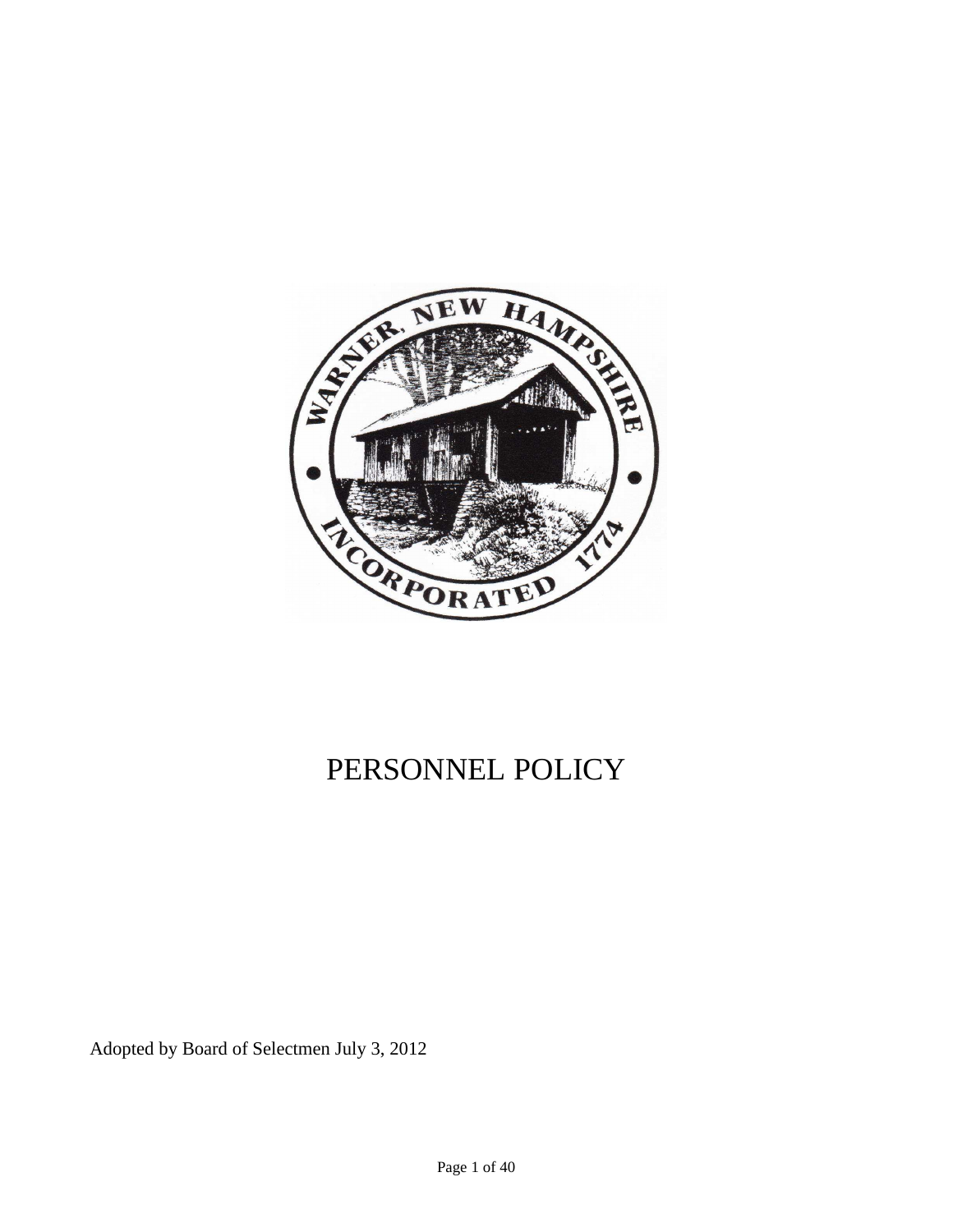

# PERSONNEL POLICY

Adopted by Board of Selectmen July 3, 2012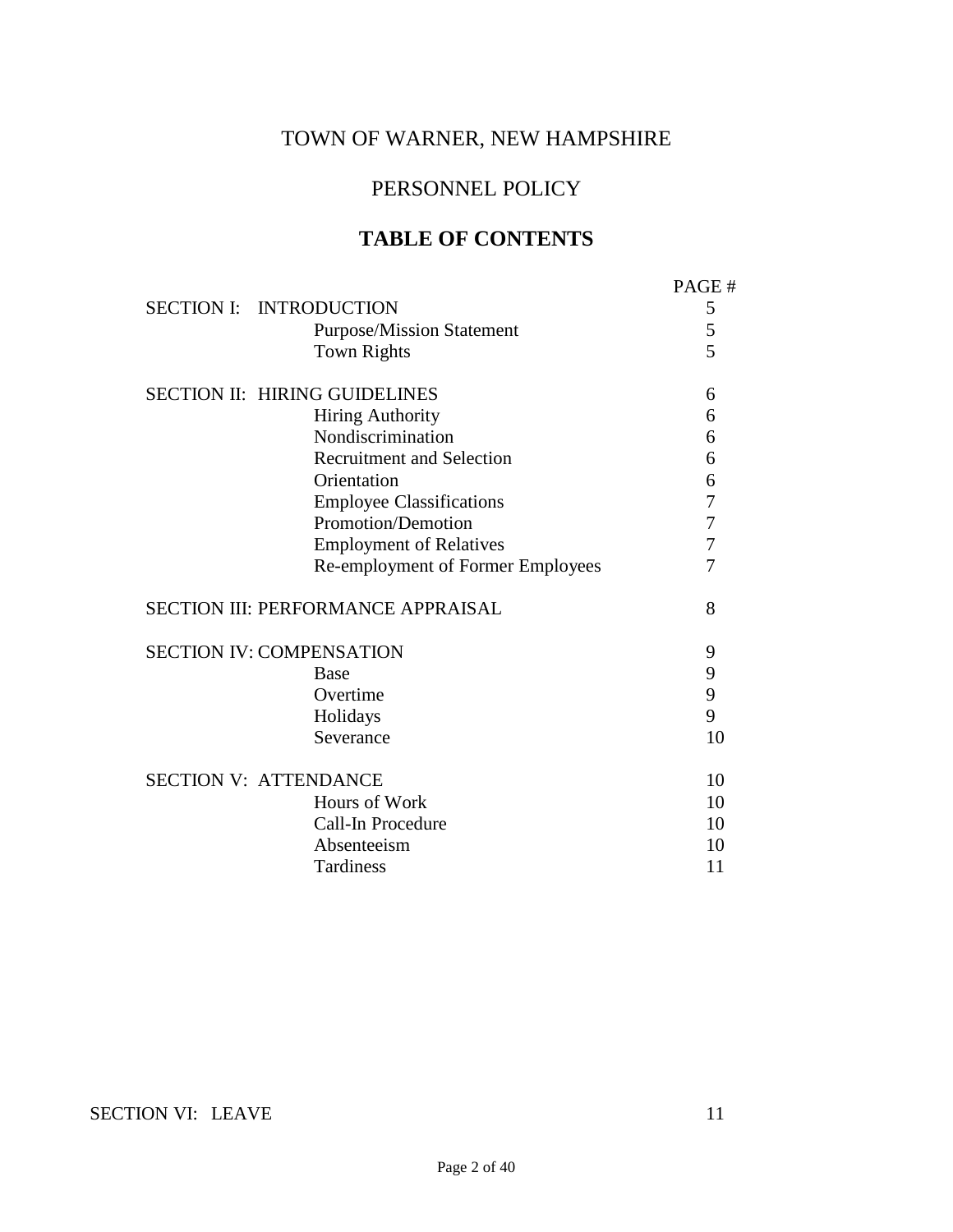## TOWN OF WARNER, NEW HAMPSHIRE

## PERSONNEL POLICY

## **TABLE OF CONTENTS**

|                                 | <b>SECTION I: INTRODUCTION</b><br><b>Purpose/Mission Statement</b><br><b>Town Rights</b> | PAGE#<br>5<br>5<br>5 |
|---------------------------------|------------------------------------------------------------------------------------------|----------------------|
|                                 | <b>SECTION II: HIRING GUIDELINES</b>                                                     | 6                    |
|                                 | <b>Hiring Authority</b>                                                                  | 6                    |
|                                 | Nondiscrimination                                                                        | 6                    |
|                                 | <b>Recruitment and Selection</b>                                                         | 6                    |
|                                 | Orientation                                                                              | 6                    |
|                                 | <b>Employee Classifications</b>                                                          | 7                    |
|                                 | Promotion/Demotion                                                                       | 7                    |
|                                 | <b>Employment of Relatives</b>                                                           | 7                    |
|                                 | Re-employment of Former Employees                                                        | 7                    |
|                                 | <b>SECTION III: PERFORMANCE APPRAISAL</b>                                                | 8                    |
| <b>SECTION IV: COMPENSATION</b> |                                                                                          | 9                    |
|                                 | <b>Base</b>                                                                              | 9                    |
|                                 | Overtime                                                                                 | 9                    |
|                                 | Holidays                                                                                 | 9                    |
|                                 | Severance                                                                                | 10                   |
| <b>SECTION V: ATTENDANCE</b>    |                                                                                          | 10                   |
|                                 | Hours of Work                                                                            | 10                   |
|                                 | Call-In Procedure                                                                        | 10                   |
|                                 | Absenteeism                                                                              | 10                   |
|                                 | Tardiness                                                                                | 11                   |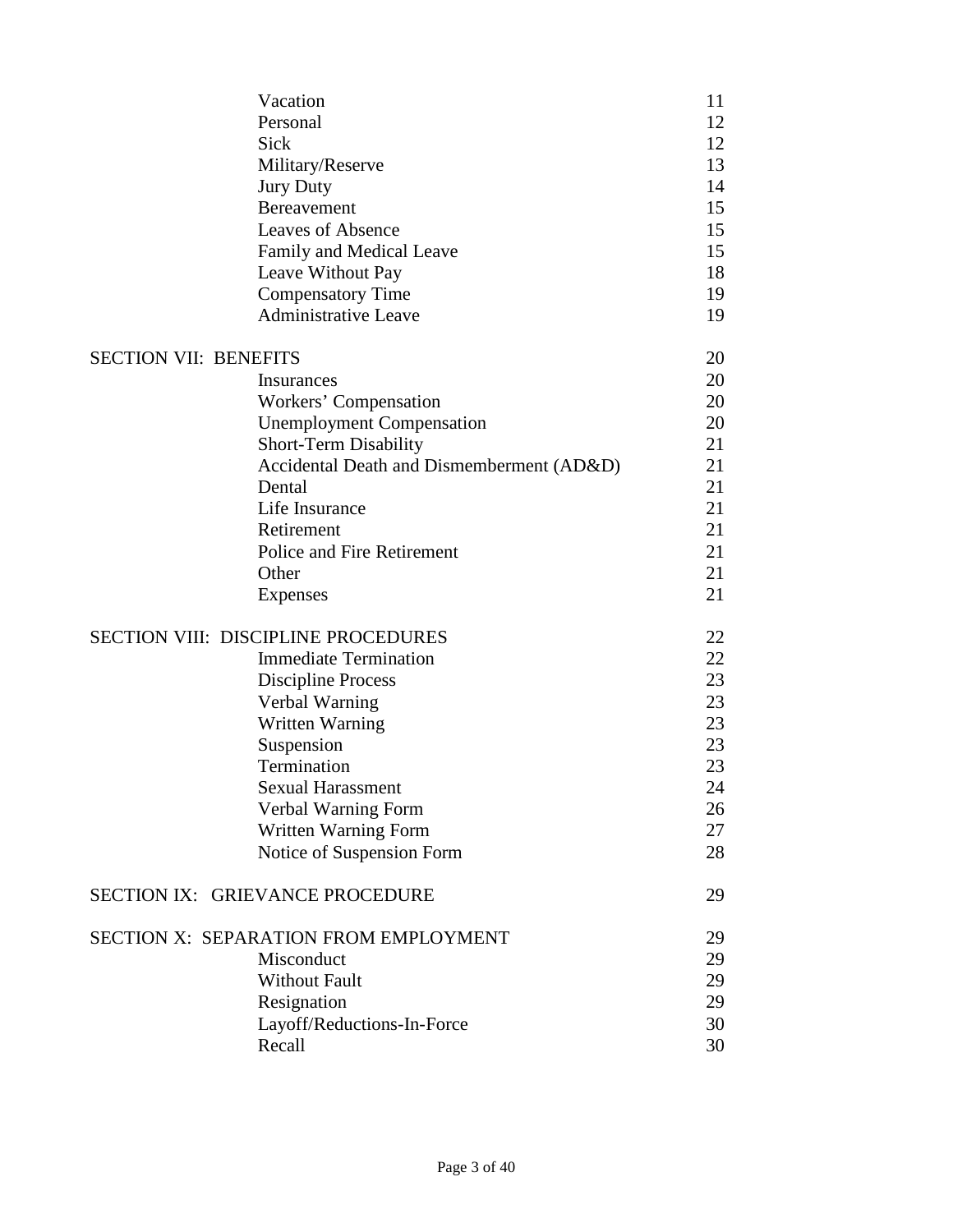|                              | Vacation<br>Personal<br><b>Sick</b><br>Military/Reserve<br><b>Jury Duty</b><br><b>Bereavement</b><br><b>Leaves of Absence</b><br>Family and Medical Leave<br>Leave Without Pay<br><b>Compensatory Time</b><br><b>Administrative Leave</b> | 11<br>12<br>12<br>13<br>14<br>15<br>15<br>15<br>18<br>19<br>19 |
|------------------------------|-------------------------------------------------------------------------------------------------------------------------------------------------------------------------------------------------------------------------------------------|----------------------------------------------------------------|
| <b>SECTION VII: BENEFITS</b> |                                                                                                                                                                                                                                           | 20                                                             |
|                              | Insurances                                                                                                                                                                                                                                | 20                                                             |
|                              | Workers' Compensation                                                                                                                                                                                                                     | 20                                                             |
|                              | <b>Unemployment Compensation</b>                                                                                                                                                                                                          | 20                                                             |
|                              | <b>Short-Term Disability</b>                                                                                                                                                                                                              | 21                                                             |
|                              | Accidental Death and Dismemberment (AD&D)                                                                                                                                                                                                 | 21                                                             |
|                              | Dental                                                                                                                                                                                                                                    | 21                                                             |
|                              | Life Insurance                                                                                                                                                                                                                            | 21                                                             |
|                              | Retirement                                                                                                                                                                                                                                | 21                                                             |
|                              | Police and Fire Retirement                                                                                                                                                                                                                | 21                                                             |
|                              | Other                                                                                                                                                                                                                                     | 21                                                             |
|                              | <b>Expenses</b>                                                                                                                                                                                                                           | 21                                                             |
|                              | <b>SECTION VIII: DISCIPLINE PROCEDURES</b>                                                                                                                                                                                                | 22                                                             |
|                              | <b>Immediate Termination</b>                                                                                                                                                                                                              | 22                                                             |
|                              | <b>Discipline Process</b>                                                                                                                                                                                                                 | 23                                                             |
|                              | Verbal Warning                                                                                                                                                                                                                            | 23                                                             |
|                              | <b>Written Warning</b>                                                                                                                                                                                                                    | 23                                                             |
|                              | Suspension                                                                                                                                                                                                                                | 23                                                             |
|                              | Termination                                                                                                                                                                                                                               | 23                                                             |
|                              | <b>Sexual Harassment</b>                                                                                                                                                                                                                  | 24                                                             |
|                              | Verbal Warning Form                                                                                                                                                                                                                       | 26                                                             |
|                              | Written Warning Form                                                                                                                                                                                                                      | 27                                                             |
|                              | Notice of Suspension Form                                                                                                                                                                                                                 | 28                                                             |
|                              | <b>SECTION IX: GRIEVANCE PROCEDURE</b>                                                                                                                                                                                                    | 29                                                             |
|                              | SECTION X: SEPARATION FROM EMPLOYMENT                                                                                                                                                                                                     | 29                                                             |
|                              | Misconduct                                                                                                                                                                                                                                | 29                                                             |
|                              | <b>Without Fault</b>                                                                                                                                                                                                                      | 29                                                             |
|                              | Resignation                                                                                                                                                                                                                               | 29                                                             |
|                              | Layoff/Reductions-In-Force                                                                                                                                                                                                                | 30                                                             |
|                              | Recall                                                                                                                                                                                                                                    | 30                                                             |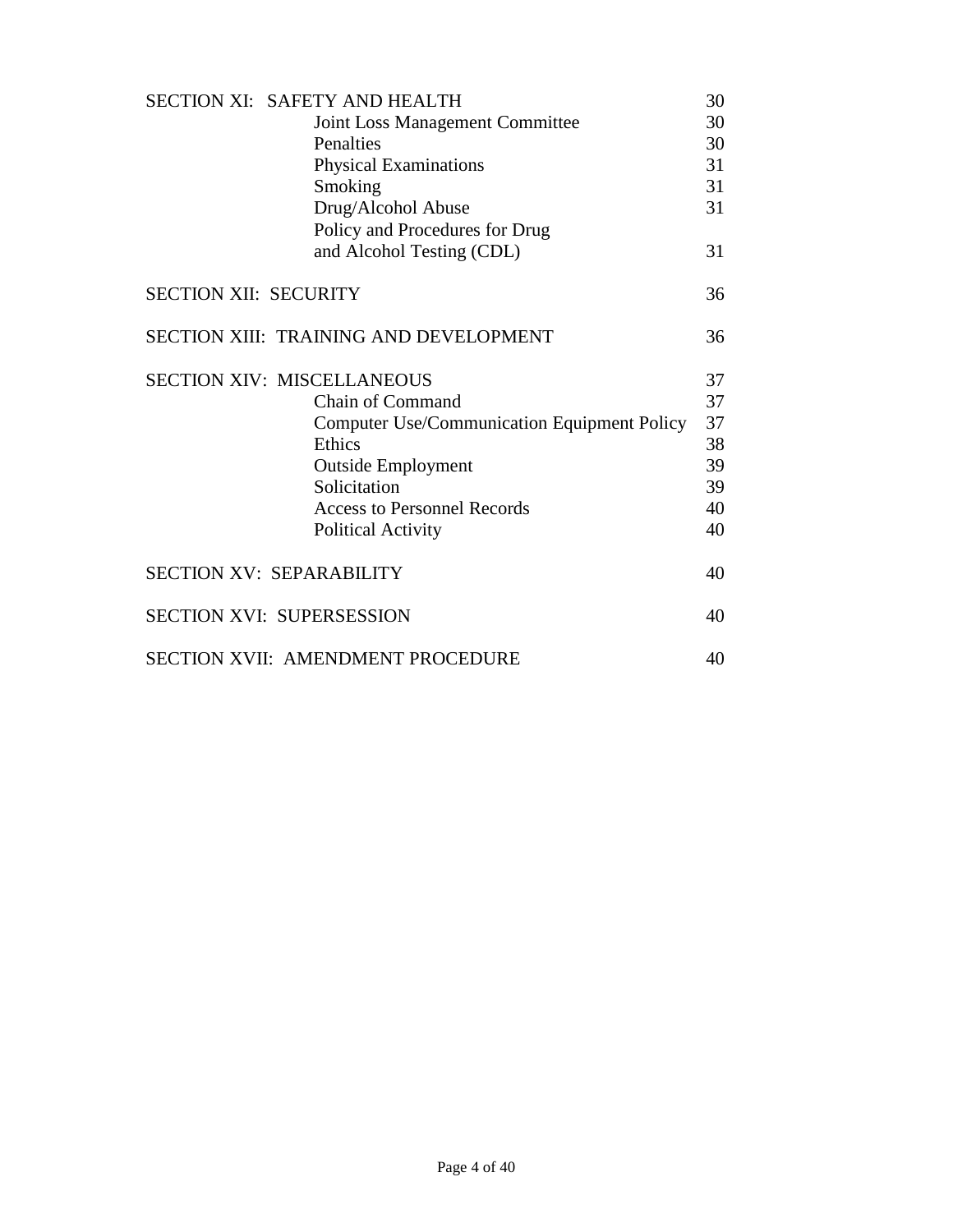| <b>SECTION XI: SAFETY AND HEALTH</b>               | 30 |
|----------------------------------------------------|----|
| <b>Joint Loss Management Committee</b>             | 30 |
| Penalties                                          | 30 |
| Physical Examinations                              | 31 |
| Smoking                                            | 31 |
| Drug/Alcohol Abuse                                 | 31 |
| Policy and Procedures for Drug                     |    |
| and Alcohol Testing (CDL)                          | 31 |
| <b>SECTION XII: SECURITY</b>                       | 36 |
| <b>SECTION XIII: TRAINING AND DEVELOPMENT</b>      | 36 |
| <b>SECTION XIV: MISCELLANEOUS</b>                  | 37 |
| Chain of Command                                   | 37 |
| <b>Computer Use/Communication Equipment Policy</b> | 37 |
| Ethics                                             | 38 |
| <b>Outside Employment</b>                          | 39 |
| Solicitation                                       | 39 |
| <b>Access to Personnel Records</b>                 | 40 |
| <b>Political Activity</b>                          | 40 |
| <b>SECTION XV: SEPARABILITY</b>                    | 40 |
| <b>SECTION XVI: SUPERSESSION</b>                   | 40 |
| <b>SECTION XVII: AMENDMENT PROCEDURE</b>           | 40 |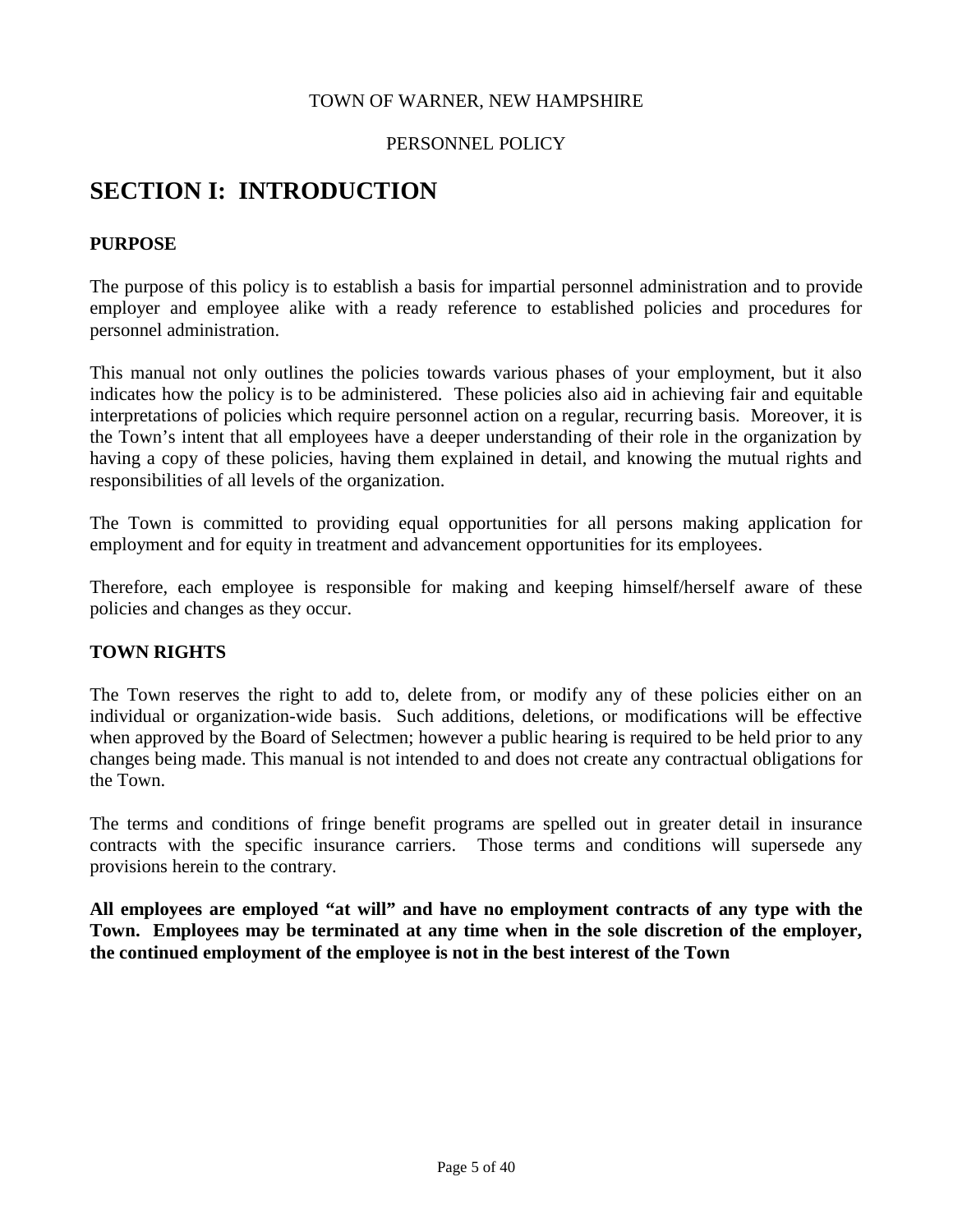#### TOWN OF WARNER, NEW HAMPSHIRE

#### PERSONNEL POLICY

## **SECTION I: INTRODUCTION**

#### **PURPOSE**

The purpose of this policy is to establish a basis for impartial personnel administration and to provide employer and employee alike with a ready reference to established policies and procedures for personnel administration.

This manual not only outlines the policies towards various phases of your employment, but it also indicates how the policy is to be administered. These policies also aid in achieving fair and equitable interpretations of policies which require personnel action on a regular, recurring basis. Moreover, it is the Town's intent that all employees have a deeper understanding of their role in the organization by having a copy of these policies, having them explained in detail, and knowing the mutual rights and responsibilities of all levels of the organization.

The Town is committed to providing equal opportunities for all persons making application for employment and for equity in treatment and advancement opportunities for its employees.

Therefore, each employee is responsible for making and keeping himself/herself aware of these policies and changes as they occur.

#### **TOWN RIGHTS**

The Town reserves the right to add to, delete from, or modify any of these policies either on an individual or organization-wide basis. Such additions, deletions, or modifications will be effective when approved by the Board of Selectmen; however a public hearing is required to be held prior to any changes being made. This manual is not intended to and does not create any contractual obligations for the Town.

The terms and conditions of fringe benefit programs are spelled out in greater detail in insurance contracts with the specific insurance carriers. Those terms and conditions will supersede any provisions herein to the contrary.

**All employees are employed "at will" and have no employment contracts of any type with the Town. Employees may be terminated at any time when in the sole discretion of the employer, the continued employment of the employee is not in the best interest of the Town**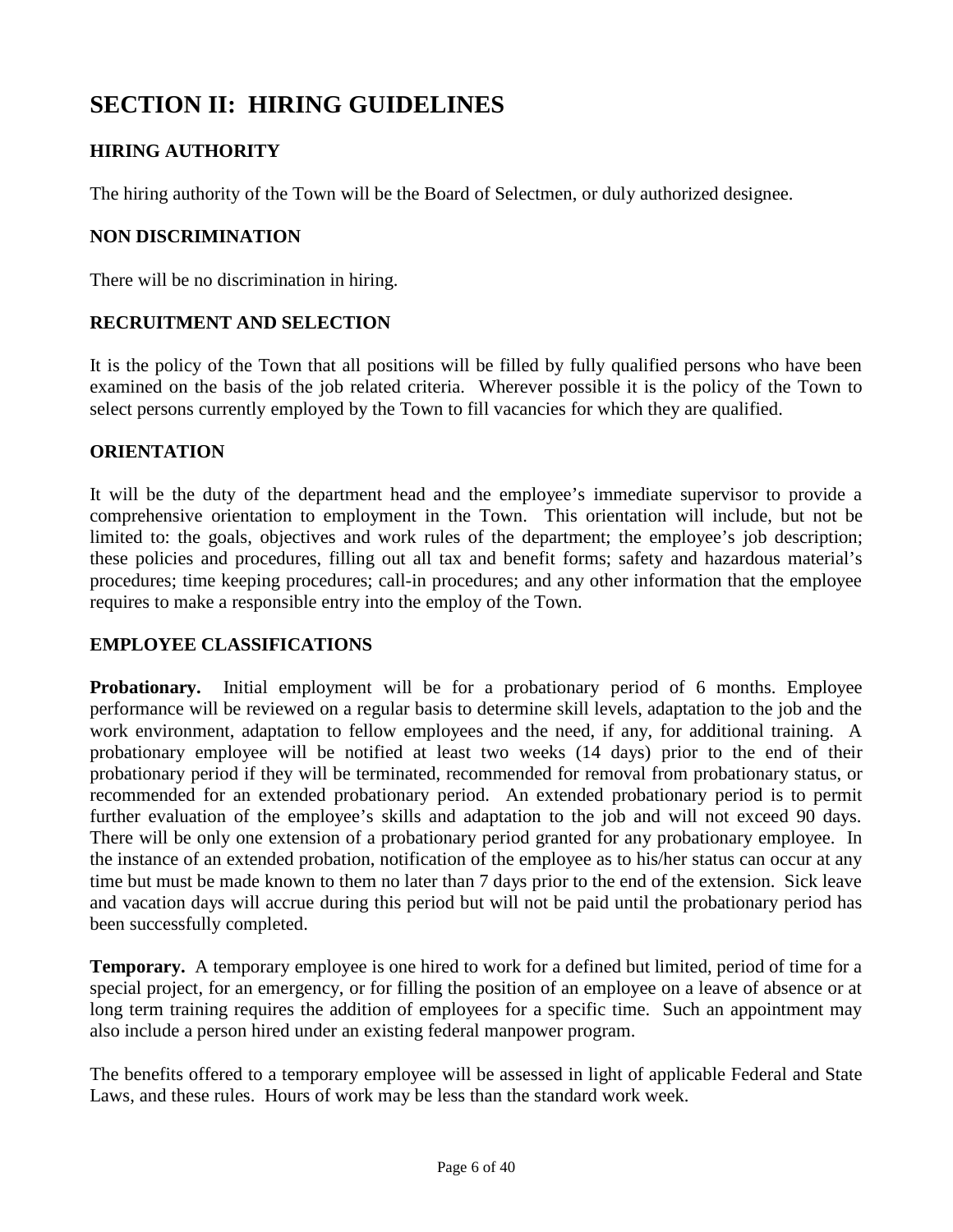## **SECTION II: HIRING GUIDELINES**

## **HIRING AUTHORITY**

The hiring authority of the Town will be the Board of Selectmen, or duly authorized designee.

#### **NON DISCRIMINATION**

There will be no discrimination in hiring.

#### **RECRUITMENT AND SELECTION**

It is the policy of the Town that all positions will be filled by fully qualified persons who have been examined on the basis of the job related criteria. Wherever possible it is the policy of the Town to select persons currently employed by the Town to fill vacancies for which they are qualified.

#### **ORIENTATION**

It will be the duty of the department head and the employee's immediate supervisor to provide a comprehensive orientation to employment in the Town. This orientation will include, but not be limited to: the goals, objectives and work rules of the department; the employee's job description; these policies and procedures, filling out all tax and benefit forms; safety and hazardous material's procedures; time keeping procedures; call-in procedures; and any other information that the employee requires to make a responsible entry into the employ of the Town.

## **EMPLOYEE CLASSIFICATIONS**

**Probationary.** Initial employment will be for a probationary period of 6 months. Employee performance will be reviewed on a regular basis to determine skill levels, adaptation to the job and the work environment, adaptation to fellow employees and the need, if any, for additional training. A probationary employee will be notified at least two weeks (14 days) prior to the end of their probationary period if they will be terminated, recommended for removal from probationary status, or recommended for an extended probationary period. An extended probationary period is to permit further evaluation of the employee's skills and adaptation to the job and will not exceed 90 days. There will be only one extension of a probationary period granted for any probationary employee. In the instance of an extended probation, notification of the employee as to his/her status can occur at any time but must be made known to them no later than 7 days prior to the end of the extension. Sick leave and vacation days will accrue during this period but will not be paid until the probationary period has been successfully completed.

**Temporary.** A temporary employee is one hired to work for a defined but limited, period of time for a special project, for an emergency, or for filling the position of an employee on a leave of absence or at long term training requires the addition of employees for a specific time. Such an appointment may also include a person hired under an existing federal manpower program.

The benefits offered to a temporary employee will be assessed in light of applicable Federal and State Laws, and these rules. Hours of work may be less than the standard work week.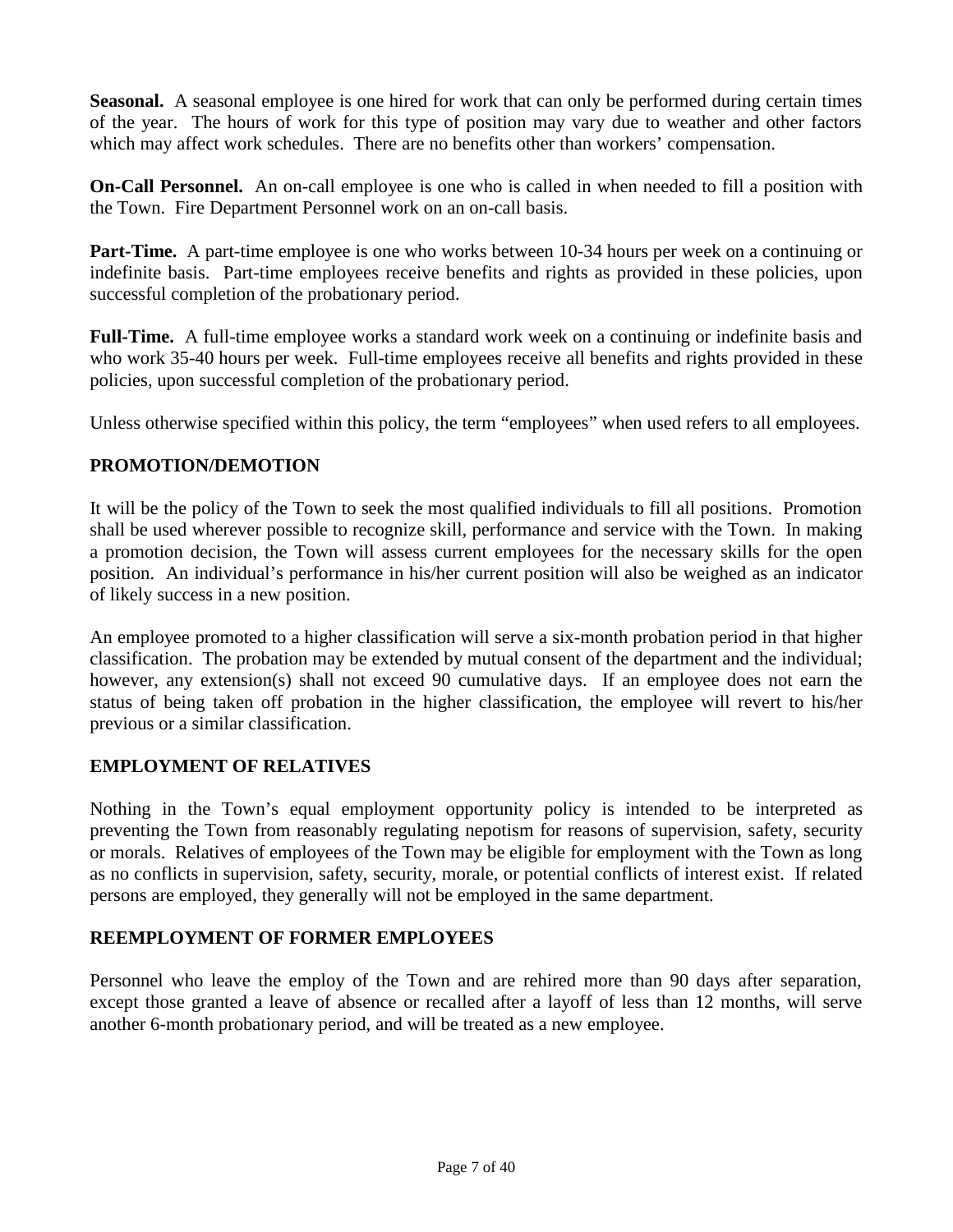**Seasonal.** A seasonal employee is one hired for work that can only be performed during certain times of the year. The hours of work for this type of position may vary due to weather and other factors which may affect work schedules. There are no benefits other than workers' compensation.

**On-Call Personnel.** An on-call employee is one who is called in when needed to fill a position with the Town. Fire Department Personnel work on an on-call basis.

**Part-Time.** A part-time employee is one who works between 10-34 hours per week on a continuing or indefinite basis. Part-time employees receive benefits and rights as provided in these policies, upon successful completion of the probationary period.

**Full-Time.** A full-time employee works a standard work week on a continuing or indefinite basis and who work 35-40 hours per week. Full-time employees receive all benefits and rights provided in these policies, upon successful completion of the probationary period.

Unless otherwise specified within this policy, the term "employees" when used refers to all employees.

## **PROMOTION/DEMOTION**

It will be the policy of the Town to seek the most qualified individuals to fill all positions. Promotion shall be used wherever possible to recognize skill, performance and service with the Town. In making a promotion decision, the Town will assess current employees for the necessary skills for the open position. An individual's performance in his/her current position will also be weighed as an indicator of likely success in a new position.

An employee promoted to a higher classification will serve a six-month probation period in that higher classification. The probation may be extended by mutual consent of the department and the individual; however, any extension(s) shall not exceed 90 cumulative days. If an employee does not earn the status of being taken off probation in the higher classification, the employee will revert to his/her previous or a similar classification.

## **EMPLOYMENT OF RELATIVES**

Nothing in the Town's equal employment opportunity policy is intended to be interpreted as preventing the Town from reasonably regulating nepotism for reasons of supervision, safety, security or morals. Relatives of employees of the Town may be eligible for employment with the Town as long as no conflicts in supervision, safety, security, morale, or potential conflicts of interest exist. If related persons are employed, they generally will not be employed in the same department.

## **REEMPLOYMENT OF FORMER EMPLOYEES**

Personnel who leave the employ of the Town and are rehired more than 90 days after separation, except those granted a leave of absence or recalled after a layoff of less than 12 months, will serve another 6-month probationary period, and will be treated as a new employee.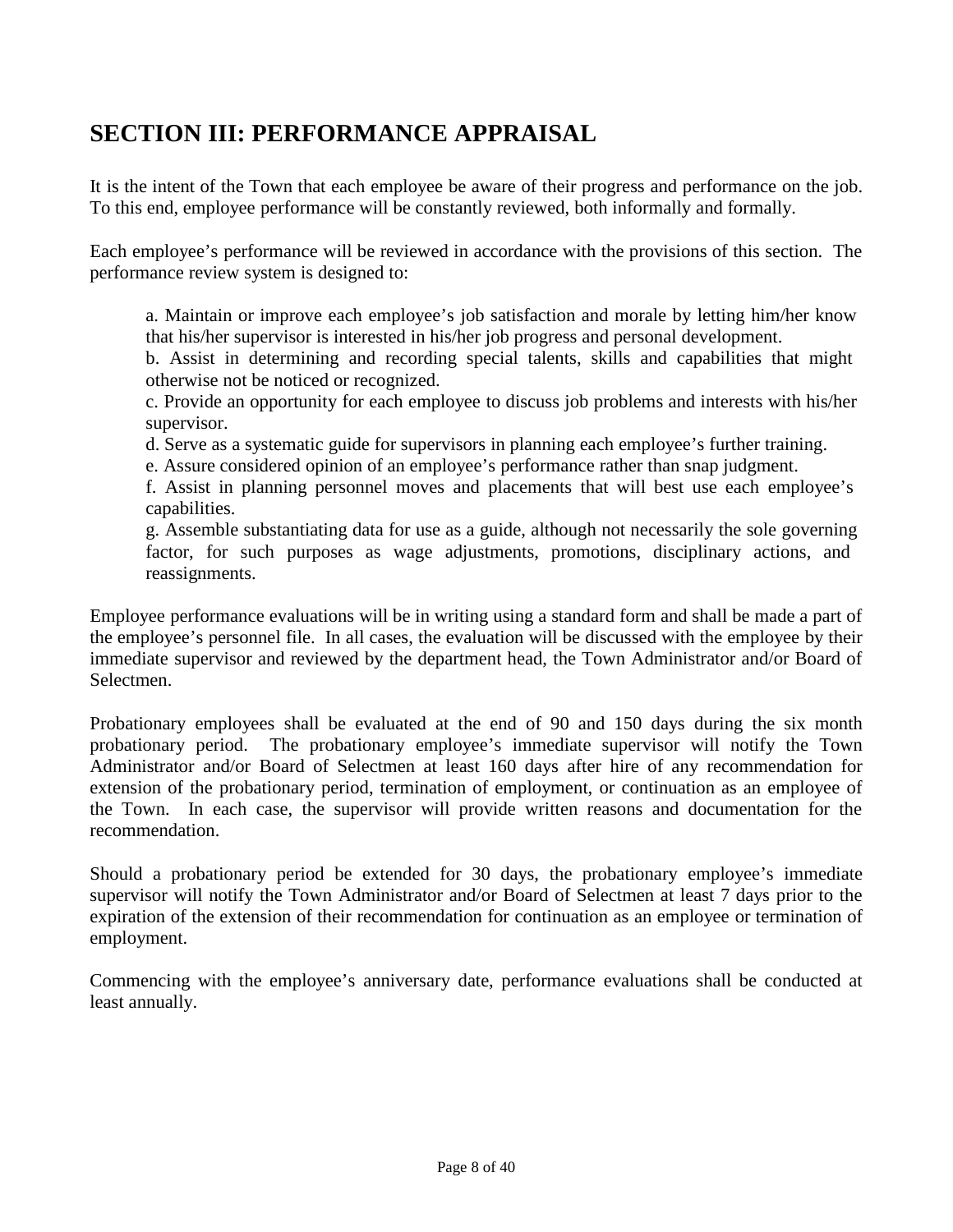## **SECTION III: PERFORMANCE APPRAISAL**

It is the intent of the Town that each employee be aware of their progress and performance on the job. To this end, employee performance will be constantly reviewed, both informally and formally.

Each employee's performance will be reviewed in accordance with the provisions of this section. The performance review system is designed to:

a. Maintain or improve each employee's job satisfaction and morale by letting him/her know that his/her supervisor is interested in his/her job progress and personal development.

b. Assist in determining and recording special talents, skills and capabilities that might otherwise not be noticed or recognized.

c. Provide an opportunity for each employee to discuss job problems and interests with his/her supervisor.

d. Serve as a systematic guide for supervisors in planning each employee's further training.

e. Assure considered opinion of an employee's performance rather than snap judgment.

f. Assist in planning personnel moves and placements that will best use each employee's capabilities.

g. Assemble substantiating data for use as a guide, although not necessarily the sole governing factor, for such purposes as wage adjustments, promotions, disciplinary actions, and reassignments.

Employee performance evaluations will be in writing using a standard form and shall be made a part of the employee's personnel file. In all cases, the evaluation will be discussed with the employee by their immediate supervisor and reviewed by the department head, the Town Administrator and/or Board of Selectmen.

Probationary employees shall be evaluated at the end of 90 and 150 days during the six month probationary period. The probationary employee's immediate supervisor will notify the Town Administrator and/or Board of Selectmen at least 160 days after hire of any recommendation for extension of the probationary period, termination of employment, or continuation as an employee of the Town. In each case, the supervisor will provide written reasons and documentation for the recommendation.

Should a probationary period be extended for 30 days, the probationary employee's immediate supervisor will notify the Town Administrator and/or Board of Selectmen at least 7 days prior to the expiration of the extension of their recommendation for continuation as an employee or termination of employment.

Commencing with the employee's anniversary date, performance evaluations shall be conducted at least annually.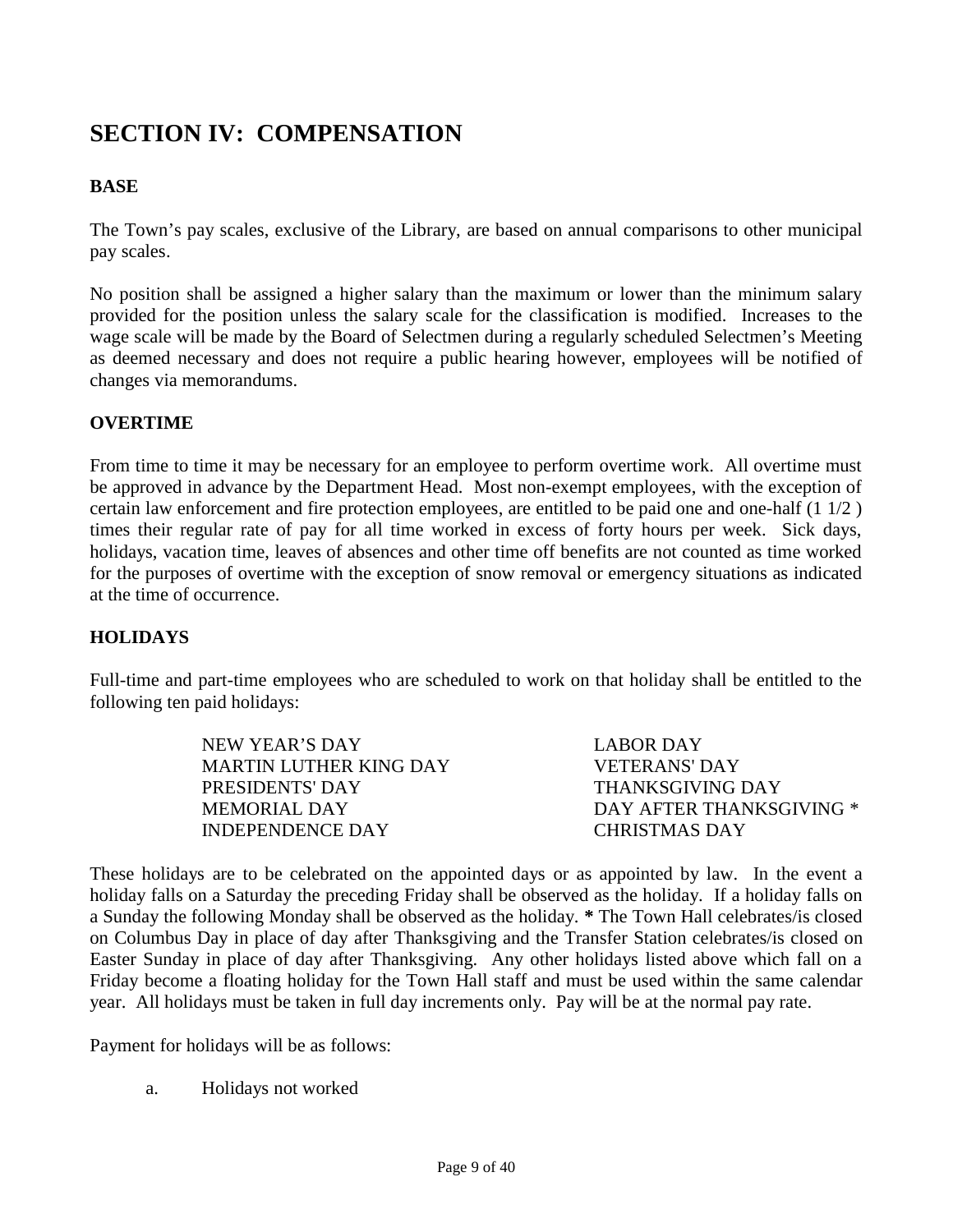## **SECTION IV: COMPENSATION**

## **BASE**

The Town's pay scales, exclusive of the Library, are based on annual comparisons to other municipal pay scales.

No position shall be assigned a higher salary than the maximum or lower than the minimum salary provided for the position unless the salary scale for the classification is modified. Increases to the wage scale will be made by the Board of Selectmen during a regularly scheduled Selectmen's Meeting as deemed necessary and does not require a public hearing however, employees will be notified of changes via memorandums.

#### **OVERTIME**

From time to time it may be necessary for an employee to perform overtime work. All overtime must be approved in advance by the Department Head. Most non-exempt employees, with the exception of certain law enforcement and fire protection employees, are entitled to be paid one and one-half (1 1/2 ) times their regular rate of pay for all time worked in excess of forty hours per week. Sick days, holidays, vacation time, leaves of absences and other time off benefits are not counted as time worked for the purposes of overtime with the exception of snow removal or emergency situations as indicated at the time of occurrence.

## **HOLIDAYS**

Full-time and part-time employees who are scheduled to work on that holiday shall be entitled to the following ten paid holidays:

| NEW YEAR'S DAY         | LABOR DAY                |
|------------------------|--------------------------|
| MARTIN LUTHER KING DAY | VETERANS' DAY            |
| <b>PRESIDENTS' DAY</b> | THANKSGIVING DAY         |
| MEMORIAL DAY           | DAY AFTER THANKSGIVING * |
| INDEPENDENCE DAY       | CHRISTMAS DAY            |

These holidays are to be celebrated on the appointed days or as appointed by law. In the event a holiday falls on a Saturday the preceding Friday shall be observed as the holiday. If a holiday falls on a Sunday the following Monday shall be observed as the holiday. **\*** The Town Hall celebrates/is closed on Columbus Day in place of day after Thanksgiving and the Transfer Station celebrates/is closed on Easter Sunday in place of day after Thanksgiving. Any other holidays listed above which fall on a Friday become a floating holiday for the Town Hall staff and must be used within the same calendar year. All holidays must be taken in full day increments only. Pay will be at the normal pay rate.

Payment for holidays will be as follows:

a. Holidays not worked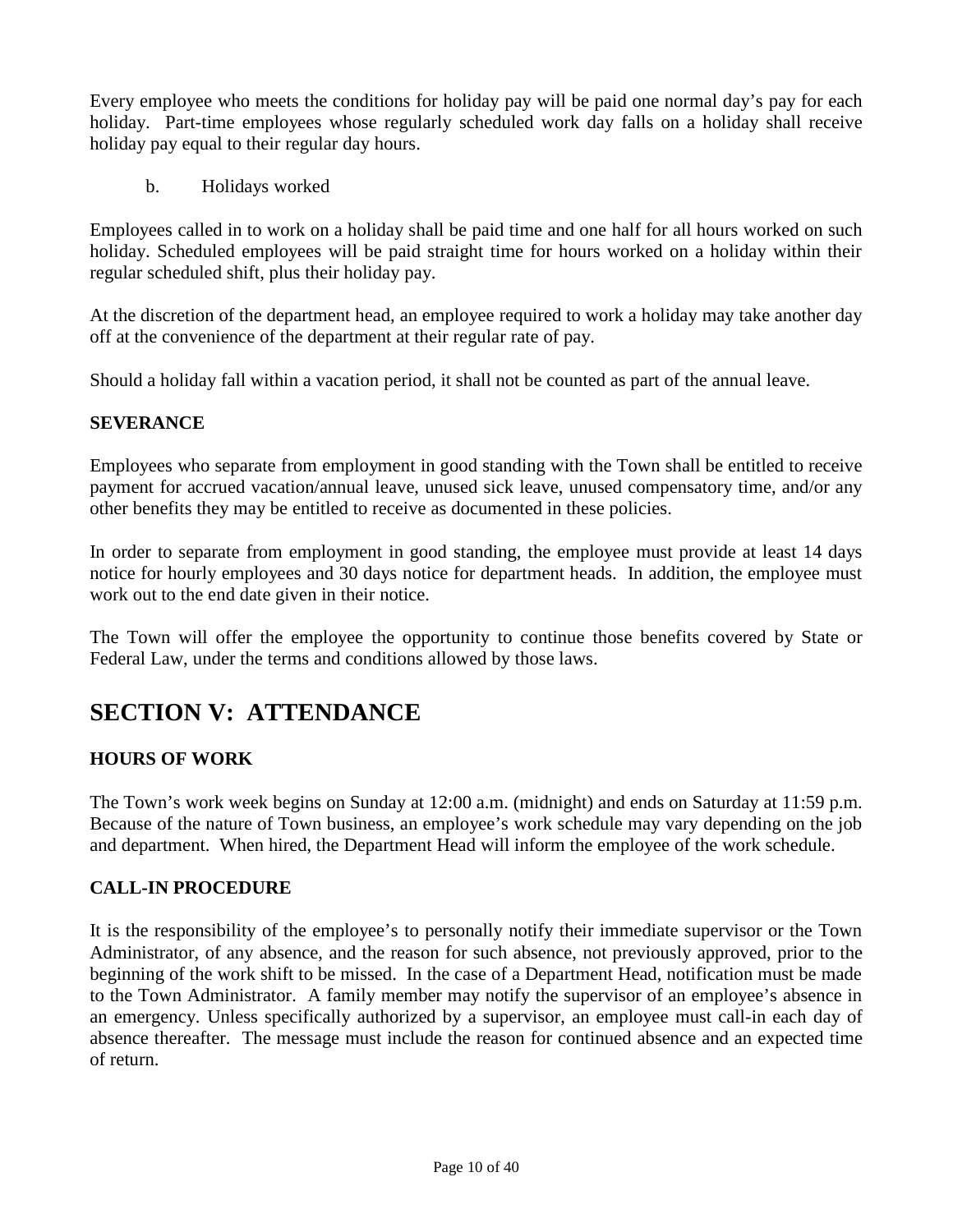Every employee who meets the conditions for holiday pay will be paid one normal day's pay for each holiday. Part-time employees whose regularly scheduled work day falls on a holiday shall receive holiday pay equal to their regular day hours.

b. Holidays worked

Employees called in to work on a holiday shall be paid time and one half for all hours worked on such holiday. Scheduled employees will be paid straight time for hours worked on a holiday within their regular scheduled shift, plus their holiday pay.

At the discretion of the department head, an employee required to work a holiday may take another day off at the convenience of the department at their regular rate of pay.

Should a holiday fall within a vacation period, it shall not be counted as part of the annual leave.

## **SEVERANCE**

Employees who separate from employment in good standing with the Town shall be entitled to receive payment for accrued vacation/annual leave, unused sick leave, unused compensatory time, and/or any other benefits they may be entitled to receive as documented in these policies.

In order to separate from employment in good standing, the employee must provide at least 14 days notice for hourly employees and 30 days notice for department heads. In addition, the employee must work out to the end date given in their notice.

The Town will offer the employee the opportunity to continue those benefits covered by State or Federal Law, under the terms and conditions allowed by those laws.

## **SECTION V: ATTENDANCE**

## **HOURS OF WORK**

The Town's work week begins on Sunday at 12:00 a.m. (midnight) and ends on Saturday at 11:59 p.m. Because of the nature of Town business, an employee's work schedule may vary depending on the job and department. When hired, the Department Head will inform the employee of the work schedule.

## **CALL-IN PROCEDURE**

It is the responsibility of the employee's to personally notify their immediate supervisor or the Town Administrator, of any absence, and the reason for such absence, not previously approved, prior to the beginning of the work shift to be missed. In the case of a Department Head, notification must be made to the Town Administrator. A family member may notify the supervisor of an employee's absence in an emergency. Unless specifically authorized by a supervisor, an employee must call-in each day of absence thereafter. The message must include the reason for continued absence and an expected time of return.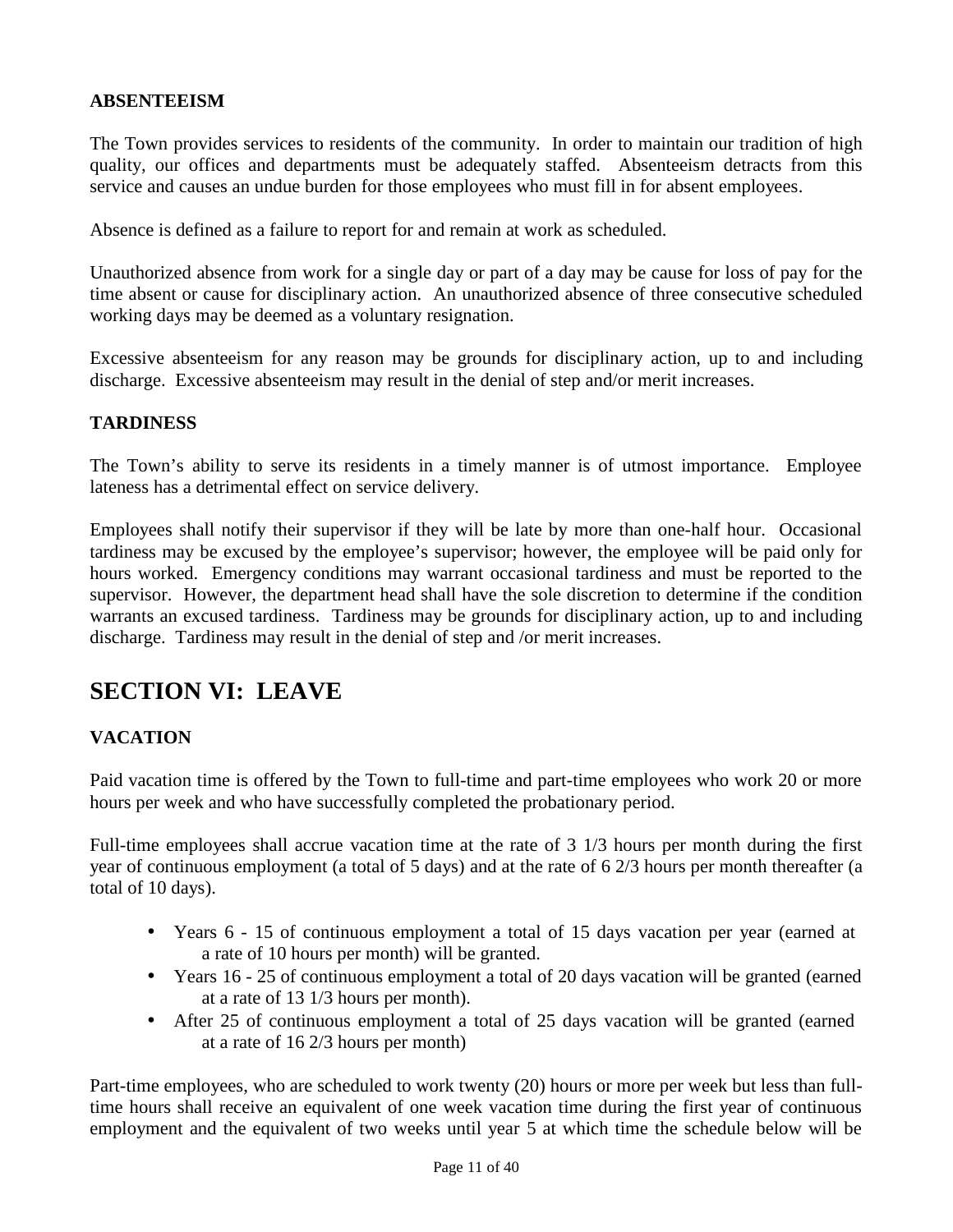#### **ABSENTEEISM**

The Town provides services to residents of the community. In order to maintain our tradition of high quality, our offices and departments must be adequately staffed. Absenteeism detracts from this service and causes an undue burden for those employees who must fill in for absent employees.

Absence is defined as a failure to report for and remain at work as scheduled.

Unauthorized absence from work for a single day or part of a day may be cause for loss of pay for the time absent or cause for disciplinary action. An unauthorized absence of three consecutive scheduled working days may be deemed as a voluntary resignation.

Excessive absenteeism for any reason may be grounds for disciplinary action, up to and including discharge. Excessive absenteeism may result in the denial of step and/or merit increases.

#### **TARDINESS**

The Town's ability to serve its residents in a timely manner is of utmost importance. Employee lateness has a detrimental effect on service delivery.

Employees shall notify their supervisor if they will be late by more than one-half hour. Occasional tardiness may be excused by the employee's supervisor; however, the employee will be paid only for hours worked. Emergency conditions may warrant occasional tardiness and must be reported to the supervisor. However, the department head shall have the sole discretion to determine if the condition warrants an excused tardiness. Tardiness may be grounds for disciplinary action, up to and including discharge. Tardiness may result in the denial of step and /or merit increases.

## **SECTION VI: LEAVE**

## **VACATION**

Paid vacation time is offered by the Town to full-time and part-time employees who work 20 or more hours per week and who have successfully completed the probationary period.

Full-time employees shall accrue vacation time at the rate of 3 1/3 hours per month during the first year of continuous employment (a total of 5 days) and at the rate of 6 2/3 hours per month thereafter (a total of 10 days).

- Years 6 15 of continuous employment a total of 15 days vacation per year (earned at a rate of 10 hours per month) will be granted.
- Years 16 25 of continuous employment a total of 20 days vacation will be granted (earned at a rate of 13 1/3 hours per month).
- After 25 of continuous employment a total of 25 days vacation will be granted (earned at a rate of 16 2/3 hours per month)

Part-time employees, who are scheduled to work twenty (20) hours or more per week but less than fulltime hours shall receive an equivalent of one week vacation time during the first year of continuous employment and the equivalent of two weeks until year 5 at which time the schedule below will be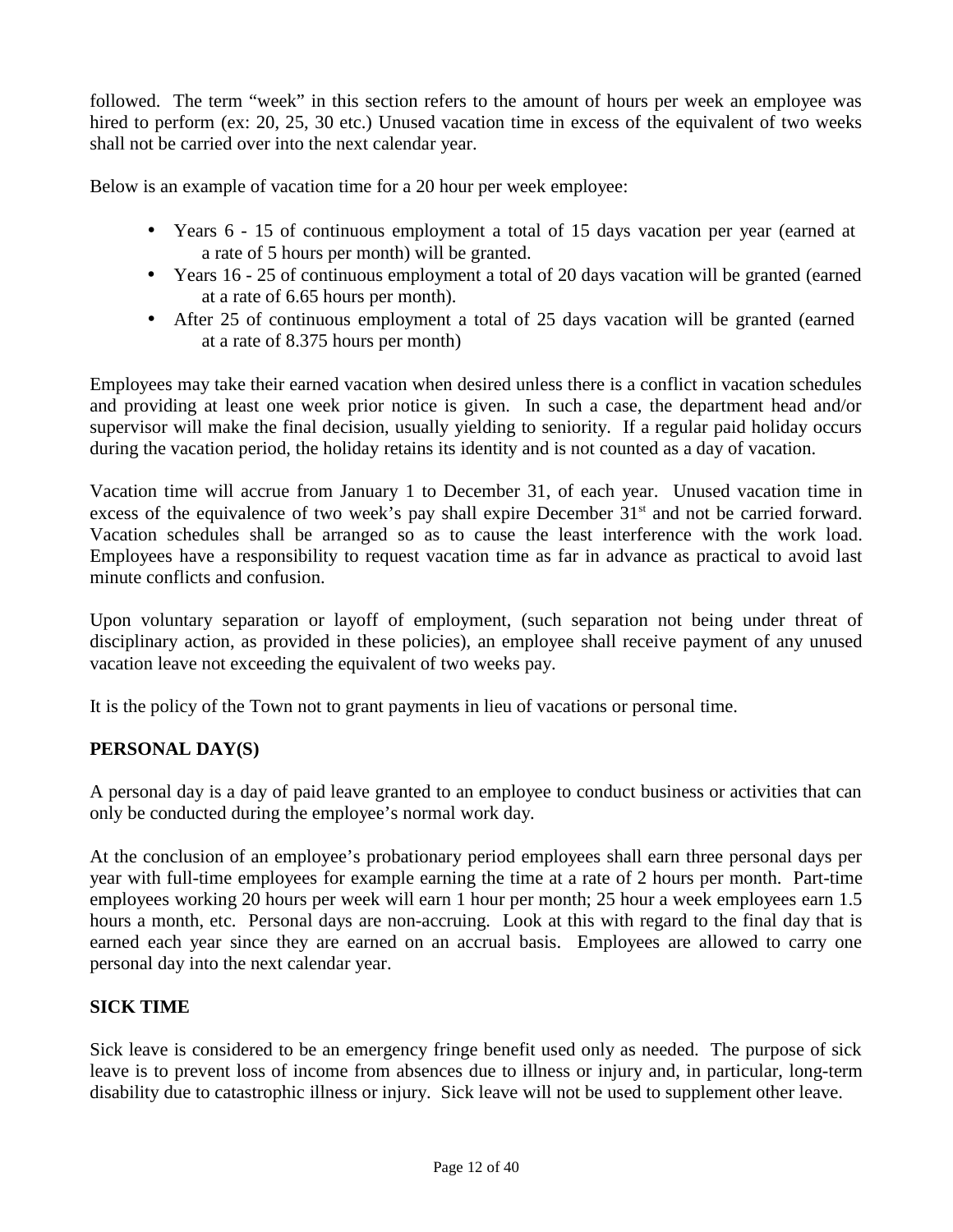followed. The term "week" in this section refers to the amount of hours per week an employee was hired to perform (ex: 20, 25, 30 etc.) Unused vacation time in excess of the equivalent of two weeks shall not be carried over into the next calendar year.

Below is an example of vacation time for a 20 hour per week employee:

- Years 6 15 of continuous employment a total of 15 days vacation per year (earned at a rate of 5 hours per month) will be granted.
- Years 16 25 of continuous employment a total of 20 days vacation will be granted (earned at a rate of 6.65 hours per month).
- After 25 of continuous employment a total of 25 days vacation will be granted (earned at a rate of 8.375 hours per month)

Employees may take their earned vacation when desired unless there is a conflict in vacation schedules and providing at least one week prior notice is given. In such a case, the department head and/or supervisor will make the final decision, usually yielding to seniority. If a regular paid holiday occurs during the vacation period, the holiday retains its identity and is not counted as a day of vacation.

Vacation time will accrue from January 1 to December 31, of each year. Unused vacation time in excess of the equivalence of two week's pay shall expire December 31<sup>st</sup> and not be carried forward. Vacation schedules shall be arranged so as to cause the least interference with the work load. Employees have a responsibility to request vacation time as far in advance as practical to avoid last minute conflicts and confusion.

Upon voluntary separation or layoff of employment, (such separation not being under threat of disciplinary action, as provided in these policies), an employee shall receive payment of any unused vacation leave not exceeding the equivalent of two weeks pay.

It is the policy of the Town not to grant payments in lieu of vacations or personal time.

## **PERSONAL DAY(S)**

A personal day is a day of paid leave granted to an employee to conduct business or activities that can only be conducted during the employee's normal work day.

At the conclusion of an employee's probationary period employees shall earn three personal days per year with full-time employees for example earning the time at a rate of 2 hours per month. Part-time employees working 20 hours per week will earn 1 hour per month; 25 hour a week employees earn 1.5 hours a month, etc. Personal days are non-accruing. Look at this with regard to the final day that is earned each year since they are earned on an accrual basis. Employees are allowed to carry one personal day into the next calendar year.

## **SICK TIME**

Sick leave is considered to be an emergency fringe benefit used only as needed. The purpose of sick leave is to prevent loss of income from absences due to illness or injury and, in particular, long-term disability due to catastrophic illness or injury. Sick leave will not be used to supplement other leave.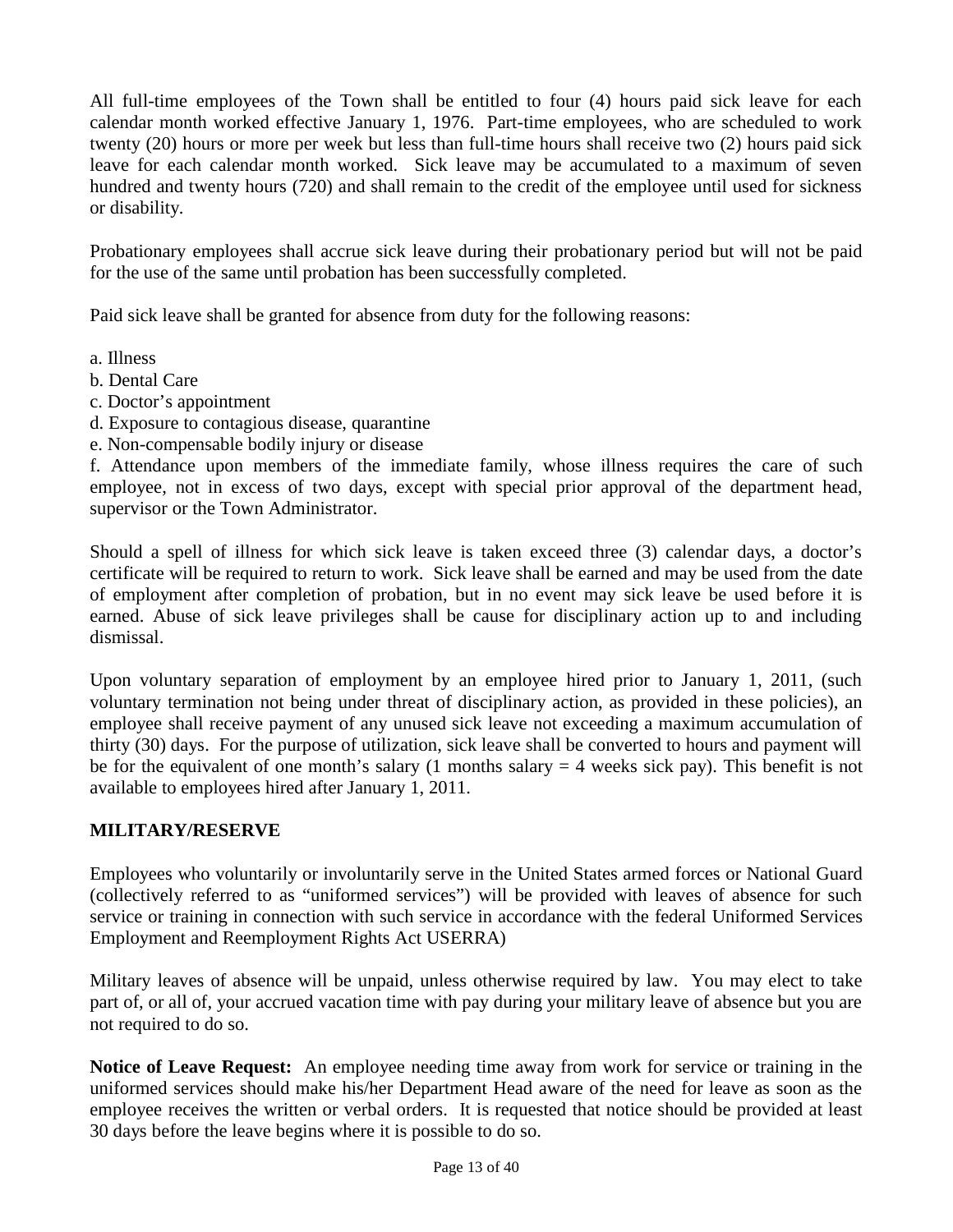All full-time employees of the Town shall be entitled to four (4) hours paid sick leave for each calendar month worked effective January 1, 1976. Part-time employees, who are scheduled to work twenty (20) hours or more per week but less than full-time hours shall receive two (2) hours paid sick leave for each calendar month worked. Sick leave may be accumulated to a maximum of seven hundred and twenty hours (720) and shall remain to the credit of the employee until used for sickness or disability.

Probationary employees shall accrue sick leave during their probationary period but will not be paid for the use of the same until probation has been successfully completed.

Paid sick leave shall be granted for absence from duty for the following reasons:

- a. Illness
- b. Dental Care
- c. Doctor's appointment
- d. Exposure to contagious disease, quarantine
- e. Non-compensable bodily injury or disease

f. Attendance upon members of the immediate family, whose illness requires the care of such employee, not in excess of two days, except with special prior approval of the department head, supervisor or the Town Administrator.

Should a spell of illness for which sick leave is taken exceed three (3) calendar days, a doctor's certificate will be required to return to work. Sick leave shall be earned and may be used from the date of employment after completion of probation, but in no event may sick leave be used before it is earned. Abuse of sick leave privileges shall be cause for disciplinary action up to and including dismissal.

Upon voluntary separation of employment by an employee hired prior to January 1, 2011, (such voluntary termination not being under threat of disciplinary action, as provided in these policies), an employee shall receive payment of any unused sick leave not exceeding a maximum accumulation of thirty (30) days. For the purpose of utilization, sick leave shall be converted to hours and payment will be for the equivalent of one month's salary (1 months salary  $=$  4 weeks sick pay). This benefit is not available to employees hired after January 1, 2011.

## **MILITARY/RESERVE**

Employees who voluntarily or involuntarily serve in the United States armed forces or National Guard (collectively referred to as "uniformed services") will be provided with leaves of absence for such service or training in connection with such service in accordance with the federal Uniformed Services Employment and Reemployment Rights Act USERRA)

Military leaves of absence will be unpaid, unless otherwise required by law. You may elect to take part of, or all of, your accrued vacation time with pay during your military leave of absence but you are not required to do so.

**Notice of Leave Request:** An employee needing time away from work for service or training in the uniformed services should make his/her Department Head aware of the need for leave as soon as the employee receives the written or verbal orders. It is requested that notice should be provided at least 30 days before the leave begins where it is possible to do so.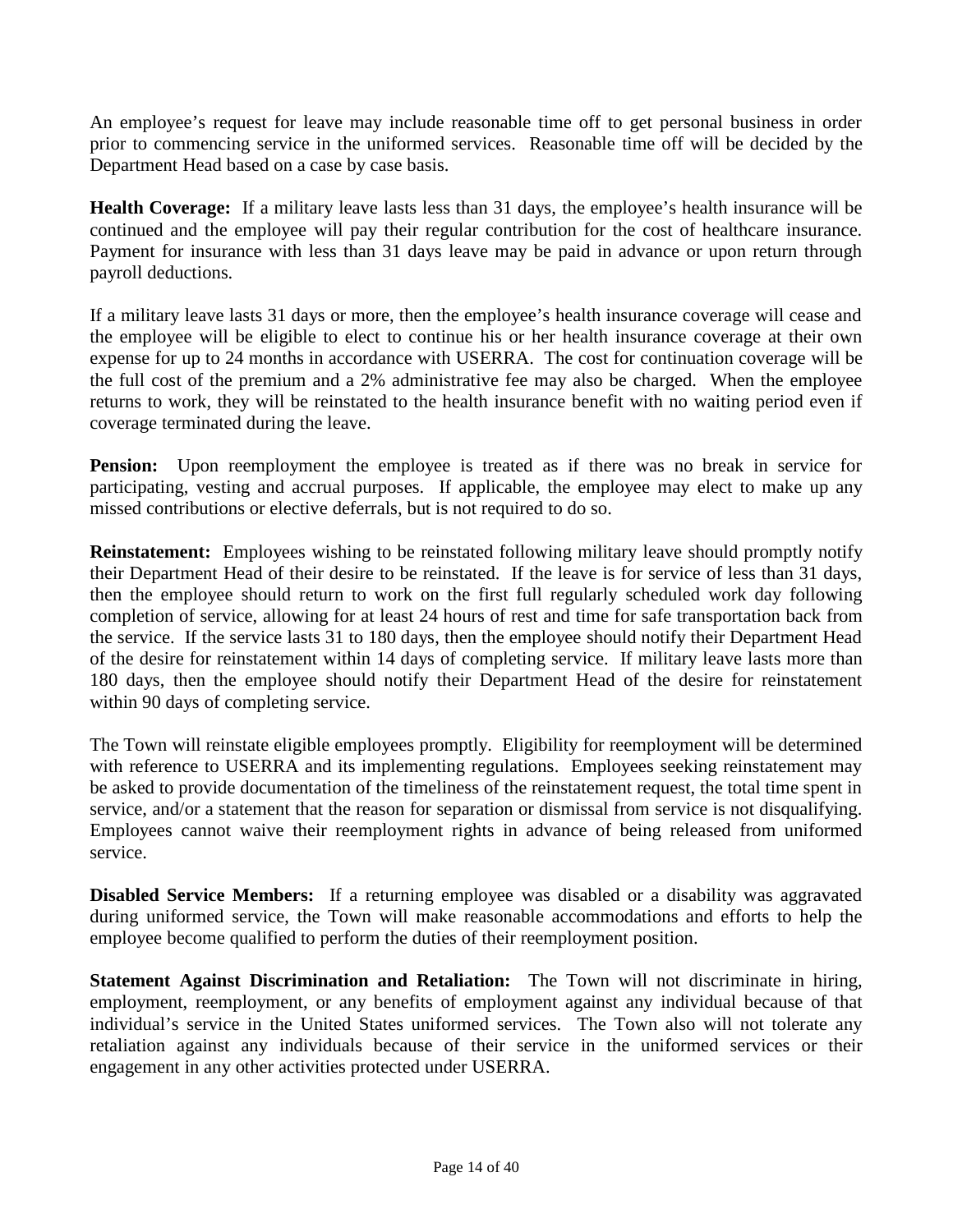An employee's request for leave may include reasonable time off to get personal business in order prior to commencing service in the uniformed services. Reasonable time off will be decided by the Department Head based on a case by case basis.

**Health Coverage:** If a military leave lasts less than 31 days, the employee's health insurance will be continued and the employee will pay their regular contribution for the cost of healthcare insurance. Payment for insurance with less than 31 days leave may be paid in advance or upon return through payroll deductions.

If a military leave lasts 31 days or more, then the employee's health insurance coverage will cease and the employee will be eligible to elect to continue his or her health insurance coverage at their own expense for up to 24 months in accordance with USERRA. The cost for continuation coverage will be the full cost of the premium and a 2% administrative fee may also be charged. When the employee returns to work, they will be reinstated to the health insurance benefit with no waiting period even if coverage terminated during the leave.

**Pension:** Upon reemployment the employee is treated as if there was no break in service for participating, vesting and accrual purposes. If applicable, the employee may elect to make up any missed contributions or elective deferrals, but is not required to do so.

**Reinstatement:** Employees wishing to be reinstated following military leave should promptly notify their Department Head of their desire to be reinstated. If the leave is for service of less than 31 days, then the employee should return to work on the first full regularly scheduled work day following completion of service, allowing for at least 24 hours of rest and time for safe transportation back from the service. If the service lasts 31 to 180 days, then the employee should notify their Department Head of the desire for reinstatement within 14 days of completing service. If military leave lasts more than 180 days, then the employee should notify their Department Head of the desire for reinstatement within 90 days of completing service.

The Town will reinstate eligible employees promptly. Eligibility for reemployment will be determined with reference to USERRA and its implementing regulations. Employees seeking reinstatement may be asked to provide documentation of the timeliness of the reinstatement request, the total time spent in service, and/or a statement that the reason for separation or dismissal from service is not disqualifying. Employees cannot waive their reemployment rights in advance of being released from uniformed service.

**Disabled Service Members:** If a returning employee was disabled or a disability was aggravated during uniformed service, the Town will make reasonable accommodations and efforts to help the employee become qualified to perform the duties of their reemployment position.

**Statement Against Discrimination and Retaliation:** The Town will not discriminate in hiring, employment, reemployment, or any benefits of employment against any individual because of that individual's service in the United States uniformed services. The Town also will not tolerate any retaliation against any individuals because of their service in the uniformed services or their engagement in any other activities protected under USERRA.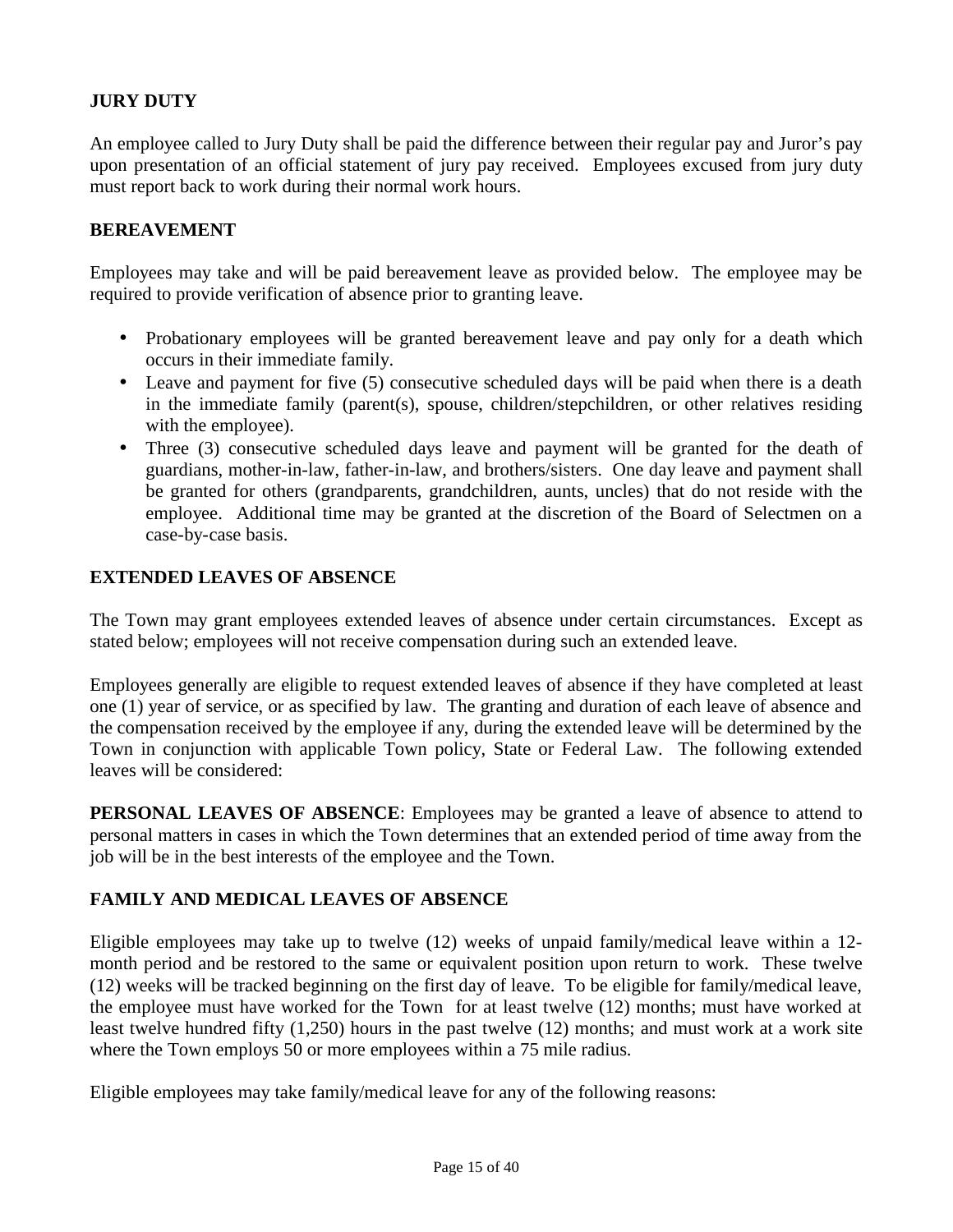## **JURY DUTY**

An employee called to Jury Duty shall be paid the difference between their regular pay and Juror's pay upon presentation of an official statement of jury pay received. Employees excused from jury duty must report back to work during their normal work hours.

#### **BEREAVEMENT**

Employees may take and will be paid bereavement leave as provided below. The employee may be required to provide verification of absence prior to granting leave.

- Probationary employees will be granted bereavement leave and pay only for a death which occurs in their immediate family.
- Leave and payment for five (5) consecutive scheduled days will be paid when there is a death in the immediate family (parent(s), spouse, children/stepchildren, or other relatives residing with the employee).
- Three (3) consecutive scheduled days leave and payment will be granted for the death of guardians, mother-in-law, father-in-law, and brothers/sisters. One day leave and payment shall be granted for others (grandparents, grandchildren, aunts, uncles) that do not reside with the employee. Additional time may be granted at the discretion of the Board of Selectmen on a case-by-case basis.

#### **EXTENDED LEAVES OF ABSENCE**

The Town may grant employees extended leaves of absence under certain circumstances. Except as stated below; employees will not receive compensation during such an extended leave.

Employees generally are eligible to request extended leaves of absence if they have completed at least one (1) year of service, or as specified by law. The granting and duration of each leave of absence and the compensation received by the employee if any, during the extended leave will be determined by the Town in conjunction with applicable Town policy, State or Federal Law. The following extended leaves will be considered:

**PERSONAL LEAVES OF ABSENCE:** Employees may be granted a leave of absence to attend to personal matters in cases in which the Town determines that an extended period of time away from the job will be in the best interests of the employee and the Town.

## **FAMILY AND MEDICAL LEAVES OF ABSENCE**

Eligible employees may take up to twelve (12) weeks of unpaid family/medical leave within a 12 month period and be restored to the same or equivalent position upon return to work. These twelve (12) weeks will be tracked beginning on the first day of leave. To be eligible for family/medical leave, the employee must have worked for the Town for at least twelve (12) months; must have worked at least twelve hundred fifty (1,250) hours in the past twelve (12) months; and must work at a work site where the Town employs 50 or more employees within a 75 mile radius.

Eligible employees may take family/medical leave for any of the following reasons: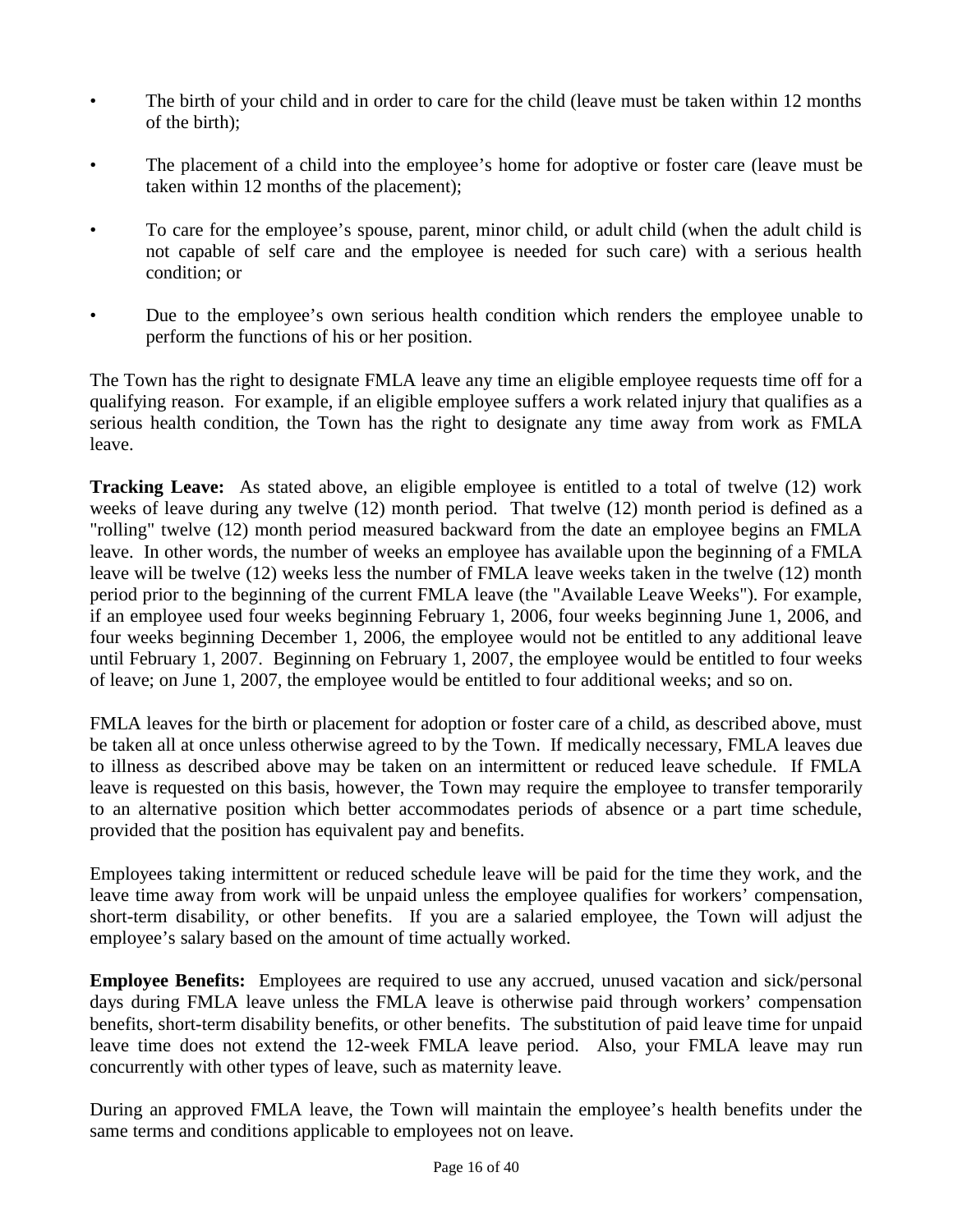- The birth of your child and in order to care for the child (leave must be taken within 12 months of the birth);
- The placement of a child into the employee's home for adoptive or foster care (leave must be taken within 12 months of the placement);
- To care for the employee's spouse, parent, minor child, or adult child (when the adult child is not capable of self care and the employee is needed for such care) with a serious health condition; or
- Due to the employee's own serious health condition which renders the employee unable to perform the functions of his or her position.

The Town has the right to designate FMLA leave any time an eligible employee requests time off for a qualifying reason. For example, if an eligible employee suffers a work related injury that qualifies as a serious health condition, the Town has the right to designate any time away from work as FMLA leave.

**Tracking Leave:** As stated above, an eligible employee is entitled to a total of twelve (12) work weeks of leave during any twelve (12) month period. That twelve (12) month period is defined as a "rolling" twelve (12) month period measured backward from the date an employee begins an FMLA leave. In other words, the number of weeks an employee has available upon the beginning of a FMLA leave will be twelve (12) weeks less the number of FMLA leave weeks taken in the twelve (12) month period prior to the beginning of the current FMLA leave (the "Available Leave Weeks"). For example, if an employee used four weeks beginning February 1, 2006, four weeks beginning June 1, 2006, and four weeks beginning December 1, 2006, the employee would not be entitled to any additional leave until February 1, 2007. Beginning on February 1, 2007, the employee would be entitled to four weeks of leave; on June 1, 2007, the employee would be entitled to four additional weeks; and so on.

FMLA leaves for the birth or placement for adoption or foster care of a child, as described above, must be taken all at once unless otherwise agreed to by the Town. If medically necessary, FMLA leaves due to illness as described above may be taken on an intermittent or reduced leave schedule. If FMLA leave is requested on this basis, however, the Town may require the employee to transfer temporarily to an alternative position which better accommodates periods of absence or a part time schedule, provided that the position has equivalent pay and benefits.

Employees taking intermittent or reduced schedule leave will be paid for the time they work, and the leave time away from work will be unpaid unless the employee qualifies for workers' compensation, short-term disability, or other benefits. If you are a salaried employee, the Town will adjust the employee's salary based on the amount of time actually worked.

**Employee Benefits:** Employees are required to use any accrued, unused vacation and sick/personal days during FMLA leave unless the FMLA leave is otherwise paid through workers' compensation benefits, short-term disability benefits, or other benefits. The substitution of paid leave time for unpaid leave time does not extend the 12-week FMLA leave period. Also, your FMLA leave may run concurrently with other types of leave, such as maternity leave.

During an approved FMLA leave, the Town will maintain the employee's health benefits under the same terms and conditions applicable to employees not on leave.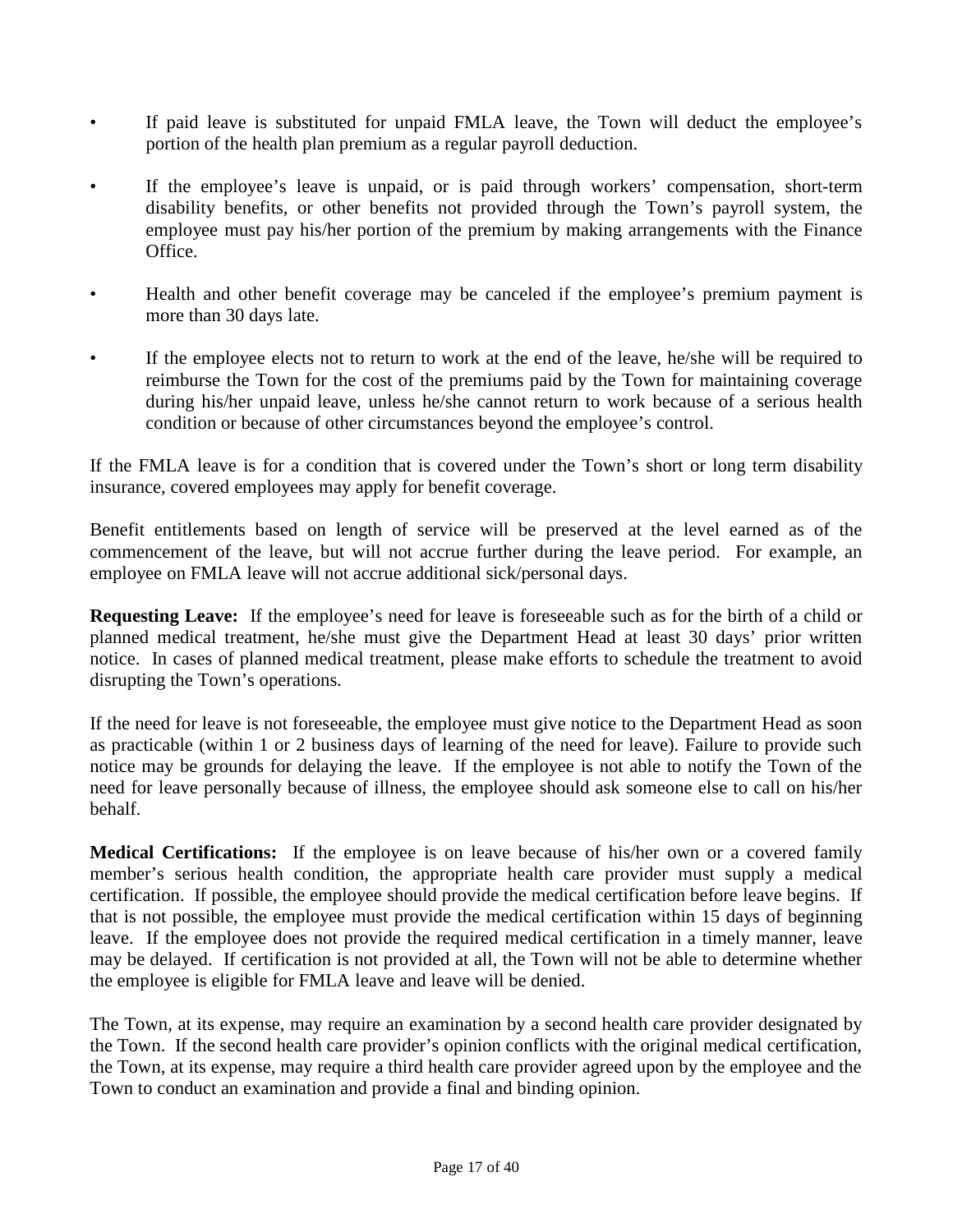- If paid leave is substituted for unpaid FMLA leave, the Town will deduct the employee's portion of the health plan premium as a regular payroll deduction.
- If the employee's leave is unpaid, or is paid through workers' compensation, short-term disability benefits, or other benefits not provided through the Town's payroll system, the employee must pay his/her portion of the premium by making arrangements with the Finance Office.
- Health and other benefit coverage may be canceled if the employee's premium payment is more than 30 days late.
- If the employee elects not to return to work at the end of the leave, he/she will be required to reimburse the Town for the cost of the premiums paid by the Town for maintaining coverage during his/her unpaid leave, unless he/she cannot return to work because of a serious health condition or because of other circumstances beyond the employee's control.

If the FMLA leave is for a condition that is covered under the Town's short or long term disability insurance, covered employees may apply for benefit coverage.

Benefit entitlements based on length of service will be preserved at the level earned as of the commencement of the leave, but will not accrue further during the leave period. For example, an employee on FMLA leave will not accrue additional sick/personal days.

**Requesting Leave:** If the employee's need for leave is foreseeable such as for the birth of a child or planned medical treatment, he/she must give the Department Head at least 30 days' prior written notice. In cases of planned medical treatment, please make efforts to schedule the treatment to avoid disrupting the Town's operations.

If the need for leave is not foreseeable, the employee must give notice to the Department Head as soon as practicable (within 1 or 2 business days of learning of the need for leave). Failure to provide such notice may be grounds for delaying the leave. If the employee is not able to notify the Town of the need for leave personally because of illness, the employee should ask someone else to call on his/her behalf.

**Medical Certifications:** If the employee is on leave because of his/her own or a covered family member's serious health condition, the appropriate health care provider must supply a medical certification. If possible, the employee should provide the medical certification before leave begins. If that is not possible, the employee must provide the medical certification within 15 days of beginning leave. If the employee does not provide the required medical certification in a timely manner, leave may be delayed. If certification is not provided at all, the Town will not be able to determine whether the employee is eligible for FMLA leave and leave will be denied.

The Town, at its expense, may require an examination by a second health care provider designated by the Town. If the second health care provider's opinion conflicts with the original medical certification, the Town, at its expense, may require a third health care provider agreed upon by the employee and the Town to conduct an examination and provide a final and binding opinion.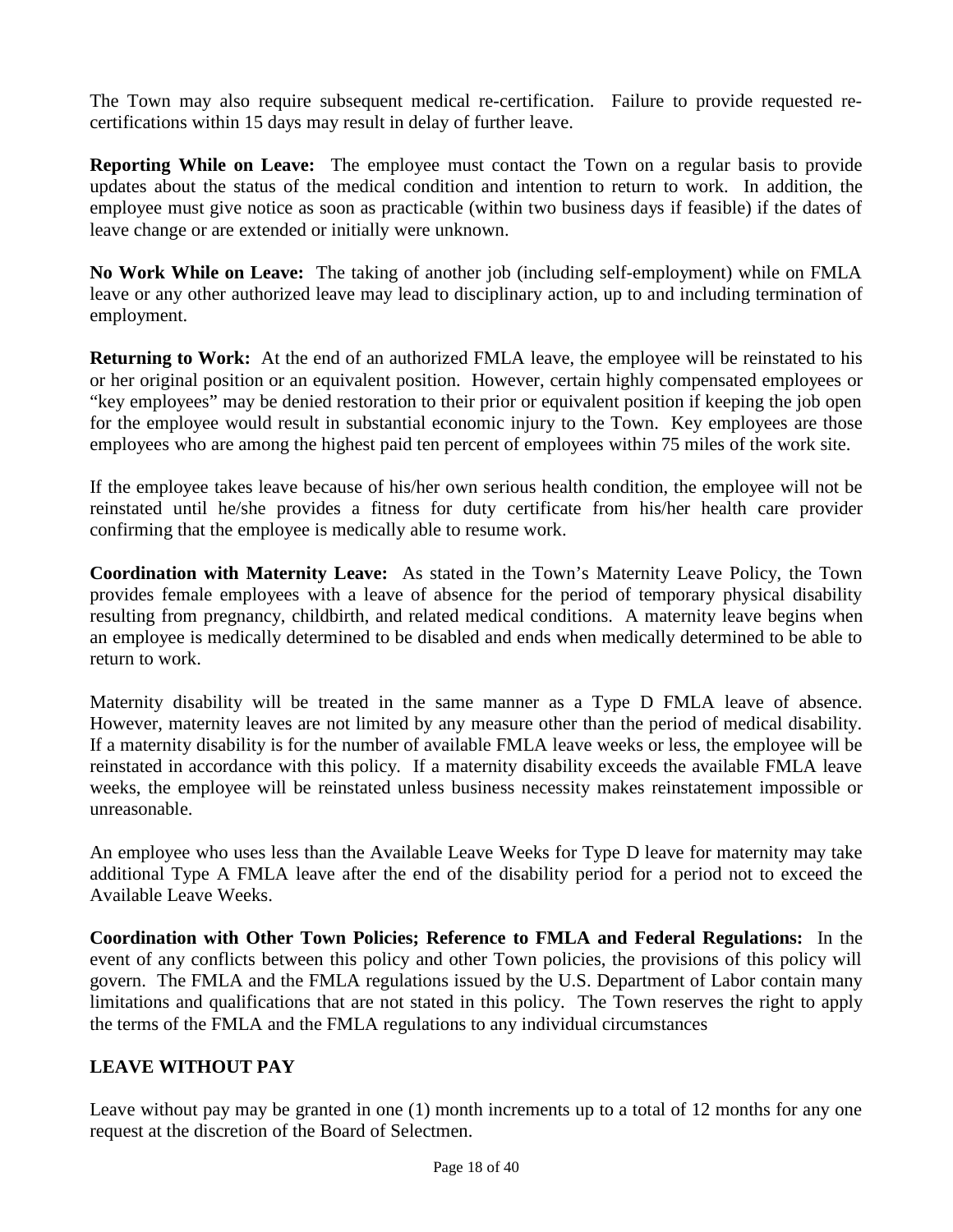The Town may also require subsequent medical re-certification. Failure to provide requested recertifications within 15 days may result in delay of further leave.

**Reporting While on Leave:** The employee must contact the Town on a regular basis to provide updates about the status of the medical condition and intention to return to work. In addition, the employee must give notice as soon as practicable (within two business days if feasible) if the dates of leave change or are extended or initially were unknown.

**No Work While on Leave:** The taking of another job (including self-employment) while on FMLA leave or any other authorized leave may lead to disciplinary action, up to and including termination of employment.

**Returning to Work:** At the end of an authorized FMLA leave, the employee will be reinstated to his or her original position or an equivalent position. However, certain highly compensated employees or "key employees" may be denied restoration to their prior or equivalent position if keeping the job open for the employee would result in substantial economic injury to the Town. Key employees are those employees who are among the highest paid ten percent of employees within 75 miles of the work site.

If the employee takes leave because of his/her own serious health condition, the employee will not be reinstated until he/she provides a fitness for duty certificate from his/her health care provider confirming that the employee is medically able to resume work.

**Coordination with Maternity Leave:** As stated in the Town's Maternity Leave Policy, the Town provides female employees with a leave of absence for the period of temporary physical disability resulting from pregnancy, childbirth, and related medical conditions. A maternity leave begins when an employee is medically determined to be disabled and ends when medically determined to be able to return to work.

Maternity disability will be treated in the same manner as a Type D FMLA leave of absence. However, maternity leaves are not limited by any measure other than the period of medical disability. If a maternity disability is for the number of available FMLA leave weeks or less, the employee will be reinstated in accordance with this policy. If a maternity disability exceeds the available FMLA leave weeks, the employee will be reinstated unless business necessity makes reinstatement impossible or unreasonable.

An employee who uses less than the Available Leave Weeks for Type D leave for maternity may take additional Type A FMLA leave after the end of the disability period for a period not to exceed the Available Leave Weeks.

**Coordination with Other Town Policies; Reference to FMLA and Federal Regulations:** In the event of any conflicts between this policy and other Town policies, the provisions of this policy will govern. The FMLA and the FMLA regulations issued by the U.S. Department of Labor contain many limitations and qualifications that are not stated in this policy. The Town reserves the right to apply the terms of the FMLA and the FMLA regulations to any individual circumstances

## **LEAVE WITHOUT PAY**

Leave without pay may be granted in one (1) month increments up to a total of 12 months for any one request at the discretion of the Board of Selectmen.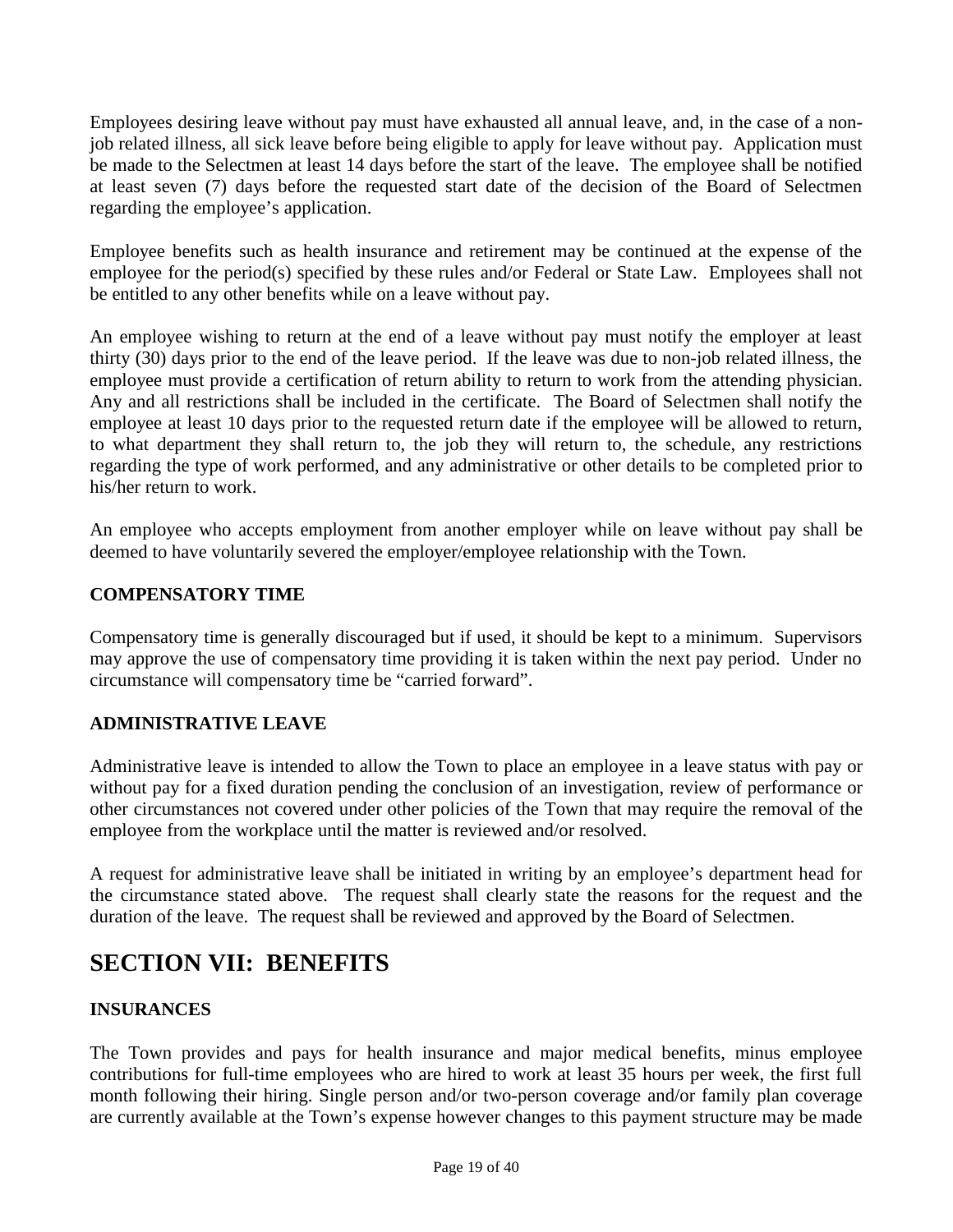Employees desiring leave without pay must have exhausted all annual leave, and, in the case of a nonjob related illness, all sick leave before being eligible to apply for leave without pay. Application must be made to the Selectmen at least 14 days before the start of the leave. The employee shall be notified at least seven (7) days before the requested start date of the decision of the Board of Selectmen regarding the employee's application.

Employee benefits such as health insurance and retirement may be continued at the expense of the employee for the period(s) specified by these rules and/or Federal or State Law. Employees shall not be entitled to any other benefits while on a leave without pay.

An employee wishing to return at the end of a leave without pay must notify the employer at least thirty (30) days prior to the end of the leave period. If the leave was due to non-job related illness, the employee must provide a certification of return ability to return to work from the attending physician. Any and all restrictions shall be included in the certificate. The Board of Selectmen shall notify the employee at least 10 days prior to the requested return date if the employee will be allowed to return, to what department they shall return to, the job they will return to, the schedule, any restrictions regarding the type of work performed, and any administrative or other details to be completed prior to his/her return to work.

An employee who accepts employment from another employer while on leave without pay shall be deemed to have voluntarily severed the employer/employee relationship with the Town.

## **COMPENSATORY TIME**

Compensatory time is generally discouraged but if used, it should be kept to a minimum. Supervisors may approve the use of compensatory time providing it is taken within the next pay period. Under no circumstance will compensatory time be "carried forward".

## **ADMINISTRATIVE LEAVE**

Administrative leave is intended to allow the Town to place an employee in a leave status with pay or without pay for a fixed duration pending the conclusion of an investigation, review of performance or other circumstances not covered under other policies of the Town that may require the removal of the employee from the workplace until the matter is reviewed and/or resolved.

A request for administrative leave shall be initiated in writing by an employee's department head for the circumstance stated above. The request shall clearly state the reasons for the request and the duration of the leave. The request shall be reviewed and approved by the Board of Selectmen.

## **SECTION VII: BENEFITS**

## **INSURANCES**

The Town provides and pays for health insurance and major medical benefits, minus employee contributions for full-time employees who are hired to work at least 35 hours per week, the first full month following their hiring. Single person and/or two-person coverage and/or family plan coverage are currently available at the Town's expense however changes to this payment structure may be made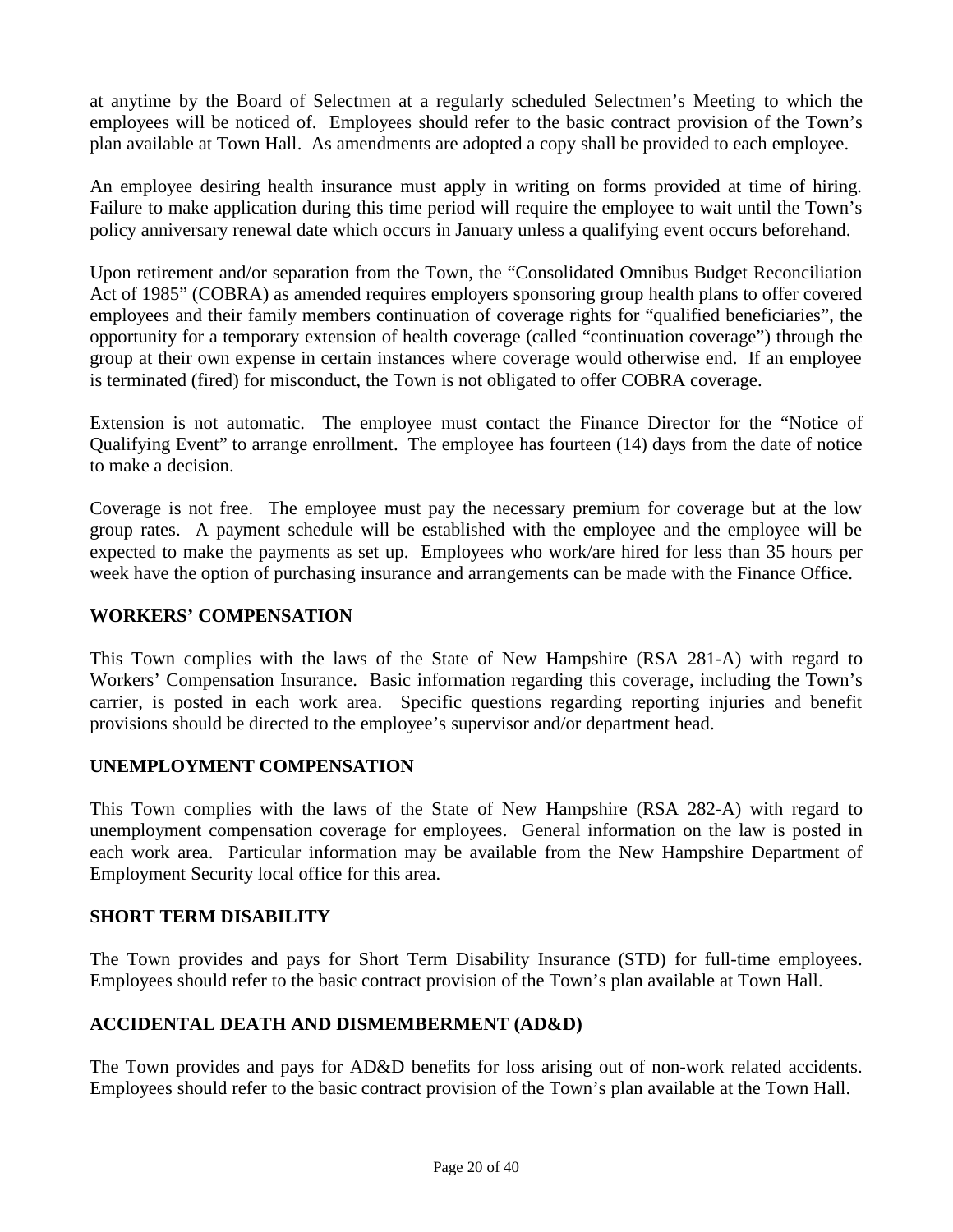at anytime by the Board of Selectmen at a regularly scheduled Selectmen's Meeting to which the employees will be noticed of. Employees should refer to the basic contract provision of the Town's plan available at Town Hall. As amendments are adopted a copy shall be provided to each employee.

An employee desiring health insurance must apply in writing on forms provided at time of hiring. Failure to make application during this time period will require the employee to wait until the Town's policy anniversary renewal date which occurs in January unless a qualifying event occurs beforehand.

Upon retirement and/or separation from the Town, the "Consolidated Omnibus Budget Reconciliation Act of 1985" (COBRA) as amended requires employers sponsoring group health plans to offer covered employees and their family members continuation of coverage rights for "qualified beneficiaries", the opportunity for a temporary extension of health coverage (called "continuation coverage") through the group at their own expense in certain instances where coverage would otherwise end. If an employee is terminated (fired) for misconduct, the Town is not obligated to offer COBRA coverage.

Extension is not automatic. The employee must contact the Finance Director for the "Notice of Qualifying Event" to arrange enrollment. The employee has fourteen (14) days from the date of notice to make a decision.

Coverage is not free. The employee must pay the necessary premium for coverage but at the low group rates. A payment schedule will be established with the employee and the employee will be expected to make the payments as set up. Employees who work/are hired for less than 35 hours per week have the option of purchasing insurance and arrangements can be made with the Finance Office.

#### **WORKERS' COMPENSATION**

This Town complies with the laws of the State of New Hampshire (RSA 281-A) with regard to Workers' Compensation Insurance. Basic information regarding this coverage, including the Town's carrier, is posted in each work area. Specific questions regarding reporting injuries and benefit provisions should be directed to the employee's supervisor and/or department head.

#### **UNEMPLOYMENT COMPENSATION**

This Town complies with the laws of the State of New Hampshire (RSA 282-A) with regard to unemployment compensation coverage for employees. General information on the law is posted in each work area. Particular information may be available from the New Hampshire Department of Employment Security local office for this area.

#### **SHORT TERM DISABILITY**

The Town provides and pays for Short Term Disability Insurance (STD) for full-time employees. Employees should refer to the basic contract provision of the Town's plan available at Town Hall.

#### **ACCIDENTAL DEATH AND DISMEMBERMENT (AD&D)**

The Town provides and pays for AD&D benefits for loss arising out of non-work related accidents. Employees should refer to the basic contract provision of the Town's plan available at the Town Hall.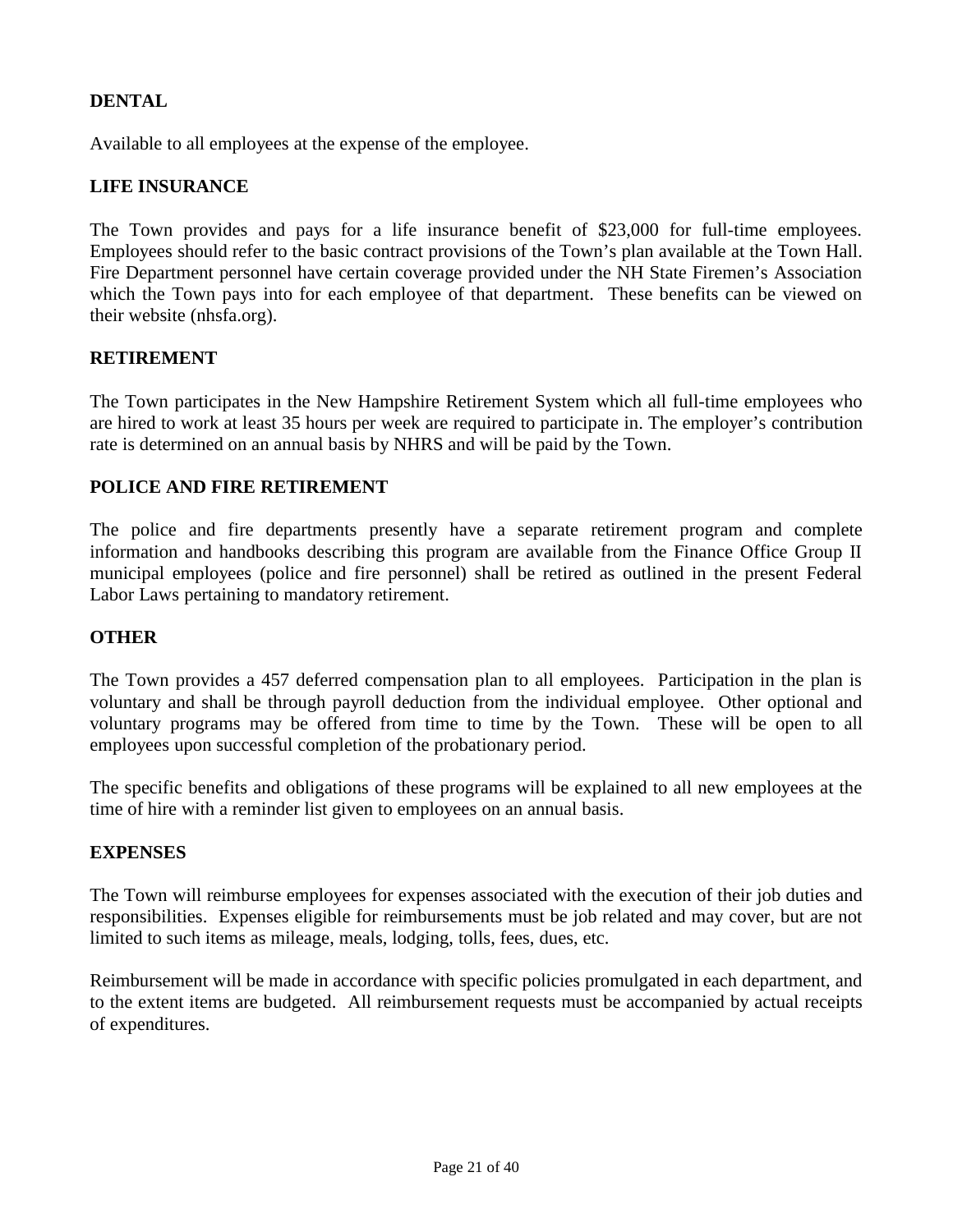## **DENTAL**

Available to all employees at the expense of the employee.

#### **LIFE INSURANCE**

The Town provides and pays for a life insurance benefit of \$23,000 for full-time employees. Employees should refer to the basic contract provisions of the Town's plan available at the Town Hall. Fire Department personnel have certain coverage provided under the NH State Firemen's Association which the Town pays into for each employee of that department. These benefits can be viewed on their website (nhsfa.org).

#### **RETIREMENT**

The Town participates in the New Hampshire Retirement System which all full-time employees who are hired to work at least 35 hours per week are required to participate in. The employer's contribution rate is determined on an annual basis by NHRS and will be paid by the Town.

#### **POLICE AND FIRE RETIREMENT**

The police and fire departments presently have a separate retirement program and complete information and handbooks describing this program are available from the Finance Office Group II municipal employees (police and fire personnel) shall be retired as outlined in the present Federal Labor Laws pertaining to mandatory retirement.

#### **OTHER**

The Town provides a 457 deferred compensation plan to all employees. Participation in the plan is voluntary and shall be through payroll deduction from the individual employee. Other optional and voluntary programs may be offered from time to time by the Town. These will be open to all employees upon successful completion of the probationary period.

The specific benefits and obligations of these programs will be explained to all new employees at the time of hire with a reminder list given to employees on an annual basis.

#### **EXPENSES**

The Town will reimburse employees for expenses associated with the execution of their job duties and responsibilities. Expenses eligible for reimbursements must be job related and may cover, but are not limited to such items as mileage, meals, lodging, tolls, fees, dues, etc.

Reimbursement will be made in accordance with specific policies promulgated in each department, and to the extent items are budgeted. All reimbursement requests must be accompanied by actual receipts of expenditures.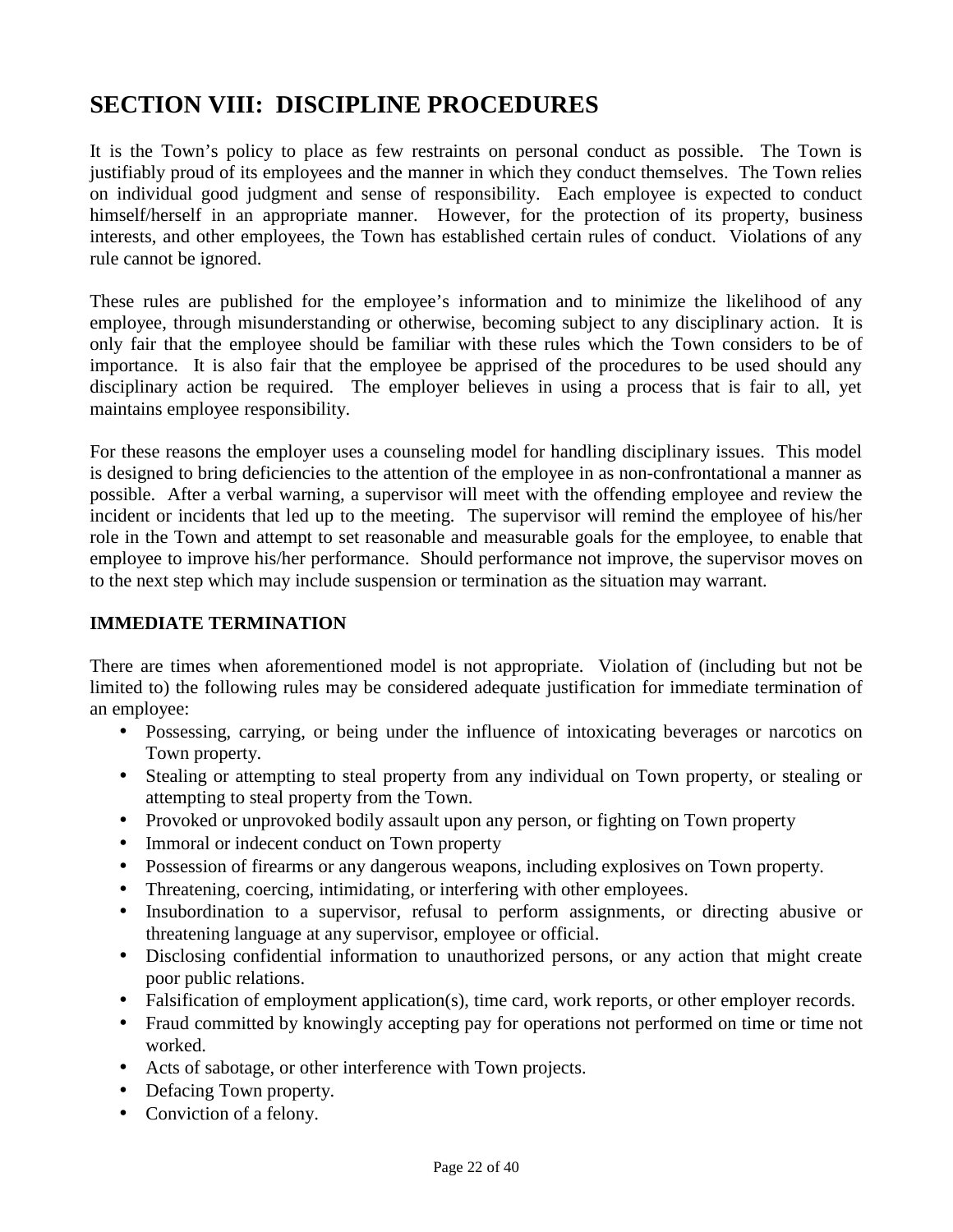## **SECTION VIII: DISCIPLINE PROCEDURES**

It is the Town's policy to place as few restraints on personal conduct as possible. The Town is justifiably proud of its employees and the manner in which they conduct themselves. The Town relies on individual good judgment and sense of responsibility. Each employee is expected to conduct himself/herself in an appropriate manner. However, for the protection of its property, business interests, and other employees, the Town has established certain rules of conduct. Violations of any rule cannot be ignored.

These rules are published for the employee's information and to minimize the likelihood of any employee, through misunderstanding or otherwise, becoming subject to any disciplinary action. It is only fair that the employee should be familiar with these rules which the Town considers to be of importance. It is also fair that the employee be apprised of the procedures to be used should any disciplinary action be required. The employer believes in using a process that is fair to all, yet maintains employee responsibility.

For these reasons the employer uses a counseling model for handling disciplinary issues. This model is designed to bring deficiencies to the attention of the employee in as non-confrontational a manner as possible. After a verbal warning, a supervisor will meet with the offending employee and review the incident or incidents that led up to the meeting. The supervisor will remind the employee of his/her role in the Town and attempt to set reasonable and measurable goals for the employee, to enable that employee to improve his/her performance. Should performance not improve, the supervisor moves on to the next step which may include suspension or termination as the situation may warrant.

## **IMMEDIATE TERMINATION**

There are times when aforementioned model is not appropriate. Violation of (including but not be limited to) the following rules may be considered adequate justification for immediate termination of an employee:

- Possessing, carrying, or being under the influence of intoxicating beverages or narcotics on Town property.
- Stealing or attempting to steal property from any individual on Town property, or stealing or attempting to steal property from the Town.
- Provoked or unprovoked bodily assault upon any person, or fighting on Town property
- Immoral or indecent conduct on Town property
- Possession of firearms or any dangerous weapons, including explosives on Town property.
- Threatening, coercing, intimidating, or interfering with other employees.
- Insubordination to a supervisor, refusal to perform assignments, or directing abusive or threatening language at any supervisor, employee or official.
- Disclosing confidential information to unauthorized persons, or any action that might create poor public relations.
- Falsification of employment application(s), time card, work reports, or other employer records.
- Fraud committed by knowingly accepting pay for operations not performed on time or time not worked.
- Acts of sabotage, or other interference with Town projects.
- Defacing Town property.
- Conviction of a felony.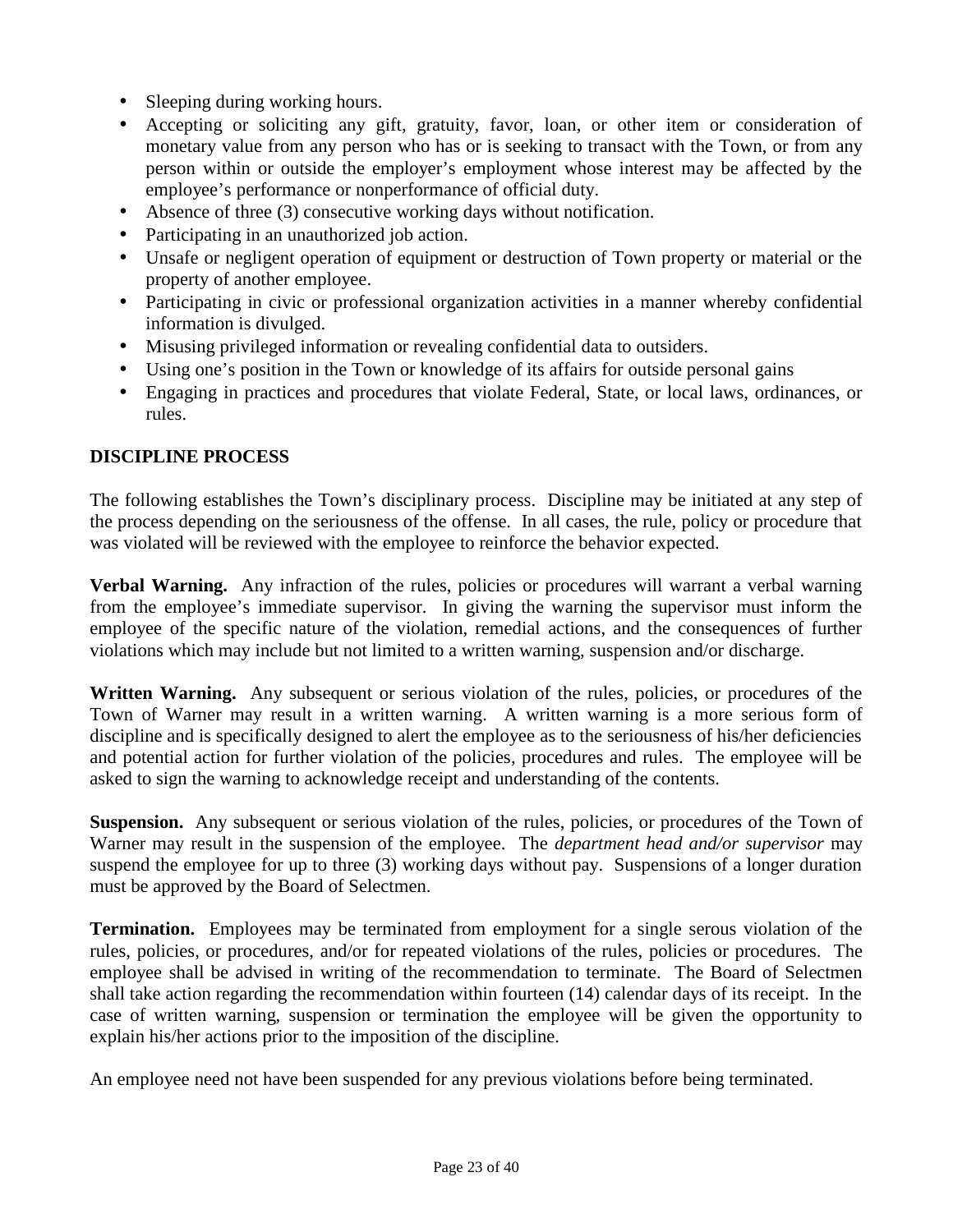- Sleeping during working hours.
- Accepting or soliciting any gift, gratuity, favor, loan, or other item or consideration of monetary value from any person who has or is seeking to transact with the Town, or from any person within or outside the employer's employment whose interest may be affected by the employee's performance or nonperformance of official duty.
- Absence of three (3) consecutive working days without notification.
- Participating in an unauthorized job action.
- Unsafe or negligent operation of equipment or destruction of Town property or material or the property of another employee.
- Participating in civic or professional organization activities in a manner whereby confidential information is divulged.
- Misusing privileged information or revealing confidential data to outsiders.
- Using one's position in the Town or knowledge of its affairs for outside personal gains
- Engaging in practices and procedures that violate Federal, State, or local laws, ordinances, or rules.

## **DISCIPLINE PROCESS**

The following establishes the Town's disciplinary process. Discipline may be initiated at any step of the process depending on the seriousness of the offense. In all cases, the rule, policy or procedure that was violated will be reviewed with the employee to reinforce the behavior expected.

**Verbal Warning.** Any infraction of the rules, policies or procedures will warrant a verbal warning from the employee's immediate supervisor. In giving the warning the supervisor must inform the employee of the specific nature of the violation, remedial actions, and the consequences of further violations which may include but not limited to a written warning, suspension and/or discharge.

Written Warning. Any subsequent or serious violation of the rules, policies, or procedures of the Town of Warner may result in a written warning. A written warning is a more serious form of discipline and is specifically designed to alert the employee as to the seriousness of his/her deficiencies and potential action for further violation of the policies, procedures and rules. The employee will be asked to sign the warning to acknowledge receipt and understanding of the contents.

**Suspension.** Any subsequent or serious violation of the rules, policies, or procedures of the Town of Warner may result in the suspension of the employee. The *department head and/or supervisor* may suspend the employee for up to three (3) working days without pay. Suspensions of a longer duration must be approved by the Board of Selectmen.

**Termination.** Employees may be terminated from employment for a single serous violation of the rules, policies, or procedures, and/or for repeated violations of the rules, policies or procedures. The employee shall be advised in writing of the recommendation to terminate. The Board of Selectmen shall take action regarding the recommendation within fourteen (14) calendar days of its receipt. In the case of written warning, suspension or termination the employee will be given the opportunity to explain his/her actions prior to the imposition of the discipline.

An employee need not have been suspended for any previous violations before being terminated.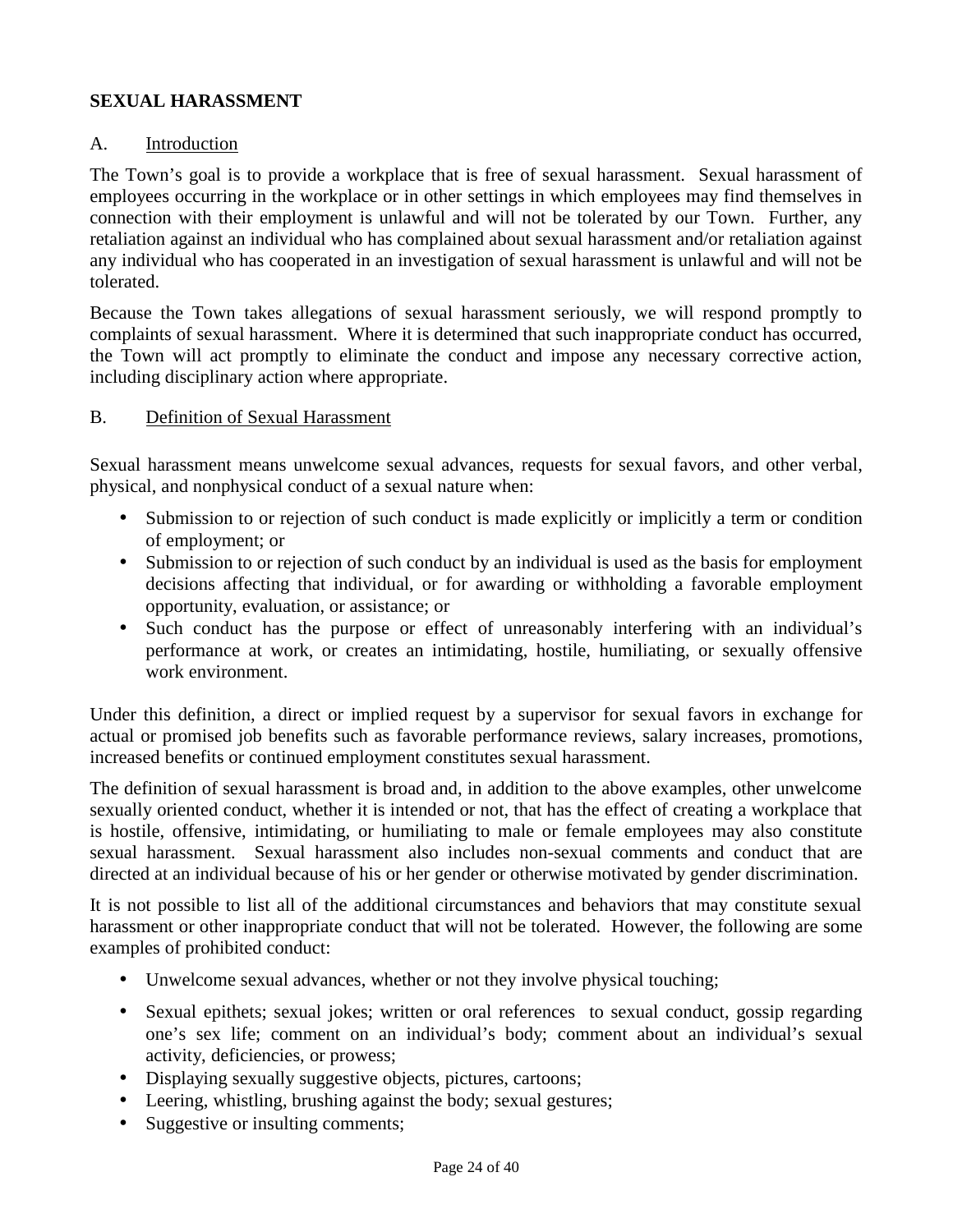## **SEXUAL HARASSMENT**

#### A. Introduction

The Town's goal is to provide a workplace that is free of sexual harassment. Sexual harassment of employees occurring in the workplace or in other settings in which employees may find themselves in connection with their employment is unlawful and will not be tolerated by our Town. Further, any retaliation against an individual who has complained about sexual harassment and/or retaliation against any individual who has cooperated in an investigation of sexual harassment is unlawful and will not be tolerated.

Because the Town takes allegations of sexual harassment seriously, we will respond promptly to complaints of sexual harassment. Where it is determined that such inappropriate conduct has occurred, the Town will act promptly to eliminate the conduct and impose any necessary corrective action, including disciplinary action where appropriate.

#### B. Definition of Sexual Harassment

Sexual harassment means unwelcome sexual advances, requests for sexual favors, and other verbal, physical, and nonphysical conduct of a sexual nature when:

- Submission to or rejection of such conduct is made explicitly or implicitly a term or condition of employment; or
- Submission to or rejection of such conduct by an individual is used as the basis for employment decisions affecting that individual, or for awarding or withholding a favorable employment opportunity, evaluation, or assistance; or
- Such conduct has the purpose or effect of unreasonably interfering with an individual's performance at work, or creates an intimidating, hostile, humiliating, or sexually offensive work environment.

Under this definition, a direct or implied request by a supervisor for sexual favors in exchange for actual or promised job benefits such as favorable performance reviews, salary increases, promotions, increased benefits or continued employment constitutes sexual harassment.

The definition of sexual harassment is broad and, in addition to the above examples, other unwelcome sexually oriented conduct, whether it is intended or not, that has the effect of creating a workplace that is hostile, offensive, intimidating, or humiliating to male or female employees may also constitute sexual harassment. Sexual harassment also includes non-sexual comments and conduct that are directed at an individual because of his or her gender or otherwise motivated by gender discrimination.

It is not possible to list all of the additional circumstances and behaviors that may constitute sexual harassment or other inappropriate conduct that will not be tolerated. However, the following are some examples of prohibited conduct:

- Unwelcome sexual advances, whether or not they involve physical touching;
- Sexual epithets; sexual jokes; written or oral references to sexual conduct, gossip regarding one's sex life; comment on an individual's body; comment about an individual's sexual activity, deficiencies, or prowess;
- Displaying sexually suggestive objects, pictures, cartoons;
- Leering, whistling, brushing against the body; sexual gestures;
- Suggestive or insulting comments;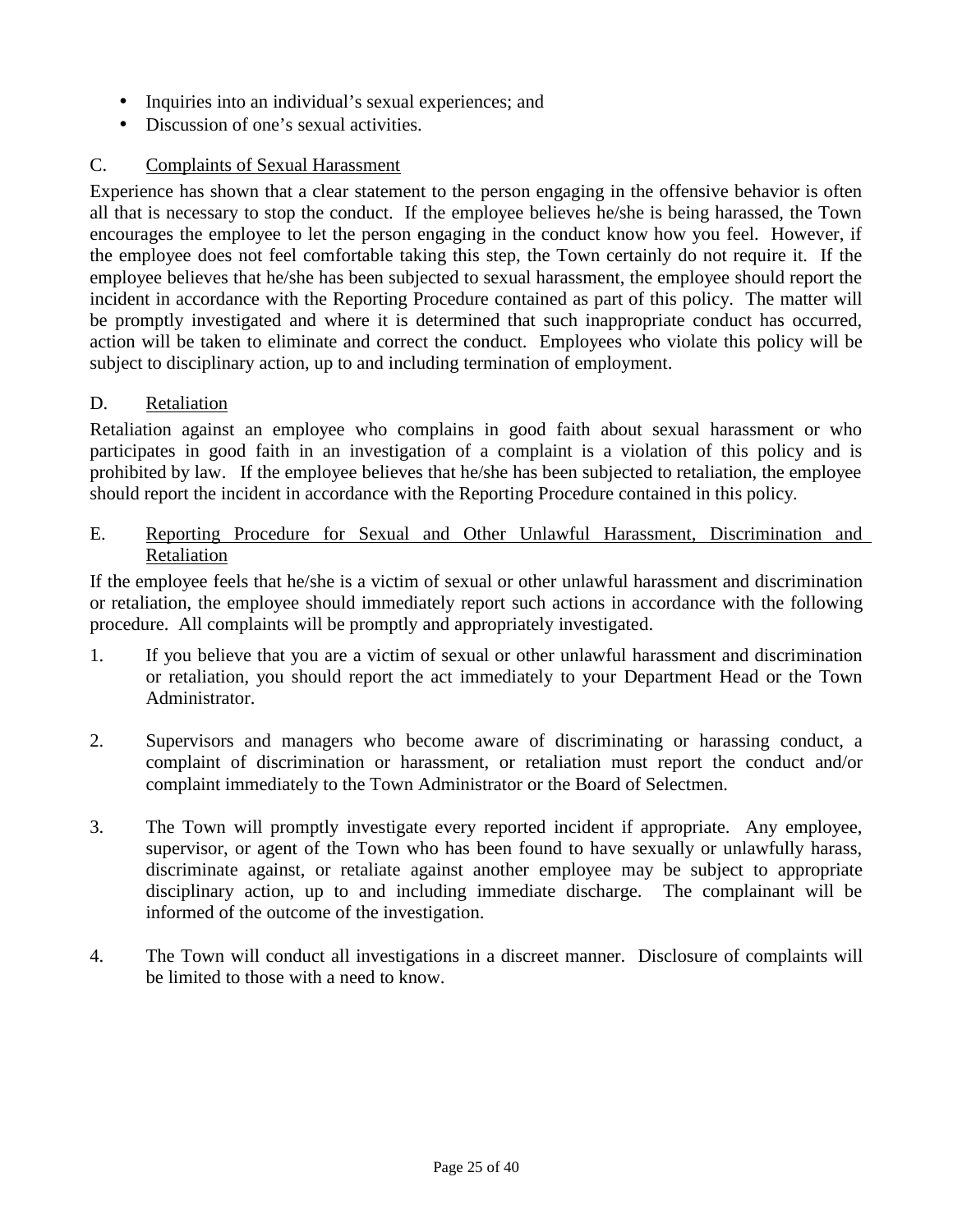- Inquiries into an individual's sexual experiences; and
- Discussion of one's sexual activities.

## C. Complaints of Sexual Harassment

Experience has shown that a clear statement to the person engaging in the offensive behavior is often all that is necessary to stop the conduct. If the employee believes he/she is being harassed, the Town encourages the employee to let the person engaging in the conduct know how you feel. However, if the employee does not feel comfortable taking this step, the Town certainly do not require it. If the employee believes that he/she has been subjected to sexual harassment, the employee should report the incident in accordance with the Reporting Procedure contained as part of this policy. The matter will be promptly investigated and where it is determined that such inappropriate conduct has occurred, action will be taken to eliminate and correct the conduct. Employees who violate this policy will be subject to disciplinary action, up to and including termination of employment.

## D. Retaliation

Retaliation against an employee who complains in good faith about sexual harassment or who participates in good faith in an investigation of a complaint is a violation of this policy and is prohibited by law. If the employee believes that he/she has been subjected to retaliation, the employee should report the incident in accordance with the Reporting Procedure contained in this policy.

E. Reporting Procedure for Sexual and Other Unlawful Harassment, Discrimination and Retaliation

If the employee feels that he/she is a victim of sexual or other unlawful harassment and discrimination or retaliation, the employee should immediately report such actions in accordance with the following procedure. All complaints will be promptly and appropriately investigated.

- 1. If you believe that you are a victim of sexual or other unlawful harassment and discrimination or retaliation, you should report the act immediately to your Department Head or the Town Administrator.
- 2. Supervisors and managers who become aware of discriminating or harassing conduct, a complaint of discrimination or harassment, or retaliation must report the conduct and/or complaint immediately to the Town Administrator or the Board of Selectmen.
- 3. The Town will promptly investigate every reported incident if appropriate. Any employee, supervisor, or agent of the Town who has been found to have sexually or unlawfully harass, discriminate against, or retaliate against another employee may be subject to appropriate disciplinary action, up to and including immediate discharge. The complainant will be informed of the outcome of the investigation.
- 4. The Town will conduct all investigations in a discreet manner. Disclosure of complaints will be limited to those with a need to know.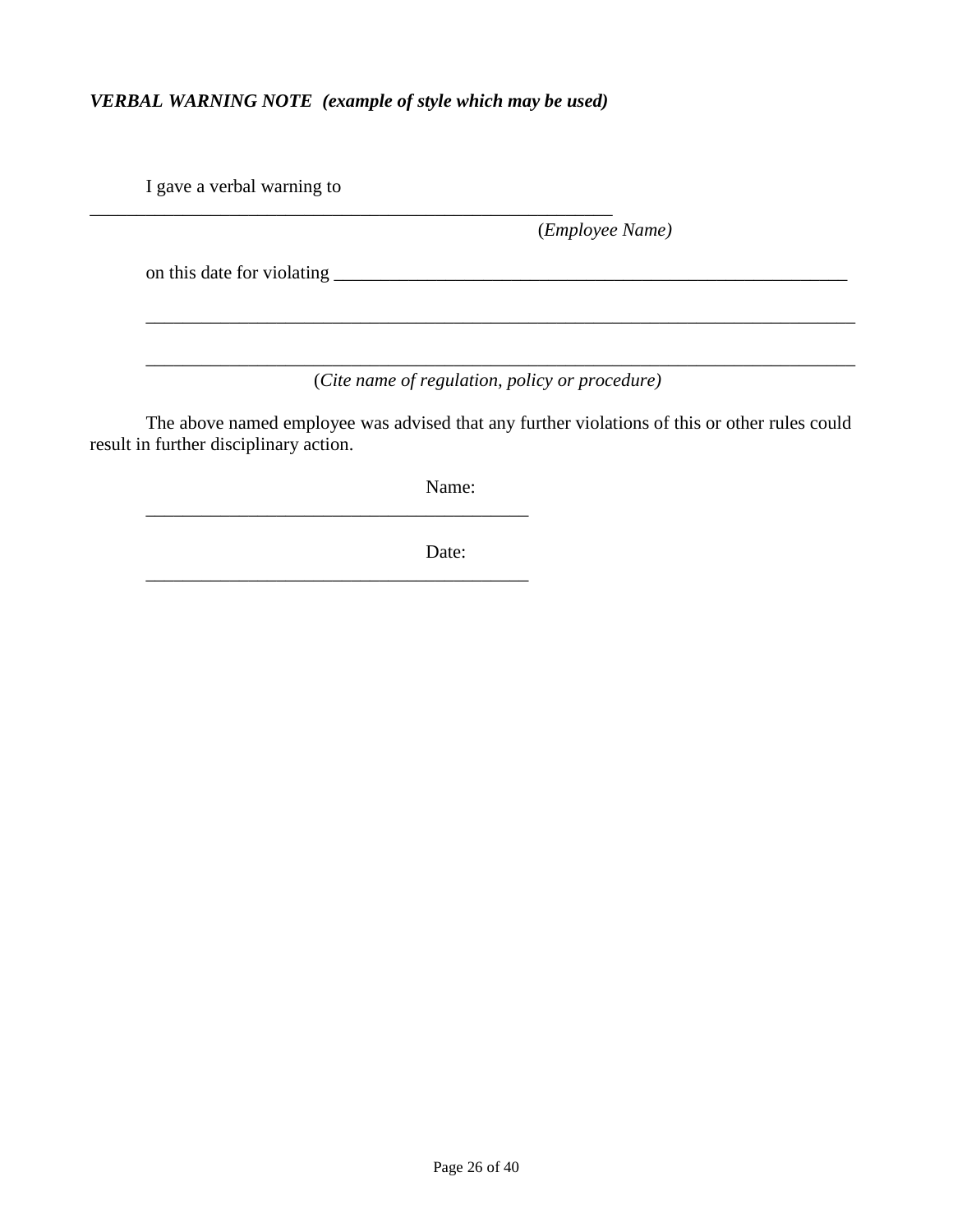## *VERBAL WARNING NOTE (example of style which may be used)*

\_\_\_\_\_\_\_\_\_\_\_\_\_\_\_\_\_\_\_\_\_\_\_\_\_\_\_\_\_\_\_\_\_\_\_\_\_\_\_\_\_\_\_\_\_\_\_\_\_\_\_\_\_\_\_\_

\_\_\_\_\_\_\_\_\_\_\_\_\_\_\_\_\_\_\_\_\_\_\_\_\_\_\_\_\_\_\_\_\_\_\_\_\_\_\_\_\_

\_\_\_\_\_\_\_\_\_\_\_\_\_\_\_\_\_\_\_\_\_\_\_\_\_\_\_\_\_\_\_\_\_\_\_\_\_\_\_\_\_

I gave a verbal warning to

(*Employee Name)*

on this date for violating \_\_\_\_\_\_\_\_\_\_\_\_\_\_\_\_\_\_\_\_\_\_\_\_\_\_\_\_\_\_\_\_\_\_\_\_\_\_\_\_\_\_\_\_\_\_\_\_\_\_\_\_\_\_\_

(*Cite name of regulation, policy or procedure)*

\_\_\_\_\_\_\_\_\_\_\_\_\_\_\_\_\_\_\_\_\_\_\_\_\_\_\_\_\_\_\_\_\_\_\_\_\_\_\_\_\_\_\_\_\_\_\_\_\_\_\_\_\_\_\_\_\_\_\_\_\_\_\_\_\_\_\_\_\_\_\_\_\_\_\_\_

\_\_\_\_\_\_\_\_\_\_\_\_\_\_\_\_\_\_\_\_\_\_\_\_\_\_\_\_\_\_\_\_\_\_\_\_\_\_\_\_\_\_\_\_\_\_\_\_\_\_\_\_\_\_\_\_\_\_\_\_\_\_\_\_\_\_\_\_\_\_\_\_\_\_\_\_

The above named employee was advised that any further violations of this or other rules could result in further disciplinary action.

Name:

Date: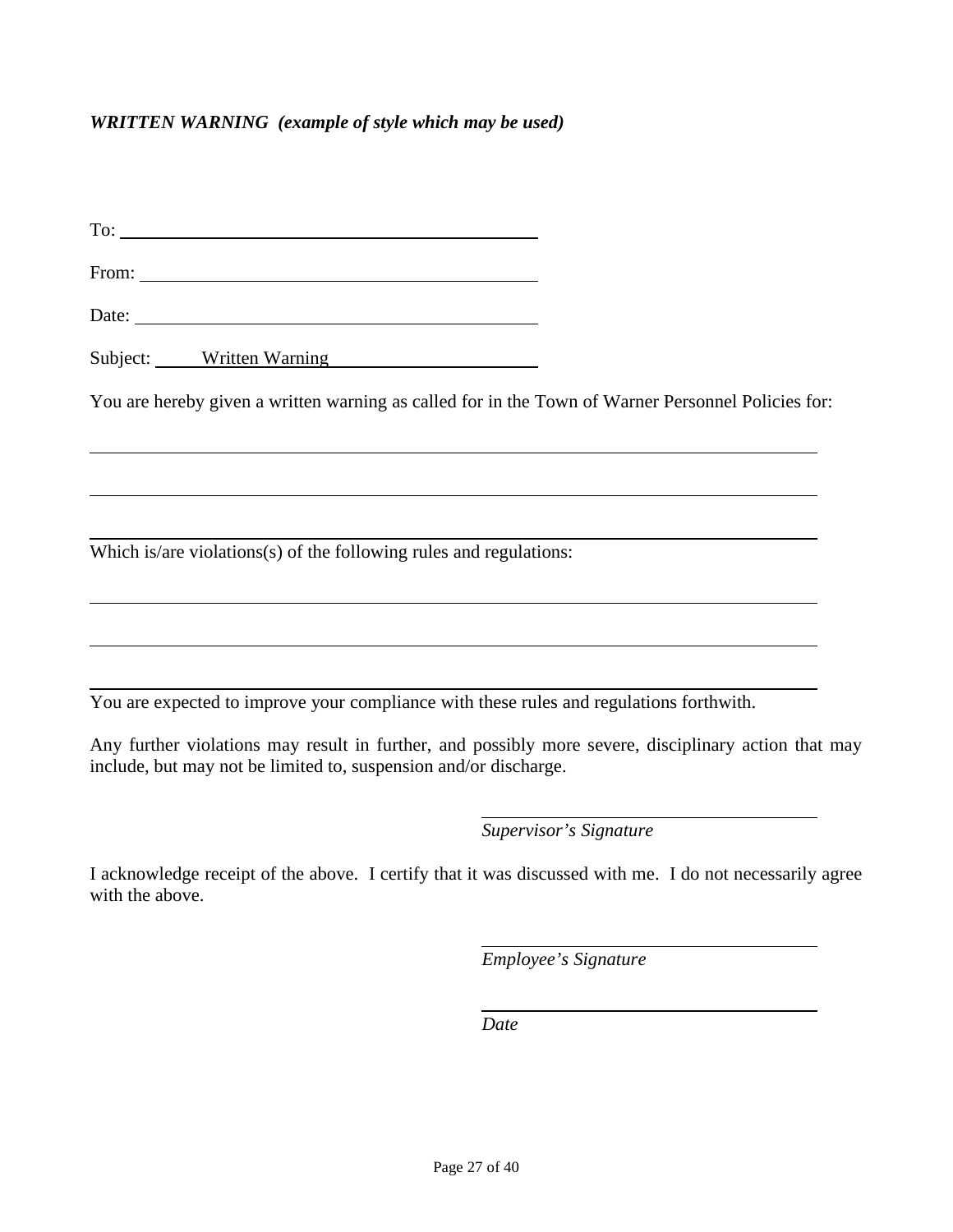#### *WRITTEN WARNING (example of style which may be used)*

To:

From:  $\blacksquare$ 

Date:

Subject: Written Warning

 $\overline{a}$ 

 $\overline{a}$ 

 $\overline{a}$ 

 $\overline{a}$ 

You are hereby given a written warning as called for in the Town of Warner Personnel Policies for:

 $\overline{a}$ Which is/are violations(s) of the following rules and regulations:

 $\overline{a}$ You are expected to improve your compliance with these rules and regulations forthwith.

Any further violations may result in further, and possibly more severe, disciplinary action that may include, but may not be limited to, suspension and/or discharge.

 $\overline{a}$ 

*Supervisor's Signature*

I acknowledge receipt of the above. I certify that it was discussed with me. I do not necessarily agree with the above.

 $\overline{a}$ 

*Employee's Signature*

 *Date*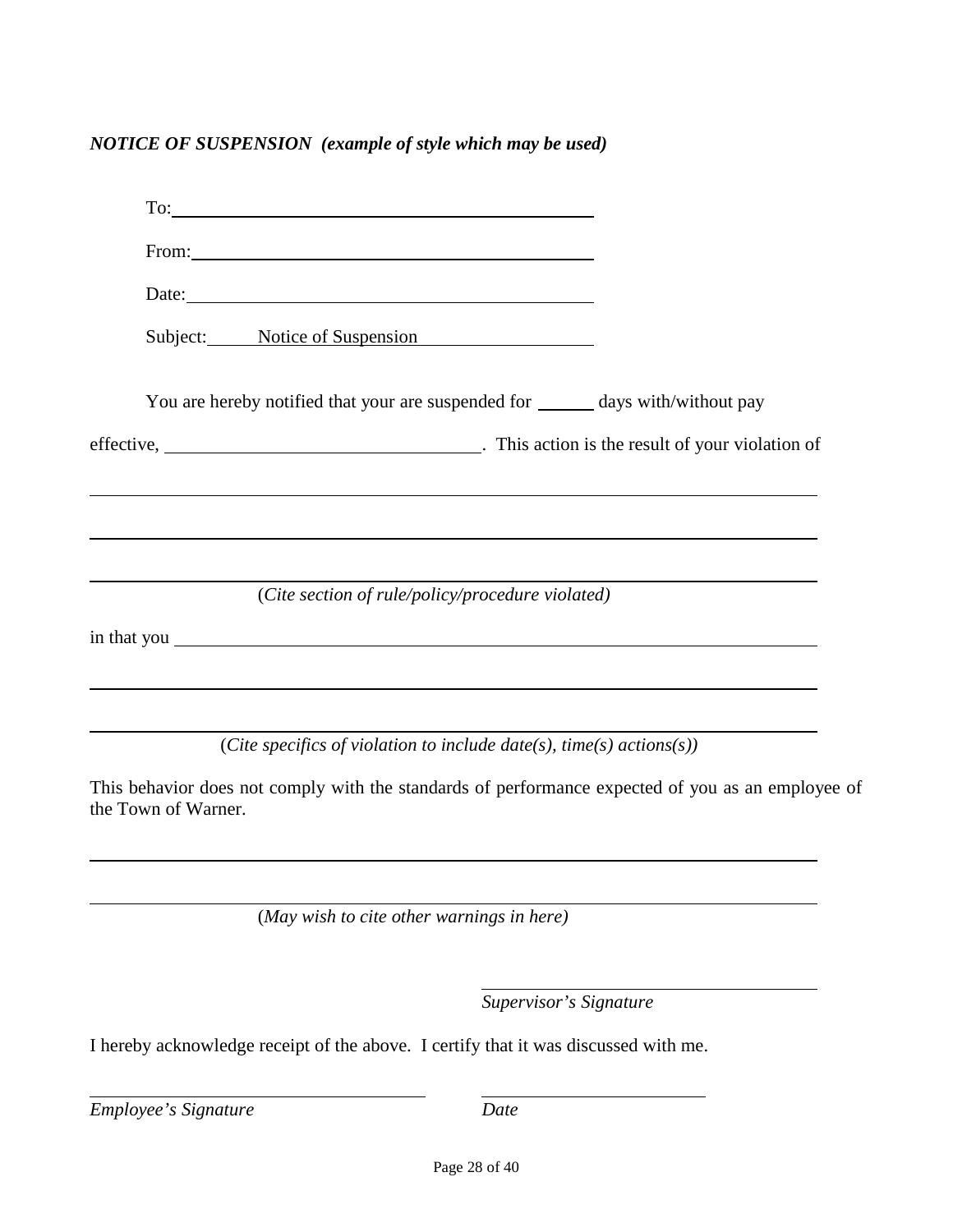*NOTICE OF SUSPENSION (example of style which may be used)*

| From: The Contract of the Contract of the Contract of the Contract of the Contract of the Contract of the Contract of the Contract of the Contract of the Contract of the Contract of the Contract of the Contract of the Cont |  |
|--------------------------------------------------------------------------------------------------------------------------------------------------------------------------------------------------------------------------------|--|
|                                                                                                                                                                                                                                |  |
| Subject: Notice of Suspension                                                                                                                                                                                                  |  |
| You are hereby notified that your are suspended for ______ days with/without pay                                                                                                                                               |  |
|                                                                                                                                                                                                                                |  |
| ,我们也不会有什么。""我们的人,我们也不会有什么?""我们的人,我们也不会有什么?""我们的人,我们也不会有什么?""我们的人,我们也不会有什么?""我们的人                                                                                                                                               |  |
| <u> 1989 - Johann Stoff, deutscher Stoff, der Stoff, der Stoff, der Stoff, der Stoff, der Stoff, der Stoff, der S</u>                                                                                                          |  |
| (Cite section of rule/policy/procedure violated)                                                                                                                                                                               |  |
| in that you seems that you have a set of the set of the set of the set of the set of the set of the set of the set of the set of the set of the set of the set of the set of the set of the set of the set of the set of the s |  |
|                                                                                                                                                                                                                                |  |
|                                                                                                                                                                                                                                |  |

(*Cite specifics of violation to include date(s), time(s) actions(s))*

This behavior does not comply with the standards of performance expected of you as an employee of the Town of Warner.

 $\overline{a}$ 

(*May wish to cite other warnings in here)*

*Supervisor's Signature*

I hereby acknowledge receipt of the above. I certify that it was discussed with me.

*Employee's Signature Date*

 $\overline{a}$ 

 $\overline{a}$ 

 $\overline{a}$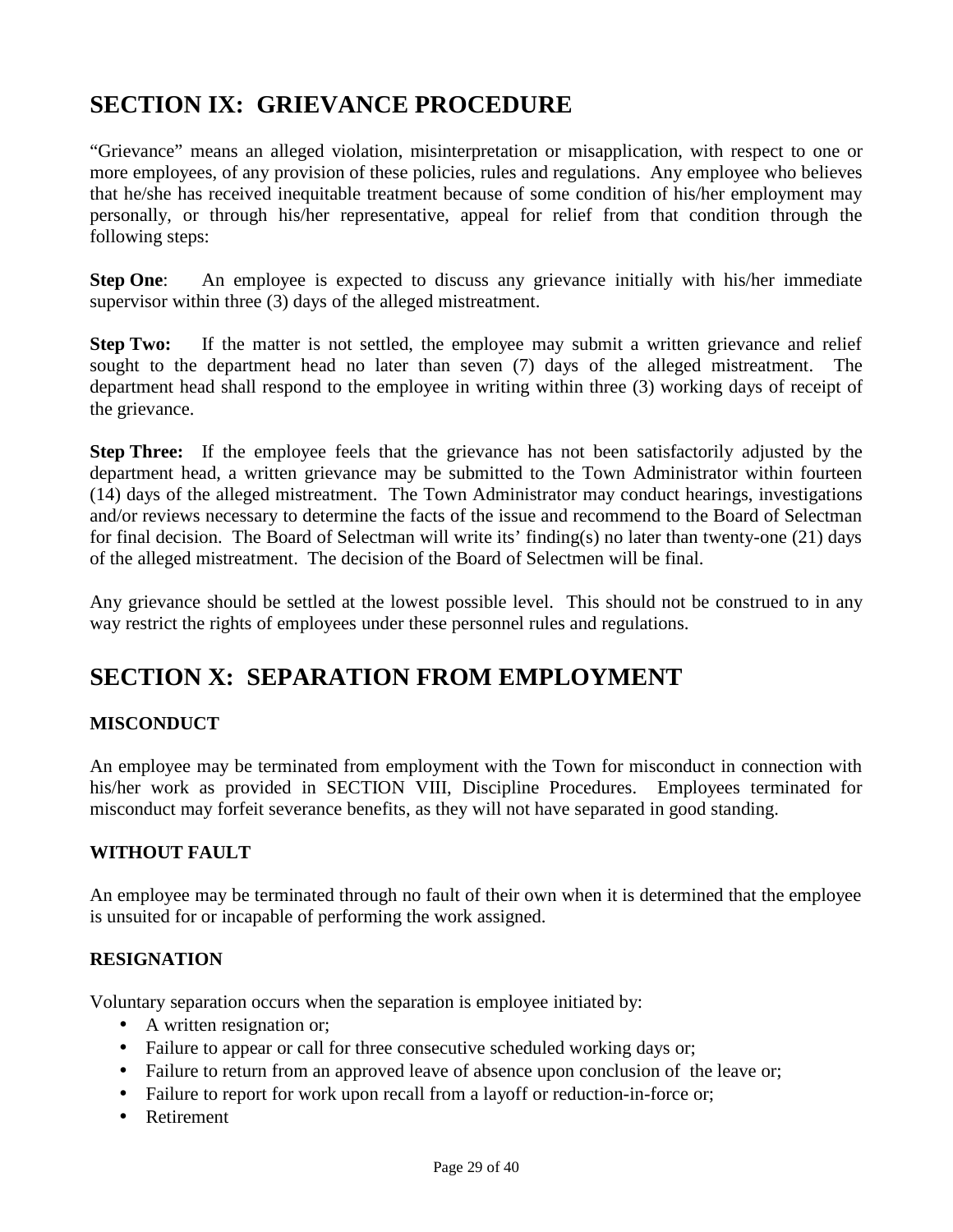## **SECTION IX: GRIEVANCE PROCEDURE**

"Grievance" means an alleged violation, misinterpretation or misapplication, with respect to one or more employees, of any provision of these policies, rules and regulations. Any employee who believes that he/she has received inequitable treatment because of some condition of his/her employment may personally, or through his/her representative, appeal for relief from that condition through the following steps:

**Step One:** An employee is expected to discuss any grievance initially with his/her immediate supervisor within three (3) days of the alleged mistreatment.

**Step Two:** If the matter is not settled, the employee may submit a written grievance and relief sought to the department head no later than seven (7) days of the alleged mistreatment. The department head shall respond to the employee in writing within three (3) working days of receipt of the grievance.

**Step Three:** If the employee feels that the grievance has not been satisfactorily adjusted by the department head, a written grievance may be submitted to the Town Administrator within fourteen (14) days of the alleged mistreatment. The Town Administrator may conduct hearings, investigations and/or reviews necessary to determine the facts of the issue and recommend to the Board of Selectman for final decision. The Board of Selectman will write its' finding(s) no later than twenty-one  $(21)$  days of the alleged mistreatment. The decision of the Board of Selectmen will be final.

Any grievance should be settled at the lowest possible level. This should not be construed to in any way restrict the rights of employees under these personnel rules and regulations.

## **SECTION X: SEPARATION FROM EMPLOYMENT**

## **MISCONDUCT**

An employee may be terminated from employment with the Town for misconduct in connection with his/her work as provided in SECTION VIII, Discipline Procedures. Employees terminated for misconduct may forfeit severance benefits, as they will not have separated in good standing.

## **WITHOUT FAULT**

An employee may be terminated through no fault of their own when it is determined that the employee is unsuited for or incapable of performing the work assigned.

## **RESIGNATION**

Voluntary separation occurs when the separation is employee initiated by:

- A written resignation or;
- Failure to appear or call for three consecutive scheduled working days or;
- Failure to return from an approved leave of absence upon conclusion of the leave or;
- Failure to report for work upon recall from a layoff or reduction-in-force or;
- Retirement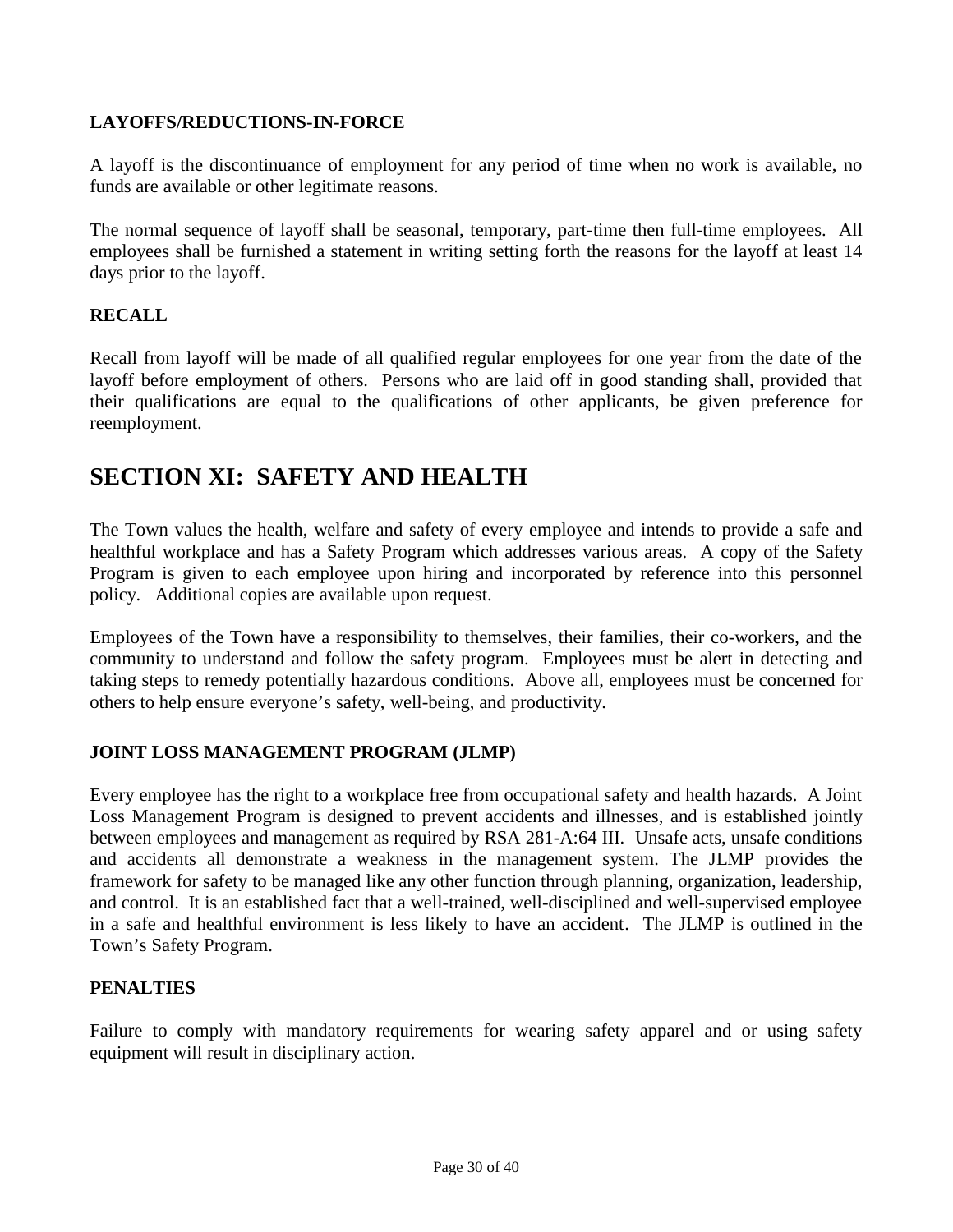## **LAYOFFS/REDUCTIONS-IN-FORCE**

A layoff is the discontinuance of employment for any period of time when no work is available, no funds are available or other legitimate reasons.

The normal sequence of layoff shall be seasonal, temporary, part-time then full-time employees. All employees shall be furnished a statement in writing setting forth the reasons for the layoff at least 14 days prior to the layoff.

## **RECALL**

Recall from layoff will be made of all qualified regular employees for one year from the date of the layoff before employment of others. Persons who are laid off in good standing shall, provided that their qualifications are equal to the qualifications of other applicants, be given preference for reemployment.

## **SECTION XI: SAFETY AND HEALTH**

The Town values the health, welfare and safety of every employee and intends to provide a safe and healthful workplace and has a Safety Program which addresses various areas. A copy of the Safety Program is given to each employee upon hiring and incorporated by reference into this personnel policy. Additional copies are available upon request.

Employees of the Town have a responsibility to themselves, their families, their co-workers, and the community to understand and follow the safety program. Employees must be alert in detecting and taking steps to remedy potentially hazardous conditions. Above all, employees must be concerned for others to help ensure everyone's safety, well-being, and productivity.

## **JOINT LOSS MANAGEMENT PROGRAM (JLMP)**

Every employee has the right to a workplace free from occupational safety and health hazards. A Joint Loss Management Program is designed to prevent accidents and illnesses, and is established jointly between employees and management as required by RSA 281-A:64 III. Unsafe acts, unsafe conditions and accidents all demonstrate a weakness in the management system. The JLMP provides the framework for safety to be managed like any other function through planning, organization, leadership, and control. It is an established fact that a well-trained, well-disciplined and well-supervised employee in a safe and healthful environment is less likely to have an accident. The JLMP is outlined in the Town's Safety Program.

## **PENALTIES**

Failure to comply with mandatory requirements for wearing safety apparel and or using safety equipment will result in disciplinary action.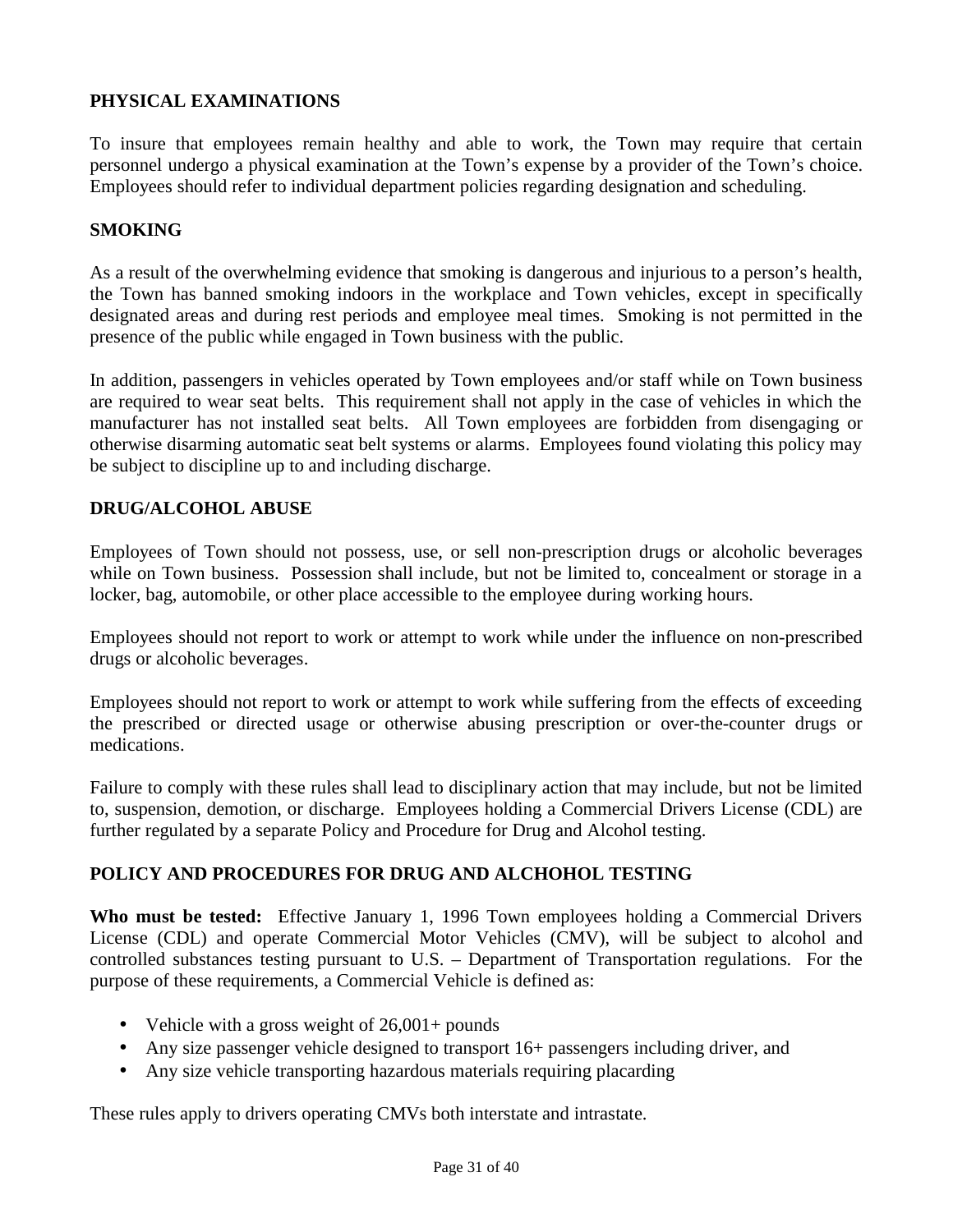## **PHYSICAL EXAMINATIONS**

To insure that employees remain healthy and able to work, the Town may require that certain personnel undergo a physical examination at the Town's expense by a provider of the Town's choice. Employees should refer to individual department policies regarding designation and scheduling.

#### **SMOKING**

As a result of the overwhelming evidence that smoking is dangerous and injurious to a person's health, the Town has banned smoking indoors in the workplace and Town vehicles, except in specifically designated areas and during rest periods and employee meal times. Smoking is not permitted in the presence of the public while engaged in Town business with the public.

In addition, passengers in vehicles operated by Town employees and/or staff while on Town business are required to wear seat belts. This requirement shall not apply in the case of vehicles in which the manufacturer has not installed seat belts. All Town employees are forbidden from disengaging or otherwise disarming automatic seat belt systems or alarms. Employees found violating this policy may be subject to discipline up to and including discharge.

#### **DRUG/ALCOHOL ABUSE**

Employees of Town should not possess, use, or sell non-prescription drugs or alcoholic beverages while on Town business. Possession shall include, but not be limited to, concealment or storage in a locker, bag, automobile, or other place accessible to the employee during working hours.

Employees should not report to work or attempt to work while under the influence on non-prescribed drugs or alcoholic beverages.

Employees should not report to work or attempt to work while suffering from the effects of exceeding the prescribed or directed usage or otherwise abusing prescription or over-the-counter drugs or medications.

Failure to comply with these rules shall lead to disciplinary action that may include, but not be limited to, suspension, demotion, or discharge. Employees holding a Commercial Drivers License (CDL) are further regulated by a separate Policy and Procedure for Drug and Alcohol testing.

## **POLICY AND PROCEDURES FOR DRUG AND ALCHOHOL TESTING**

**Who must be tested:** Effective January 1, 1996 Town employees holding a Commercial Drivers License (CDL) and operate Commercial Motor Vehicles (CMV), will be subject to alcohol and controlled substances testing pursuant to U.S. – Department of Transportation regulations. For the purpose of these requirements, a Commercial Vehicle is defined as:

- Vehicle with a gross weight of  $26,001+$  pounds
- Any size passenger vehicle designed to transport 16+ passengers including driver, and
- Any size vehicle transporting hazardous materials requiring placarding

These rules apply to drivers operating CMVs both interstate and intrastate.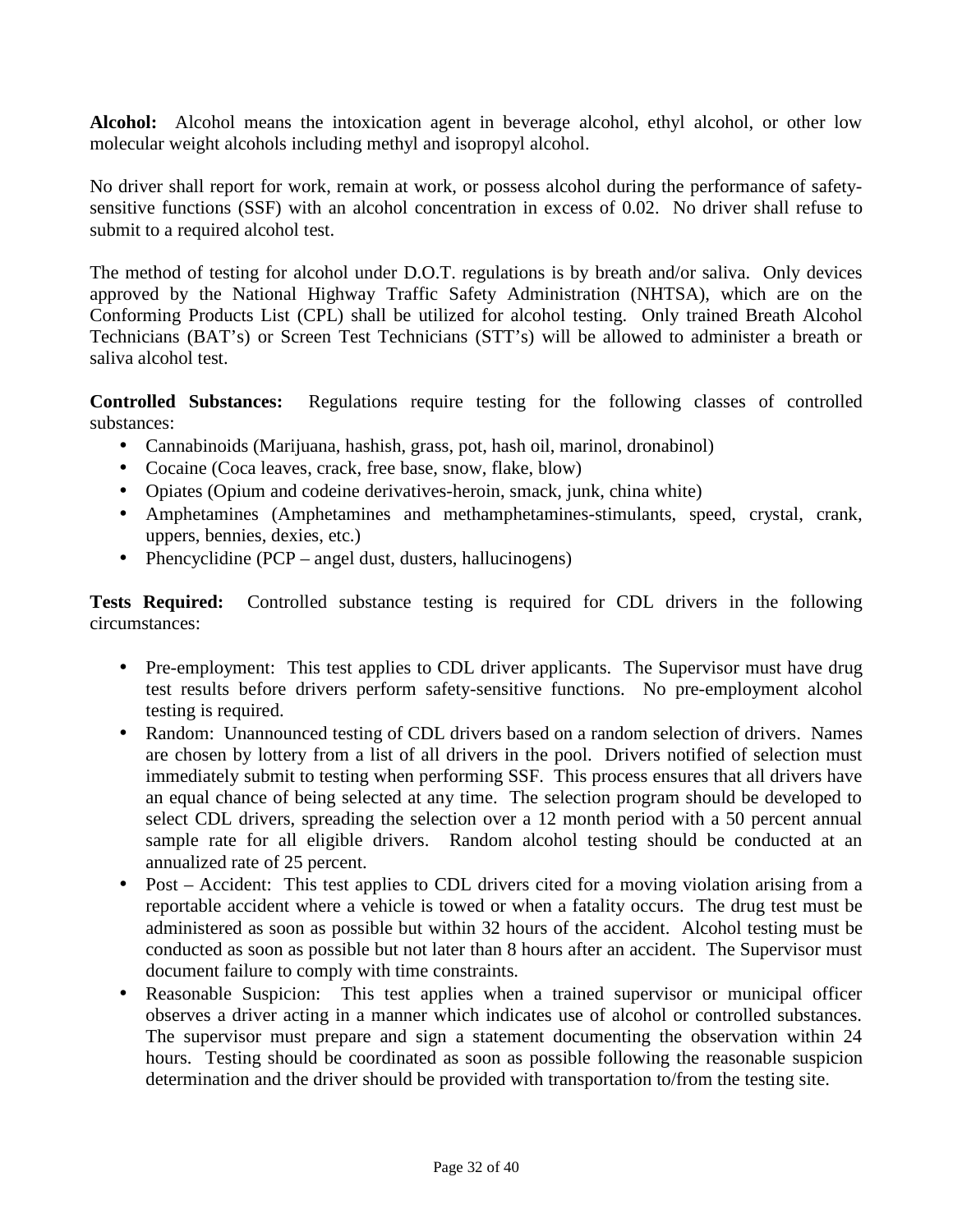**Alcohol:** Alcohol means the intoxication agent in beverage alcohol, ethyl alcohol, or other low molecular weight alcohols including methyl and isopropyl alcohol.

No driver shall report for work, remain at work, or possess alcohol during the performance of safetysensitive functions (SSF) with an alcohol concentration in excess of 0.02. No driver shall refuse to submit to a required alcohol test.

The method of testing for alcohol under D.O.T. regulations is by breath and/or saliva. Only devices approved by the National Highway Traffic Safety Administration (NHTSA), which are on the Conforming Products List (CPL) shall be utilized for alcohol testing. Only trained Breath Alcohol Technicians (BAT's) or Screen Test Technicians (STT's) will be allowed to administer a breath or saliva alcohol test.

**Controlled Substances:** Regulations require testing for the following classes of controlled substances:

- Cannabinoids (Marijuana, hashish, grass, pot, hash oil, marinol, dronabinol)
- Cocaine (Coca leaves, crack, free base, snow, flake, blow)
- Opiates (Opium and codeine derivatives-heroin, smack, junk, china white)
- Amphetamines (Amphetamines and methamphetamines-stimulants, speed, crystal, crank, uppers, bennies, dexies, etc.)
- Phencyclidine (PCP angel dust, dusters, hallucinogens)

**Tests Required:** Controlled substance testing is required for CDL drivers in the following circumstances:

- Pre-employment: This test applies to CDL driver applicants. The Supervisor must have drug test results before drivers perform safety-sensitive functions. No pre-employment alcohol testing is required.
- Random: Unannounced testing of CDL drivers based on a random selection of drivers. Names are chosen by lottery from a list of all drivers in the pool. Drivers notified of selection must immediately submit to testing when performing SSF. This process ensures that all drivers have an equal chance of being selected at any time. The selection program should be developed to select CDL drivers, spreading the selection over a 12 month period with a 50 percent annual sample rate for all eligible drivers. Random alcohol testing should be conducted at an annualized rate of 25 percent.
- Post Accident: This test applies to CDL drivers cited for a moving violation arising from a reportable accident where a vehicle is towed or when a fatality occurs. The drug test must be administered as soon as possible but within 32 hours of the accident. Alcohol testing must be conducted as soon as possible but not later than 8 hours after an accident. The Supervisor must document failure to comply with time constraints.
- Reasonable Suspicion: This test applies when a trained supervisor or municipal officer observes a driver acting in a manner which indicates use of alcohol or controlled substances. The supervisor must prepare and sign a statement documenting the observation within 24 hours. Testing should be coordinated as soon as possible following the reasonable suspicion determination and the driver should be provided with transportation to/from the testing site.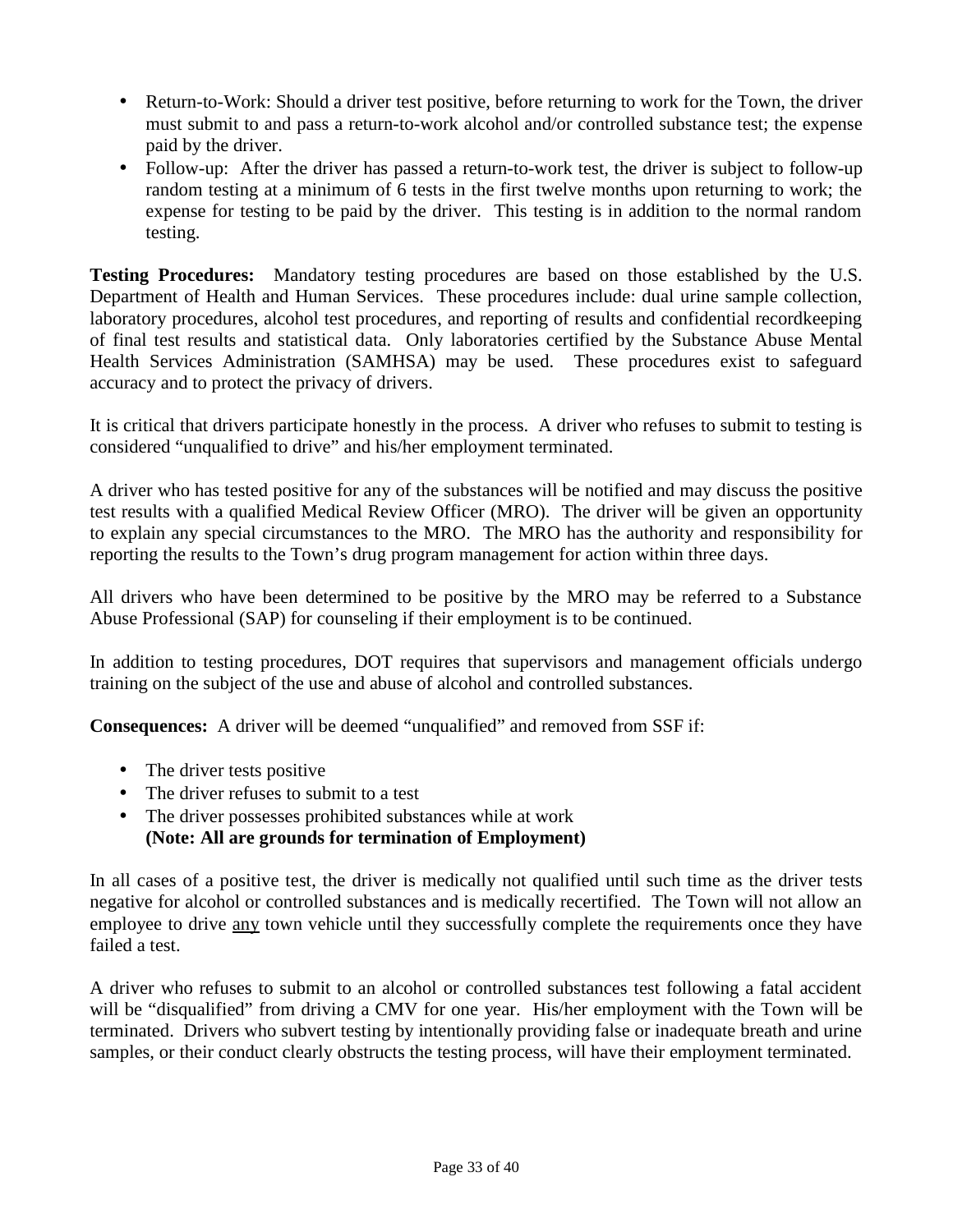- Return-to-Work: Should a driver test positive, before returning to work for the Town, the driver must submit to and pass a return-to-work alcohol and/or controlled substance test; the expense paid by the driver.
- Follow-up: After the driver has passed a return-to-work test, the driver is subject to follow-up random testing at a minimum of 6 tests in the first twelve months upon returning to work; the expense for testing to be paid by the driver. This testing is in addition to the normal random testing.

**Testing Procedures:** Mandatory testing procedures are based on those established by the U.S. Department of Health and Human Services. These procedures include: dual urine sample collection, laboratory procedures, alcohol test procedures, and reporting of results and confidential recordkeeping of final test results and statistical data. Only laboratories certified by the Substance Abuse Mental Health Services Administration (SAMHSA) may be used. These procedures exist to safeguard accuracy and to protect the privacy of drivers.

It is critical that drivers participate honestly in the process. A driver who refuses to submit to testing is considered "unqualified to drive" and his/her employment terminated.

A driver who has tested positive for any of the substances will be notified and may discuss the positive test results with a qualified Medical Review Officer (MRO). The driver will be given an opportunity to explain any special circumstances to the MRO. The MRO has the authority and responsibility for reporting the results to the Town's drug program management for action within three days.

All drivers who have been determined to be positive by the MRO may be referred to a Substance Abuse Professional (SAP) for counseling if their employment is to be continued.

In addition to testing procedures, DOT requires that supervisors and management officials undergo training on the subject of the use and abuse of alcohol and controlled substances.

**Consequences:** A driver will be deemed "unqualified" and removed from SSF if:

- The driver tests positive
- The driver refuses to submit to a test
- The driver possesses prohibited substances while at work **(Note: All are grounds for termination of Employment)**

In all cases of a positive test, the driver is medically not qualified until such time as the driver tests negative for alcohol or controlled substances and is medically recertified. The Town will not allow an employee to drive any town vehicle until they successfully complete the requirements once they have failed a test.

A driver who refuses to submit to an alcohol or controlled substances test following a fatal accident will be "disqualified" from driving a CMV for one year. His/her employment with the Town will be terminated. Drivers who subvert testing by intentionally providing false or inadequate breath and urine samples, or their conduct clearly obstructs the testing process, will have their employment terminated.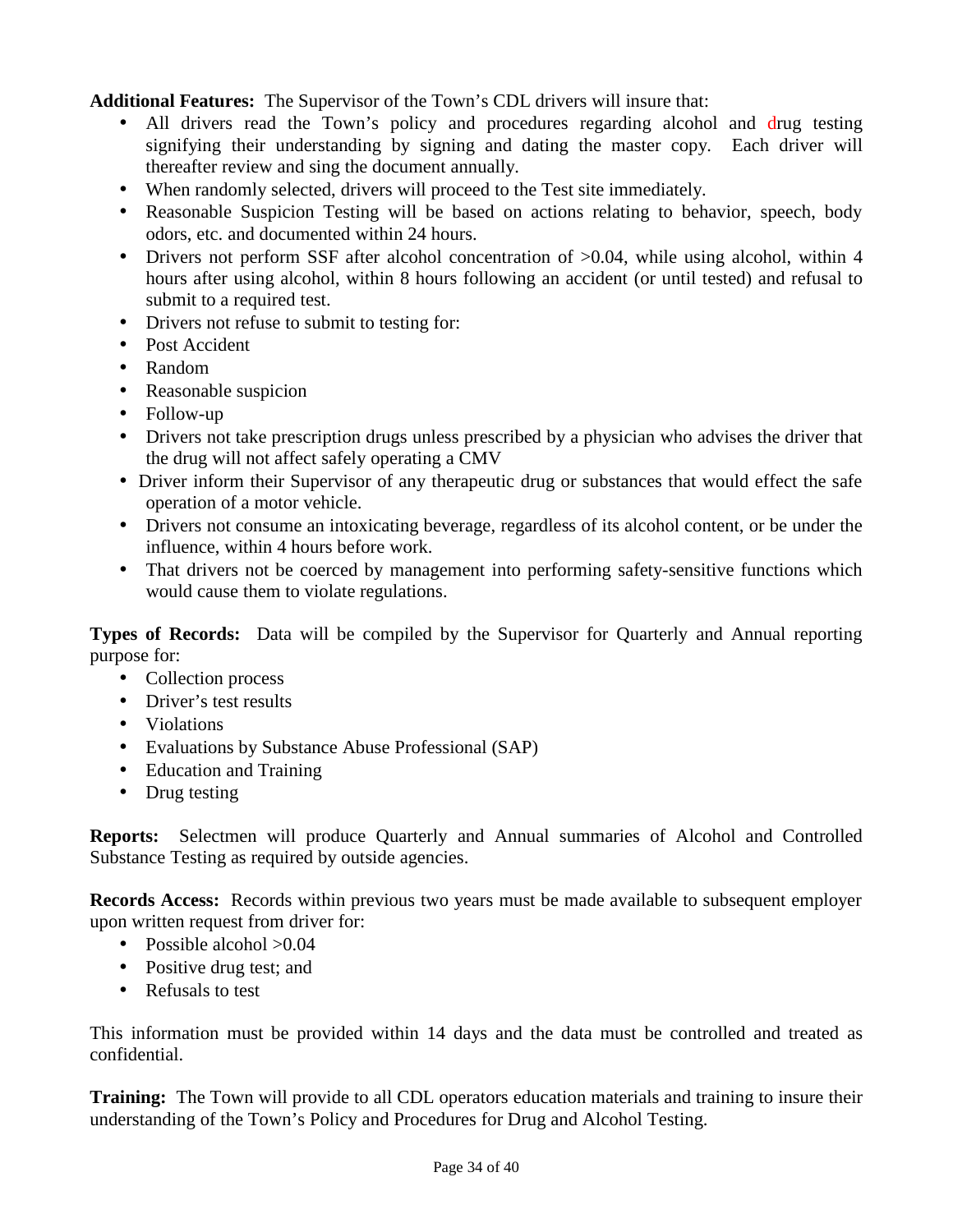**Additional Features:** The Supervisor of the Town's CDL drivers will insure that:

- All drivers read the Town's policy and procedures regarding alcohol and drug testing signifying their understanding by signing and dating the master copy. Each driver will thereafter review and sing the document annually.
- When randomly selected, drivers will proceed to the Test site immediately.
- Reasonable Suspicion Testing will be based on actions relating to behavior, speech, body odors, etc. and documented within 24 hours.
- Drivers not perform SSF after alcohol concentration of  $>0.04$ , while using alcohol, within 4 hours after using alcohol, within 8 hours following an accident (or until tested) and refusal to submit to a required test.
- Drivers not refuse to submit to testing for:
- Post Accident
- Random
- Reasonable suspicion
- Follow-up
- Drivers not take prescription drugs unless prescribed by a physician who advises the driver that the drug will not affect safely operating a CMV
- Driver inform their Supervisor of any therapeutic drug or substances that would effect the safe operation of a motor vehicle.
- Drivers not consume an intoxicating beverage, regardless of its alcohol content, or be under the influence, within 4 hours before work.
- That drivers not be coerced by management into performing safety-sensitive functions which would cause them to violate regulations.

**Types of Records:** Data will be compiled by the Supervisor for Quarterly and Annual reporting purpose for:

- Collection process
- Driver's test results
- Violations
- Evaluations by Substance Abuse Professional (SAP)
- Education and Training
- Drug testing

**Reports:** Selectmen will produce Quarterly and Annual summaries of Alcohol and Controlled Substance Testing as required by outside agencies.

**Records Access:** Records within previous two years must be made available to subsequent employer upon written request from driver for:

- Possible alcohol  $>0.04$
- Positive drug test; and
- Refusals to test

This information must be provided within 14 days and the data must be controlled and treated as confidential.

**Training:** The Town will provide to all CDL operators education materials and training to insure their understanding of the Town's Policy and Procedures for Drug and Alcohol Testing.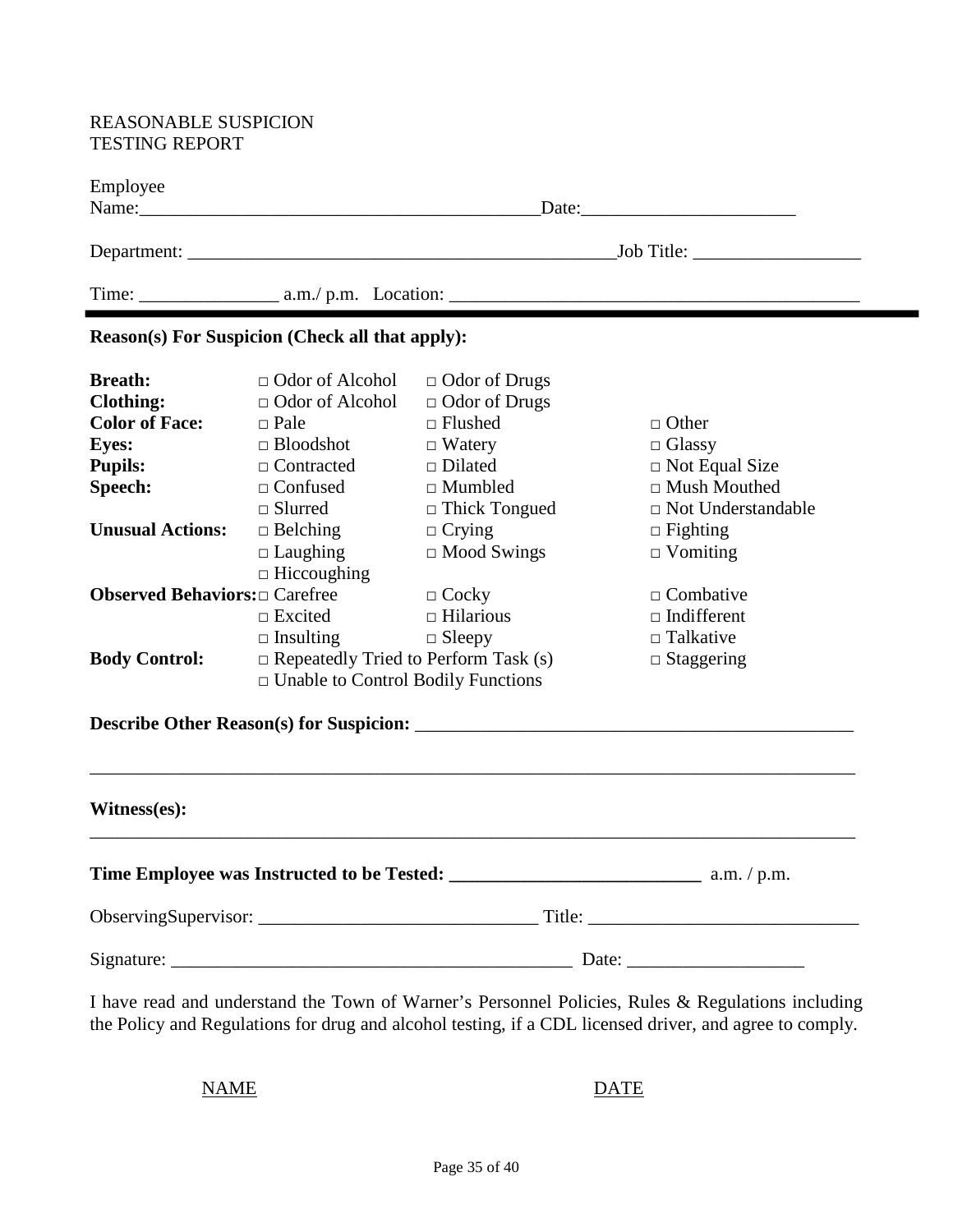#### REASONABLE SUSPICION TESTING REPORT

| Employee                                                                                                                                                                                           | Name: 2008. [2016] Name: 2008. [2016] Name: 2008. [2016] Name: 2008. [2016] Name: 2008. [2016] Name: 2008. [20<br>Date:                                                                                                                                                                                                                     |                                                                                                                                                                                                                                         |                                                                                                                                                                                                                                |  |  |  |
|----------------------------------------------------------------------------------------------------------------------------------------------------------------------------------------------------|---------------------------------------------------------------------------------------------------------------------------------------------------------------------------------------------------------------------------------------------------------------------------------------------------------------------------------------------|-----------------------------------------------------------------------------------------------------------------------------------------------------------------------------------------------------------------------------------------|--------------------------------------------------------------------------------------------------------------------------------------------------------------------------------------------------------------------------------|--|--|--|
|                                                                                                                                                                                                    |                                                                                                                                                                                                                                                                                                                                             |                                                                                                                                                                                                                                         |                                                                                                                                                                                                                                |  |  |  |
|                                                                                                                                                                                                    |                                                                                                                                                                                                                                                                                                                                             |                                                                                                                                                                                                                                         |                                                                                                                                                                                                                                |  |  |  |
|                                                                                                                                                                                                    | <b>Reason(s) For Suspicion (Check all that apply):</b>                                                                                                                                                                                                                                                                                      |                                                                                                                                                                                                                                         |                                                                                                                                                                                                                                |  |  |  |
| <b>Breath:</b><br><b>Clothing:</b><br><b>Color of Face:</b><br><b>Eyes:</b><br><b>Pupils:</b><br>Speech:<br><b>Unusual Actions:</b><br><b>Observed Behaviors:</b> Carefree<br><b>Body Control:</b> | $\Box$ Odor of Alcohol<br>$\Box$ Odor of Alcohol<br>$\Box$ Pale<br>$\Box$ Bloodshot<br>$\Box$ Contracted<br>$\Box$ Confused<br>$\Box$ Slurred<br>$\Box$ Belching<br>$\Box$ Laughing<br>$\Box$ Hiccoughing<br>$\Box$ Excited<br>$\Box$ Insulting<br>$\Box$ Repeatedly Tried to Perform Task (s)<br>$\Box$ Unable to Control Bodily Functions | $\Box$ Odor of Drugs<br>$\Box$ Odor of Drugs<br>$\Box$ Flushed<br>$\Box$ Watery<br>$\Box$ Dilated<br>$\Box$ Mumbled<br>$\Box$ Thick Tongued<br>$\Box$ Crying<br>$\Box$ Mood Swings<br>$\Box$ Cocky<br>$\Box$ Hilarious<br>$\Box$ Sleepy | $\Box$ Other<br>$\Box$ Glassy<br>$\Box$ Not Equal Size<br>□ Mush Mouthed<br>$\Box$ Not Understandable<br>$\Box$ Fighting<br>$\Box$ Vomiting<br>$\Box$ Combative<br>$\Box$ Indifferent<br>$\Box$ Talkative<br>$\Box$ Staggering |  |  |  |
|                                                                                                                                                                                                    |                                                                                                                                                                                                                                                                                                                                             |                                                                                                                                                                                                                                         |                                                                                                                                                                                                                                |  |  |  |
| Witness(es):                                                                                                                                                                                       |                                                                                                                                                                                                                                                                                                                                             |                                                                                                                                                                                                                                         |                                                                                                                                                                                                                                |  |  |  |
|                                                                                                                                                                                                    |                                                                                                                                                                                                                                                                                                                                             |                                                                                                                                                                                                                                         |                                                                                                                                                                                                                                |  |  |  |
|                                                                                                                                                                                                    |                                                                                                                                                                                                                                                                                                                                             |                                                                                                                                                                                                                                         |                                                                                                                                                                                                                                |  |  |  |
|                                                                                                                                                                                                    |                                                                                                                                                                                                                                                                                                                                             |                                                                                                                                                                                                                                         |                                                                                                                                                                                                                                |  |  |  |

I have read and understand the Town of Warner's Personnel Policies, Rules & Regulations including the Policy and Regulations for drug and alcohol testing, if a CDL licensed driver, and agree to comply.

NAME DATE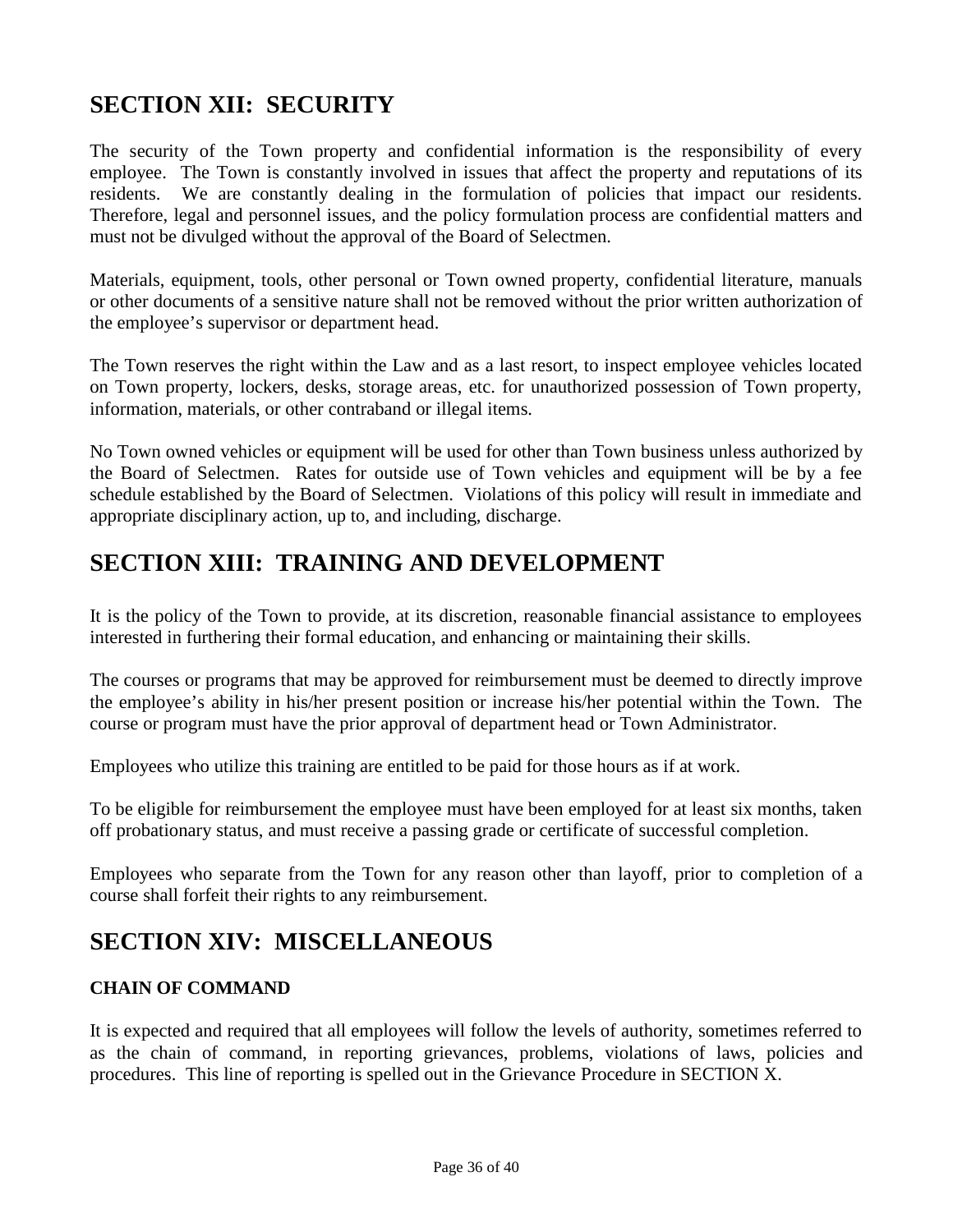## **SECTION XII: SECURITY**

The security of the Town property and confidential information is the responsibility of every employee. The Town is constantly involved in issues that affect the property and reputations of its residents. We are constantly dealing in the formulation of policies that impact our residents. Therefore, legal and personnel issues, and the policy formulation process are confidential matters and must not be divulged without the approval of the Board of Selectmen.

Materials, equipment, tools, other personal or Town owned property, confidential literature, manuals or other documents of a sensitive nature shall not be removed without the prior written authorization of the employee's supervisor or department head.

The Town reserves the right within the Law and as a last resort, to inspect employee vehicles located on Town property, lockers, desks, storage areas, etc. for unauthorized possession of Town property, information, materials, or other contraband or illegal items.

No Town owned vehicles or equipment will be used for other than Town business unless authorized by the Board of Selectmen. Rates for outside use of Town vehicles and equipment will be by a fee schedule established by the Board of Selectmen. Violations of this policy will result in immediate and appropriate disciplinary action, up to, and including, discharge.

## **SECTION XIII: TRAINING AND DEVELOPMENT**

It is the policy of the Town to provide, at its discretion, reasonable financial assistance to employees interested in furthering their formal education, and enhancing or maintaining their skills.

The courses or programs that may be approved for reimbursement must be deemed to directly improve the employee's ability in his/her present position or increase his/her potential within the Town. The course or program must have the prior approval of department head or Town Administrator.

Employees who utilize this training are entitled to be paid for those hours as if at work.

To be eligible for reimbursement the employee must have been employed for at least six months, taken off probationary status, and must receive a passing grade or certificate of successful completion.

Employees who separate from the Town for any reason other than layoff, prior to completion of a course shall forfeit their rights to any reimbursement.

## **SECTION XIV: MISCELLANEOUS**

## **CHAIN OF COMMAND**

It is expected and required that all employees will follow the levels of authority, sometimes referred to as the chain of command, in reporting grievances, problems, violations of laws, policies and procedures. This line of reporting is spelled out in the Grievance Procedure in SECTION X.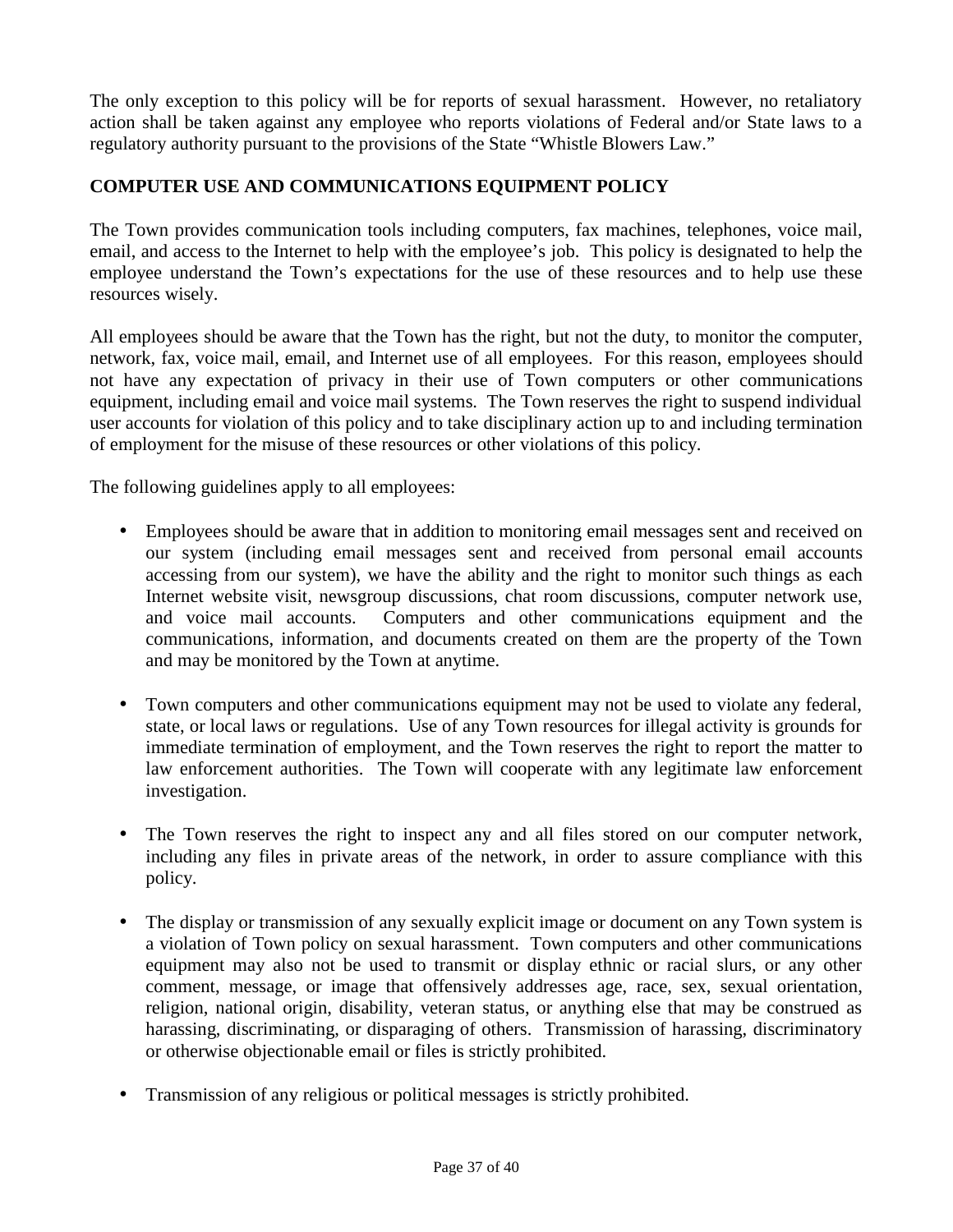The only exception to this policy will be for reports of sexual harassment. However, no retaliatory action shall be taken against any employee who reports violations of Federal and/or State laws to a regulatory authority pursuant to the provisions of the State "Whistle Blowers Law."

## **COMPUTER USE AND COMMUNICATIONS EQUIPMENT POLICY**

The Town provides communication tools including computers, fax machines, telephones, voice mail, email, and access to the Internet to help with the employee's job. This policy is designated to help the employee understand the Town's expectations for the use of these resources and to help use these resources wisely.

All employees should be aware that the Town has the right, but not the duty, to monitor the computer, network, fax, voice mail, email, and Internet use of all employees. For this reason, employees should not have any expectation of privacy in their use of Town computers or other communications equipment, including email and voice mail systems. The Town reserves the right to suspend individual user accounts for violation of this policy and to take disciplinary action up to and including termination of employment for the misuse of these resources or other violations of this policy.

The following guidelines apply to all employees:

- Employees should be aware that in addition to monitoring email messages sent and received on our system (including email messages sent and received from personal email accounts accessing from our system), we have the ability and the right to monitor such things as each Internet website visit, newsgroup discussions, chat room discussions, computer network use, and voice mail accounts. Computers and other communications equipment and the communications, information, and documents created on them are the property of the Town and may be monitored by the Town at anytime.
- Town computers and other communications equipment may not be used to violate any federal, state, or local laws or regulations. Use of any Town resources for illegal activity is grounds for immediate termination of employment, and the Town reserves the right to report the matter to law enforcement authorities. The Town will cooperate with any legitimate law enforcement investigation.
- The Town reserves the right to inspect any and all files stored on our computer network, including any files in private areas of the network, in order to assure compliance with this policy.
- The display or transmission of any sexually explicit image or document on any Town system is a violation of Town policy on sexual harassment. Town computers and other communications equipment may also not be used to transmit or display ethnic or racial slurs, or any other comment, message, or image that offensively addresses age, race, sex, sexual orientation, religion, national origin, disability, veteran status, or anything else that may be construed as harassing, discriminating, or disparaging of others. Transmission of harassing, discriminatory or otherwise objectionable email or files is strictly prohibited.
- Transmission of any religious or political messages is strictly prohibited.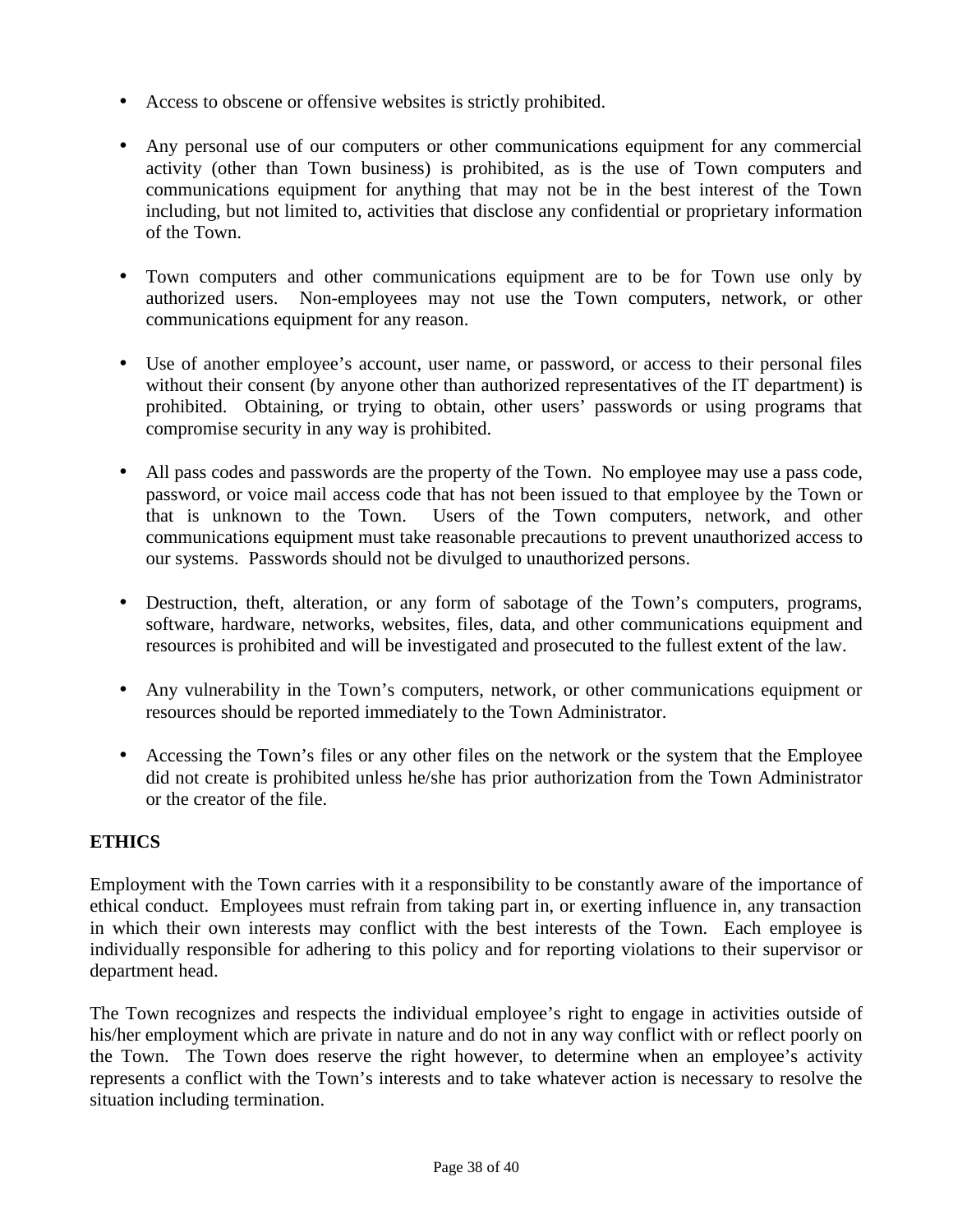- Access to obscene or offensive websites is strictly prohibited.
- Any personal use of our computers or other communications equipment for any commercial activity (other than Town business) is prohibited, as is the use of Town computers and communications equipment for anything that may not be in the best interest of the Town including, but not limited to, activities that disclose any confidential or proprietary information of the Town.
- Town computers and other communications equipment are to be for Town use only by authorized users. Non-employees may not use the Town computers, network, or other communications equipment for any reason.
- Use of another employee's account, user name, or password, or access to their personal files without their consent (by anyone other than authorized representatives of the IT department) is prohibited. Obtaining, or trying to obtain, other users' passwords or using programs that compromise security in any way is prohibited.
- All pass codes and passwords are the property of the Town. No employee may use a pass code, password, or voice mail access code that has not been issued to that employee by the Town or that is unknown to the Town. Users of the Town computers, network, and other communications equipment must take reasonable precautions to prevent unauthorized access to our systems. Passwords should not be divulged to unauthorized persons.
- Destruction, theft, alteration, or any form of sabotage of the Town's computers, programs, software, hardware, networks, websites, files, data, and other communications equipment and resources is prohibited and will be investigated and prosecuted to the fullest extent of the law.
- Any vulnerability in the Town's computers, network, or other communications equipment or resources should be reported immediately to the Town Administrator.
- Accessing the Town's files or any other files on the network or the system that the Employee did not create is prohibited unless he/she has prior authorization from the Town Administrator or the creator of the file.

## **ETHICS**

Employment with the Town carries with it a responsibility to be constantly aware of the importance of ethical conduct. Employees must refrain from taking part in, or exerting influence in, any transaction in which their own interests may conflict with the best interests of the Town. Each employee is individually responsible for adhering to this policy and for reporting violations to their supervisor or department head.

The Town recognizes and respects the individual employee's right to engage in activities outside of his/her employment which are private in nature and do not in any way conflict with or reflect poorly on the Town. The Town does reserve the right however, to determine when an employee's activity represents a conflict with the Town's interests and to take whatever action is necessary to resolve the situation including termination.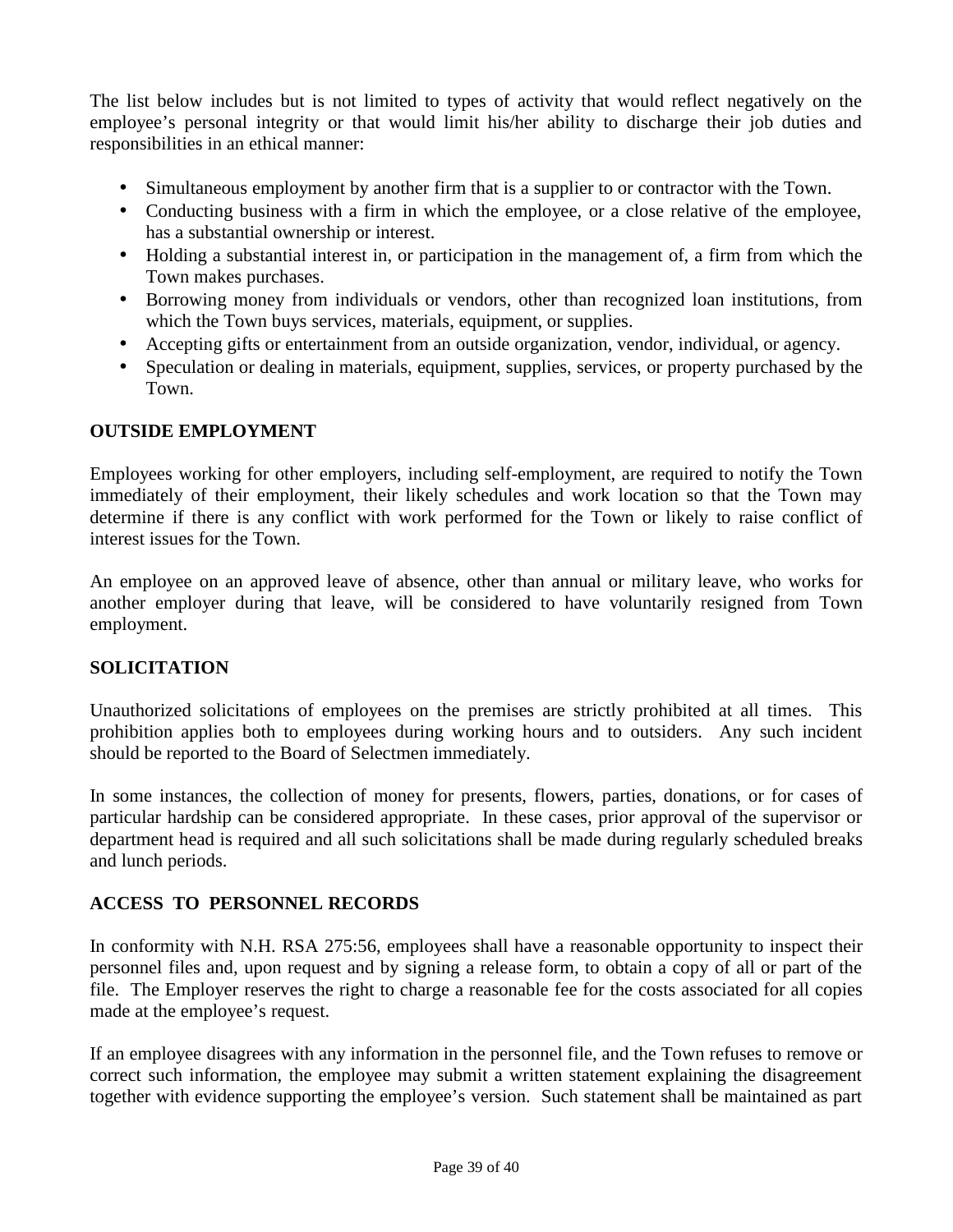The list below includes but is not limited to types of activity that would reflect negatively on the employee's personal integrity or that would limit his/her ability to discharge their job duties and responsibilities in an ethical manner:

- Simultaneous employment by another firm that is a supplier to or contractor with the Town.
- Conducting business with a firm in which the employee, or a close relative of the employee, has a substantial ownership or interest.
- Holding a substantial interest in, or participation in the management of, a firm from which the Town makes purchases.
- Borrowing money from individuals or vendors, other than recognized loan institutions, from which the Town buys services, materials, equipment, or supplies.
- Accepting gifts or entertainment from an outside organization, vendor, individual, or agency.
- Speculation or dealing in materials, equipment, supplies, services, or property purchased by the Town.

## **OUTSIDE EMPLOYMENT**

Employees working for other employers, including self-employment, are required to notify the Town immediately of their employment, their likely schedules and work location so that the Town may determine if there is any conflict with work performed for the Town or likely to raise conflict of interest issues for the Town.

An employee on an approved leave of absence, other than annual or military leave, who works for another employer during that leave, will be considered to have voluntarily resigned from Town employment.

## **SOLICITATION**

Unauthorized solicitations of employees on the premises are strictly prohibited at all times. This prohibition applies both to employees during working hours and to outsiders. Any such incident should be reported to the Board of Selectmen immediately.

In some instances, the collection of money for presents, flowers, parties, donations, or for cases of particular hardship can be considered appropriate. In these cases, prior approval of the supervisor or department head is required and all such solicitations shall be made during regularly scheduled breaks and lunch periods.

## **ACCESS TO PERSONNEL RECORDS**

In conformity with N.H. RSA 275:56, employees shall have a reasonable opportunity to inspect their personnel files and, upon request and by signing a release form, to obtain a copy of all or part of the file. The Employer reserves the right to charge a reasonable fee for the costs associated for all copies made at the employee's request.

If an employee disagrees with any information in the personnel file, and the Town refuses to remove or correct such information, the employee may submit a written statement explaining the disagreement together with evidence supporting the employee's version. Such statement shall be maintained as part